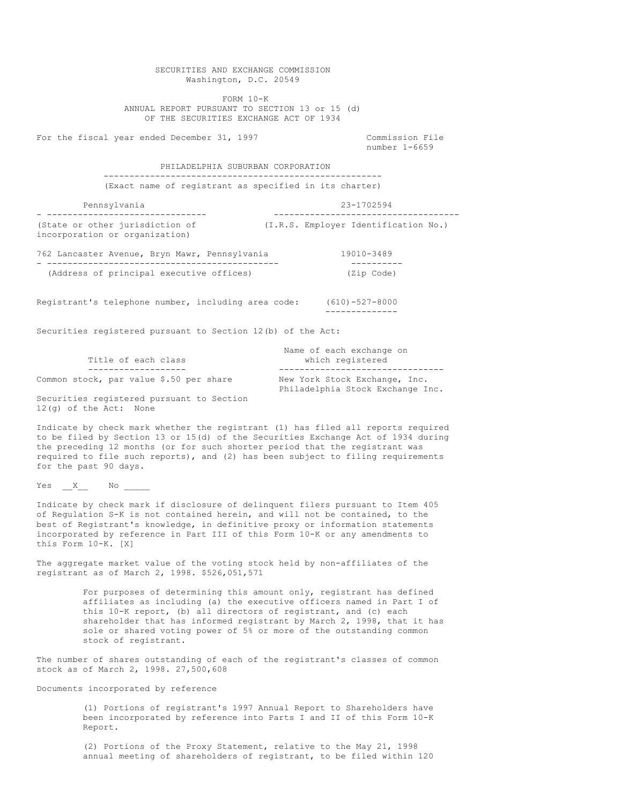SECURITIES AND EXCHANGE COMMISSION Washington, D.C. 20549 FORM 10-K ANNUAL REPORT PURSUANT TO SECTION 13 or 15 (d) OF THE SECURITIES EXCHANGE ACT OF 1934 For the fiscal year ended December 31, 1997 Commission File number 1-6659 PHILADELPHIA SUBURBAN CORPORATION ------------------------------------------------------ (Exact name of registrant as specified in its charter) Pennsylvania 23-1702594 - ------------------------------- ------------------------------------ (State or other jurisdiction of (I.R.S. Employer Identification No.) incorporation or organization) 762 Lancaster Avenue, Bryn Mawr, Pennsylvania 19010-3489 - --------------------------------------------- ---------- (Address of principal executive offices) Registrant's telephone number, including area code: (610)-527-8000 -------------- Securities registered pursuant to Section 12(b) of the Act: Name of each exchange on Title of each class which registered ------------------- -------------------------------- Common stock, par value \$.50 per share New York Stock Exchange, Inc. Philadelphia Stock Exchange Inc. Securities registered pursuant to Section 12(g) of the Act: None Indicate by check mark whether the registrant (1) has filed all reports required to be filed by Section 13 or 15(d) of the Securities Exchange Act of 1934 during

the preceding 12 months (or for such shorter period that the registrant was required to file such reports), and (2) has been subject to filing requirements for the past 90 days.

Yes  $X$  No

Indicate by check mark if disclosure of delinquent filers pursuant to Item 405 of Regulation S-K is not contained herein, and will not be contained, to the best of Registrant's knowledge, in definitive proxy or information statements incorporated by reference in Part III of this Form 10-K or any amendments to this Form 10-K. [X]

The aggregate market value of the voting stock held by non-affiliates of the registrant as of March 2, 1998. \$526,051,571

> For purposes of determining this amount only, registrant has defined affiliates as including (a) the executive officers named in Part I of this 10-K report, (b) all directors of registrant, and (c) each shareholder that has informed registrant by March 2, 1998, that it has sole or shared voting power of 5% or more of the outstanding common stock of registrant.

The number of shares outstanding of each of the registrant's classes of common stock as of March 2, 1998. 27,500,608

Documents incorporated by reference

(1) Portions of registrant's 1997 Annual Report to Shareholders have been incorporated by reference into Parts I and II of this Form 10-K Report.

(2) Portions of the Proxy Statement, relative to the May 21, 1998 annual meeting of shareholders of registrant, to be filed within 120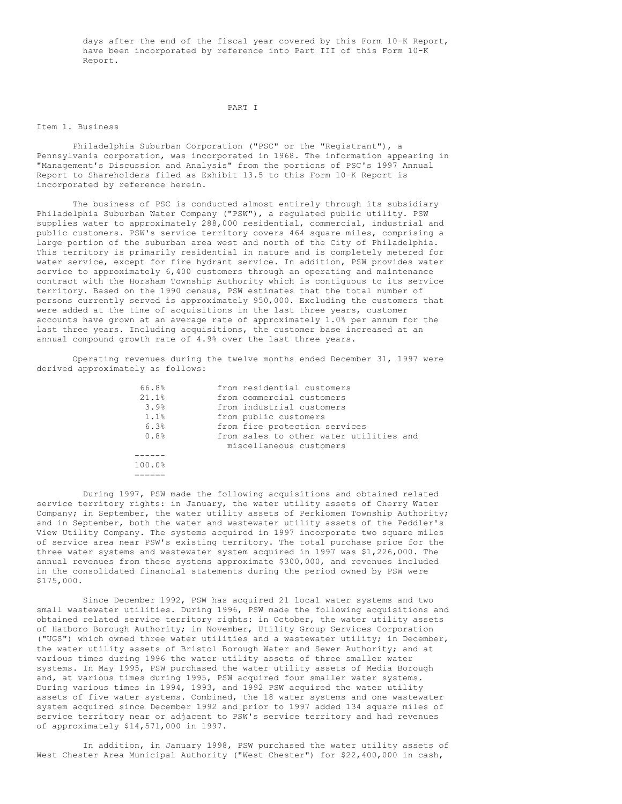days after the end of the fiscal year covered by this Form 10-K Report, have been incorporated by reference into Part III of this Form 10-K Report.

#### PART I

#### Item 1. Business

Philadelphia Suburban Corporation ("PSC" or the "Registrant"), a Pennsylvania corporation, was incorporated in 1968. The information appearing in "Management's Discussion and Analysis" from the portions of PSC's 1997 Annual Report to Shareholders filed as Exhibit 13.5 to this Form 10-K Report is incorporated by reference herein.

The business of PSC is conducted almost entirely through its subsidiary Philadelphia Suburban Water Company ("PSW"), a regulated public utility. PSW supplies water to approximately 288,000 residential, commercial, industrial and public customers. PSW's service territory covers 464 square miles, comprising a large portion of the suburban area west and north of the City of Philadelphia. This territory is primarily residential in nature and is completely metered for water service, except for fire hydrant service. In addition, PSW provides water service to approximately 6,400 customers through an operating and maintenance contract with the Horsham Township Authority which is contiguous to its service territory. Based on the 1990 census, PSW estimates that the total number of persons currently served is approximately 950,000. Excluding the customers that were added at the time of acquisitions in the last three years, customer accounts have grown at an average rate of approximately 1.0% per annum for the last three years. Including acquisitions, the customer base increased at an annual compound growth rate of 4.9% over the last three years.

Operating revenues during the twelve months ended December 31, 1997 were derived approximately as follows:

| 66.8%  | from residential customers              |
|--------|-----------------------------------------|
| 21.1%  | from commercial customers               |
| 3.9%   | from industrial customers               |
| 1.1%   | from public customers                   |
| 6.3%   | from fire protection services           |
| 0.8%   | from sales to other water utilities and |
|        | miscellaneous customers                 |
|        |                                         |
| 100.0% |                                         |
|        |                                         |
|        |                                         |

During 1997, PSW made the following acquisitions and obtained related service territory rights: in January, the water utility assets of Cherry Water Company; in September, the water utility assets of Perkiomen Township Authority; and in September, both the water and wastewater utility assets of the Peddler's View Utility Company. The systems acquired in 1997 incorporate two square miles of service area near PSW's existing territory. The total purchase price for the three water systems and wastewater system acquired in 1997 was \$1,226,000. The annual revenues from these systems approximate \$300,000, and revenues included in the consolidated financial statements during the period owned by PSW were \$175,000.

100.0%

Since December 1992, PSW has acquired 21 local water systems and two small wastewater utilities. During 1996, PSW made the following acquisitions and obtained related service territory rights: in October, the water utility assets of Hatboro Borough Authority; in November, Utility Group Services Corporation ("UGS") which owned three water utilities and a wastewater utility; in December, the water utility assets of Bristol Borough Water and Sewer Authority; and at various times during 1996 the water utility assets of three smaller water systems. In May 1995, PSW purchased the water utility assets of Media Borough and, at various times during 1995, PSW acquired four smaller water systems. During various times in 1994, 1993, and 1992 PSW acquired the water utility assets of five water systems. Combined, the 18 water systems and one wastewater system acquired since December 1992 and prior to 1997 added 134 square miles of service territory near or adjacent to PSW's service territory and had revenues of approximately \$14,571,000 in 1997.

In addition, in January 1998, PSW purchased the water utility assets of West Chester Area Municipal Authority ("West Chester") for \$22,400,000 in cash,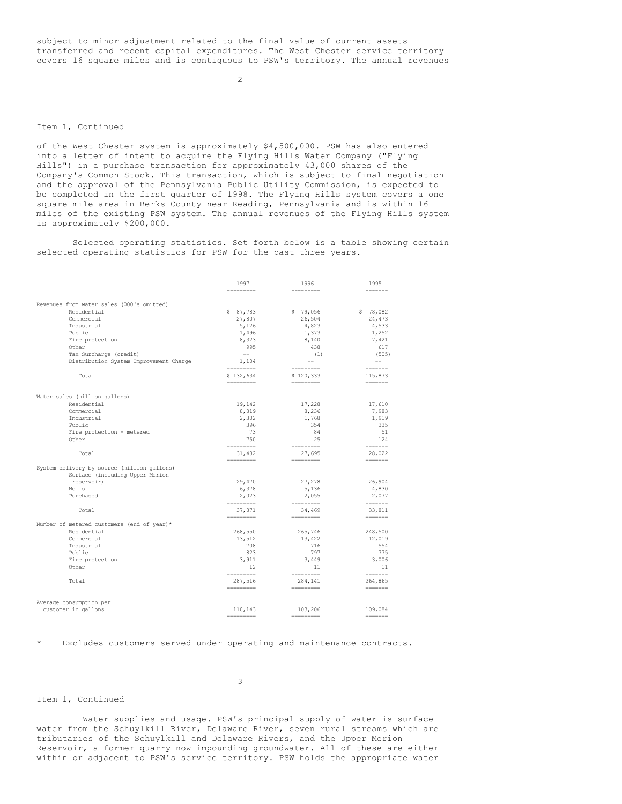subject to minor adjustment related to the final value of current assets transferred and recent capital expenditures. The West Chester service territory covers 16 square miles and is contiguous to PSW's territory. The annual revenues

 $\mathcal{L}$ 

#### Item 1, Continued

of the West Chester system is approximately \$4,500,000. PSW has also entered into a letter of intent to acquire the Flying Hills Water Company ("Flying Hills") in a purchase transaction for approximately 43,000 shares of the Company's Common Stock. This transaction, which is subject to final negotiation and the approval of the Pennsylvania Public Utility Commission, is expected to be completed in the first quarter of 1998. The Flying Hills system covers a one square mile area in Berks County near Reading, Pennsylvania and is within 16 miles of the existing PSW system. The annual revenues of the Flying Hills system is approximately \$200,000.

Selected operating statistics. Set forth below is a table showing certain selected operating statistics for PSW for the past three years.

|                                             | 1997                   | 1996                   | 1995                                                                                                                                            |
|---------------------------------------------|------------------------|------------------------|-------------------------------------------------------------------------------------------------------------------------------------------------|
|                                             | -------                | ---------              | -------                                                                                                                                         |
| Revenues from water sales (000's omitted)   |                        |                        |                                                                                                                                                 |
| Residential                                 | \$87,783               | \$79,056               |                                                                                                                                                 |
|                                             |                        |                        | \$78,082                                                                                                                                        |
| Commercial                                  | 27,807                 | 26,504                 | 24,473                                                                                                                                          |
| Industrial                                  | 5,126                  | 4,823                  | 4,533                                                                                                                                           |
| Public                                      | 1,496                  | 1,373                  | 1,252                                                                                                                                           |
| Fire protection                             | 8,323                  | 8,140                  | 7,421                                                                                                                                           |
| Other                                       | 995                    | 438                    | 617                                                                                                                                             |
| Tax Surcharge (credit)                      | $\sim$ $-$             | (1)                    | (505)                                                                                                                                           |
| Distribution System Improvement Charge      | 1,104                  | $-  \sim$              | $--$                                                                                                                                            |
| Total                                       | ---------<br>\$132,634 | ----------             | 115,873                                                                                                                                         |
|                                             | <b>HEREBERG</b>        | \$120,333<br>--------- | <b>HERE HERE</b>                                                                                                                                |
|                                             |                        |                        |                                                                                                                                                 |
| Water sales (million gallons)               |                        |                        |                                                                                                                                                 |
| Residential                                 | 19,142                 | 17,228                 | 17,610                                                                                                                                          |
| Commercial                                  | 8,819                  | 8,236                  | 7,983                                                                                                                                           |
| Industrial                                  | 2,302                  | 1,768                  | 1,919                                                                                                                                           |
| Public                                      | 396                    | 354                    | 335                                                                                                                                             |
| Fire protection - metered                   | - 73                   | 84                     | 51                                                                                                                                              |
| Other                                       | 750                    | 25                     | 124                                                                                                                                             |
|                                             | ---------              | <b>CONTRACTOR</b>      |                                                                                                                                                 |
| Total                                       | 31,482                 | 27,695                 | 28,022                                                                                                                                          |
| System delivery by source (million gallons) |                        |                        | =======                                                                                                                                         |
| Surface (including Upper Merion             |                        |                        |                                                                                                                                                 |
|                                             | 29,470                 | 27,278                 | 26,904                                                                                                                                          |
| reservoir)                                  |                        |                        |                                                                                                                                                 |
| Wells                                       | 6,378                  | 5,136                  | 4,830                                                                                                                                           |
| Purchased                                   | 2,023<br>---------     | 2,055<br>---------     | 2,077<br>$\begin{tabular}{ccccc} \multicolumn{2}{c }{\multicolumn{2}{c }{\multicolumn{2}{c }{\multicolumn{2}{c}}{\qquad \qquad }}\end{tabular}$ |
| Total                                       | 37,871                 | 34,469                 | 33,811                                                                                                                                          |
|                                             | =========              | =========              | =======                                                                                                                                         |
| Number of metered customers (end of year)*  |                        |                        |                                                                                                                                                 |
| Residential                                 | 268,550                | 265,746                | 248,500                                                                                                                                         |
| Commercial                                  | 13,512                 | 13,422                 | 12,019                                                                                                                                          |
| Industrial                                  | 708                    | 716                    | 554                                                                                                                                             |
| Public                                      | 823                    | 797                    | 775                                                                                                                                             |
| Fire protection                             | 3,911                  | 3,449                  | 3,006                                                                                                                                           |
| Other                                       | 12                     | 11                     | 11                                                                                                                                              |
|                                             | ----------             | ---------              | $- - - - - - -$                                                                                                                                 |
| Total                                       | 287,516<br>=========   | 284,141<br>=========   | 264,865                                                                                                                                         |
|                                             |                        |                        |                                                                                                                                                 |
| Average consumption per                     |                        |                        |                                                                                                                                                 |
| customer in gallons                         | 110,143                | 103,206                | 109,084                                                                                                                                         |
|                                             | =========              |                        | =======                                                                                                                                         |

Excludes customers served under operating and maintenance contracts.

Item 1, Continued

Water supplies and usage. PSW's principal supply of water is surface water from the Schuylkill River, Delaware River, seven rural streams which are tributaries of the Schuylkill and Delaware Rivers, and the Upper Merion Reservoir, a former quarry now impounding groundwater. All of these are either within or adjacent to PSW's service territory. PSW holds the appropriate water

# 3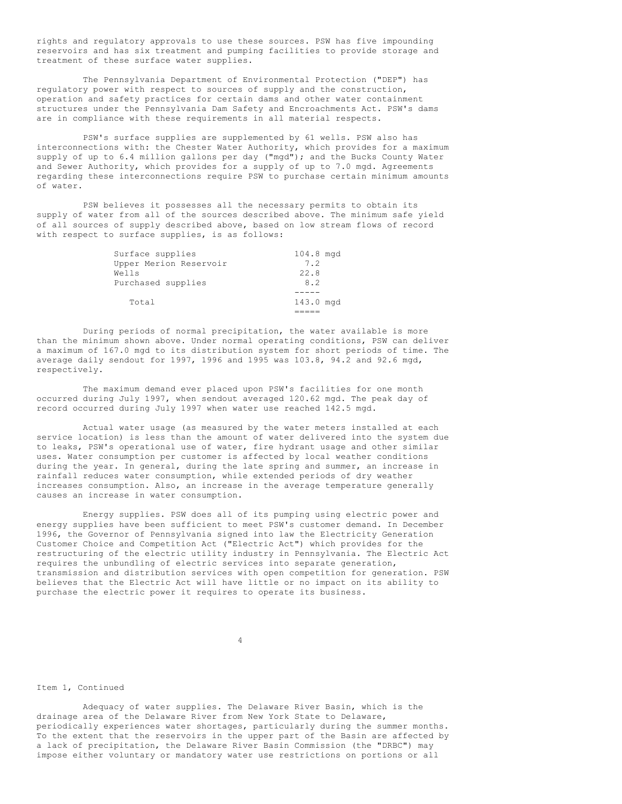rights and regulatory approvals to use these sources. PSW has five impounding reservoirs and has six treatment and pumping facilities to provide storage and treatment of these surface water supplies.

The Pennsylvania Department of Environmental Protection ("DEP") has regulatory power with respect to sources of supply and the construction, operation and safety practices for certain dams and other water containment structures under the Pennsylvania Dam Safety and Encroachments Act. PSW's dams are in compliance with these requirements in all material respects.

PSW's surface supplies are supplemented by 61 wells. PSW also has interconnections with: the Chester Water Authority, which provides for a maximum supply of up to 6.4 million gallons per day ("mgd"); and the Bucks County Water and Sewer Authority, which provides for a supply of up to 7.0 mgd. Agreements regarding these interconnections require PSW to purchase certain minimum amounts of water.

PSW believes it possesses all the necessary permits to obtain its supply of water from all of the sources described above. The minimum safe yield of all sources of supply described above, based on low stream flows of record with respect to surface supplies, is as follows:

| Surface supplies       | 104.8 mgd |
|------------------------|-----------|
| Upper Merion Reservoir | 7.2       |
| Wells                  | 22.8      |
| Purchased supplies     | 8.2       |
|                        |           |
| Total                  | 143.0 mgd |
|                        |           |

During periods of normal precipitation, the water available is more than the minimum shown above. Under normal operating conditions, PSW can deliver a maximum of 167.0 mgd to its distribution system for short periods of time. The average daily sendout for 1997, 1996 and 1995 was 103.8, 94.2 and 92.6 mgd, respectively.

The maximum demand ever placed upon PSW's facilities for one month occurred during July 1997, when sendout averaged 120.62 mgd. The peak day of record occurred during July 1997 when water use reached 142.5 mgd.

Actual water usage (as measured by the water meters installed at each service location) is less than the amount of water delivered into the system due to leaks, PSW's operational use of water, fire hydrant usage and other similar uses. Water consumption per customer is affected by local weather conditions during the year. In general, during the late spring and summer, an increase in rainfall reduces water consumption, while extended periods of dry weather increases consumption. Also, an increase in the average temperature generally causes an increase in water consumption.

Energy supplies. PSW does all of its pumping using electric power and energy supplies have been sufficient to meet PSW's customer demand. In December 1996, the Governor of Pennsylvania signed into law the Electricity Generation Customer Choice and Competition Act ("Electric Act") which provides for the restructuring of the electric utility industry in Pennsylvania. The Electric Act requires the unbundling of electric services into separate generation, transmission and distribution services with open competition for generation. PSW believes that the Electric Act will have little or no impact on its ability to purchase the electric power it requires to operate its business.

4

#### Item 1, Continued

Adequacy of water supplies. The Delaware River Basin, which is the drainage area of the Delaware River from New York State to Delaware, periodically experiences water shortages, particularly during the summer months. To the extent that the reservoirs in the upper part of the Basin are affected by a lack of precipitation, the Delaware River Basin Commission (the "DRBC") may impose either voluntary or mandatory water use restrictions on portions or all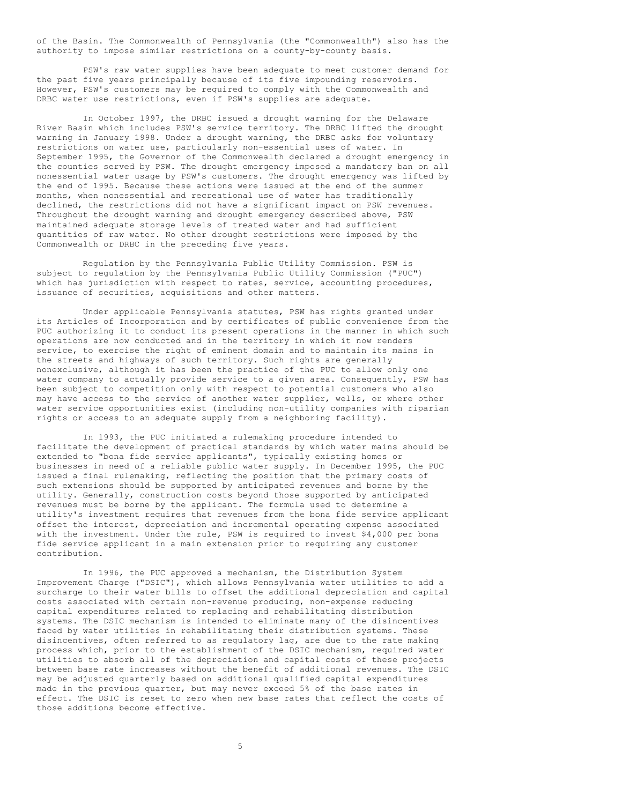of the Basin. The Commonwealth of Pennsylvania (the "Commonwealth") also has the authority to impose similar restrictions on a county-by-county basis.

PSW's raw water supplies have been adequate to meet customer demand for the past five years principally because of its five impounding reservoirs. However, PSW's customers may be required to comply with the Commonwealth and DRBC water use restrictions, even if PSW's supplies are adequate.

In October 1997, the DRBC issued a drought warning for the Delaware River Basin which includes PSW's service territory. The DRBC lifted the drought warning in January 1998. Under a drought warning, the DRBC asks for voluntary restrictions on water use, particularly non-essential uses of water. In September 1995, the Governor of the Commonwealth declared a drought emergency in the counties served by PSW. The drought emergency imposed a mandatory ban on all nonessential water usage by PSW's customers. The drought emergency was lifted by the end of 1995. Because these actions were issued at the end of the summer months, when nonessential and recreational use of water has traditionally declined, the restrictions did not have a significant impact on PSW revenues. Throughout the drought warning and drought emergency described above, PSW maintained adequate storage levels of treated water and had sufficient quantities of raw water. No other drought restrictions were imposed by the Commonwealth or DRBC in the preceding five years.

Regulation by the Pennsylvania Public Utility Commission. PSW is subject to regulation by the Pennsylvania Public Utility Commission ("PUC") which has jurisdiction with respect to rates, service, accounting procedures, issuance of securities, acquisitions and other matters.

Under applicable Pennsylvania statutes, PSW has rights granted under its Articles of Incorporation and by certificates of public convenience from the PUC authorizing it to conduct its present operations in the manner in which such operations are now conducted and in the territory in which it now renders service, to exercise the right of eminent domain and to maintain its mains in the streets and highways of such territory. Such rights are generally nonexclusive, although it has been the practice of the PUC to allow only one water company to actually provide service to a given area. Consequently, PSW has been subject to competition only with respect to potential customers who also may have access to the service of another water supplier, wells, or where other water service opportunities exist (including non-utility companies with riparian rights or access to an adequate supply from a neighboring facility).

In 1993, the PUC initiated a rulemaking procedure intended to facilitate the development of practical standards by which water mains should be extended to "bona fide service applicants", typically existing homes or businesses in need of a reliable public water supply. In December 1995, the PUC issued a final rulemaking, reflecting the position that the primary costs of such extensions should be supported by anticipated revenues and borne by the utility. Generally, construction costs beyond those supported by anticipated revenues must be borne by the applicant. The formula used to determine a utility's investment requires that revenues from the bona fide service applicant offset the interest, depreciation and incremental operating expense associated with the investment. Under the rule, PSW is required to invest \$4,000 per bona fide service applicant in a main extension prior to requiring any customer contribution.

In 1996, the PUC approved a mechanism, the Distribution System Improvement Charge ("DSIC"), which allows Pennsylvania water utilities to add a surcharge to their water bills to offset the additional depreciation and capital costs associated with certain non-revenue producing, non-expense reducing capital expenditures related to replacing and rehabilitating distribution systems. The DSIC mechanism is intended to eliminate many of the disincentives faced by water utilities in rehabilitating their distribution systems. These disincentives, often referred to as regulatory lag, are due to the rate making process which, prior to the establishment of the DSIC mechanism, required water utilities to absorb all of the depreciation and capital costs of these projects between base rate increases without the benefit of additional revenues. The DSIC may be adjusted quarterly based on additional qualified capital expenditures made in the previous quarter, but may never exceed 5% of the base rates in effect. The DSIC is reset to zero when new base rates that reflect the costs of those additions become effective.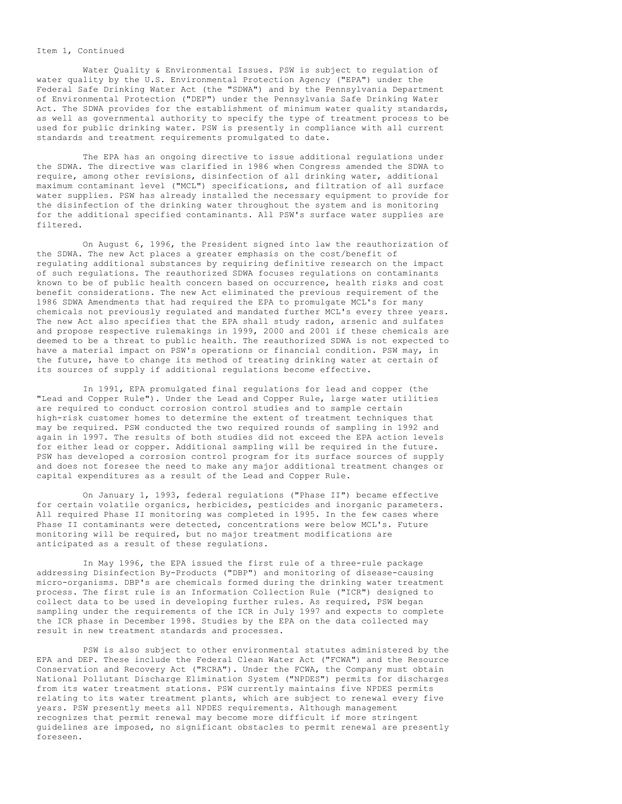#### Item 1, Continued

Water Quality & Environmental Issues. PSW is subject to regulation of water quality by the U.S. Environmental Protection Agency ("EPA") under the Federal Safe Drinking Water Act (the "SDWA") and by the Pennsylvania Department of Environmental Protection ("DEP") under the Pennsylvania Safe Drinking Water Act. The SDWA provides for the establishment of minimum water quality standards, as well as governmental authority to specify the type of treatment process to be used for public drinking water. PSW is presently in compliance with all current standards and treatment requirements promulgated to date.

The EPA has an ongoing directive to issue additional regulations under the SDWA. The directive was clarified in 1986 when Congress amended the SDWA to require, among other revisions, disinfection of all drinking water, additional maximum contaminant level ("MCL") specifications, and filtration of all surface water supplies. PSW has already installed the necessary equipment to provide for the disinfection of the drinking water throughout the system and is monitoring for the additional specified contaminants. All PSW's surface water supplies are filtered.

On August 6, 1996, the President signed into law the reauthorization of the SDWA. The new Act places a greater emphasis on the cost/benefit of regulating additional substances by requiring definitive research on the impact of such regulations. The reauthorized SDWA focuses regulations on contaminants known to be of public health concern based on occurrence, health risks and cost benefit considerations. The new Act eliminated the previous requirement of the 1986 SDWA Amendments that had required the EPA to promulgate MCL's for many chemicals not previously regulated and mandated further MCL's every three years. The new Act also specifies that the EPA shall study radon, arsenic and sulfates and propose respective rulemakings in 1999, 2000 and 2001 if these chemicals are deemed to be a threat to public health. The reauthorized SDWA is not expected to have a material impact on PSW's operations or financial condition. PSW may, in the future, have to change its method of treating drinking water at certain of its sources of supply if additional regulations become effective.

In 1991, EPA promulgated final regulations for lead and copper (the "Lead and Copper Rule"). Under the Lead and Copper Rule, large water utilities are required to conduct corrosion control studies and to sample certain high-risk customer homes to determine the extent of treatment techniques that may be required. PSW conducted the two required rounds of sampling in 1992 and again in 1997. The results of both studies did not exceed the EPA action levels for either lead or copper. Additional sampling will be required in the future. PSW has developed a corrosion control program for its surface sources of supply and does not foresee the need to make any major additional treatment changes or capital expenditures as a result of the Lead and Copper Rule.

On January 1, 1993, federal regulations ("Phase II") became effective for certain volatile organics, herbicides, pesticides and inorganic parameters. All required Phase II monitoring was completed in 1995. In the few cases where Phase II contaminants were detected, concentrations were below MCL's. Future monitoring will be required, but no major treatment modifications are anticipated as a result of these regulations.

In May 1996, the EPA issued the first rule of a three-rule package addressing Disinfection By-Products ("DBP") and monitoring of disease-causing micro-organisms. DBP's are chemicals formed during the drinking water treatment process. The first rule is an Information Collection Rule ("ICR") designed to collect data to be used in developing further rules. As required, PSW began sampling under the requirements of the ICR in July 1997 and expects to complete the ICR phase in December 1998. Studies by the EPA on the data collected may result in new treatment standards and processes.

PSW is also subject to other environmental statutes administered by the EPA and DEP. These include the Federal Clean Water Act ("FCWA") and the Resource Conservation and Recovery Act ("RCRA"). Under the FCWA, the Company must obtain National Pollutant Discharge Elimination System ("NPDES") permits for discharges from its water treatment stations. PSW currently maintains five NPDES permits relating to its water treatment plants, which are subject to renewal every five years. PSW presently meets all NPDES requirements. Although management recognizes that permit renewal may become more difficult if more stringent guidelines are imposed, no significant obstacles to permit renewal are presently foreseen.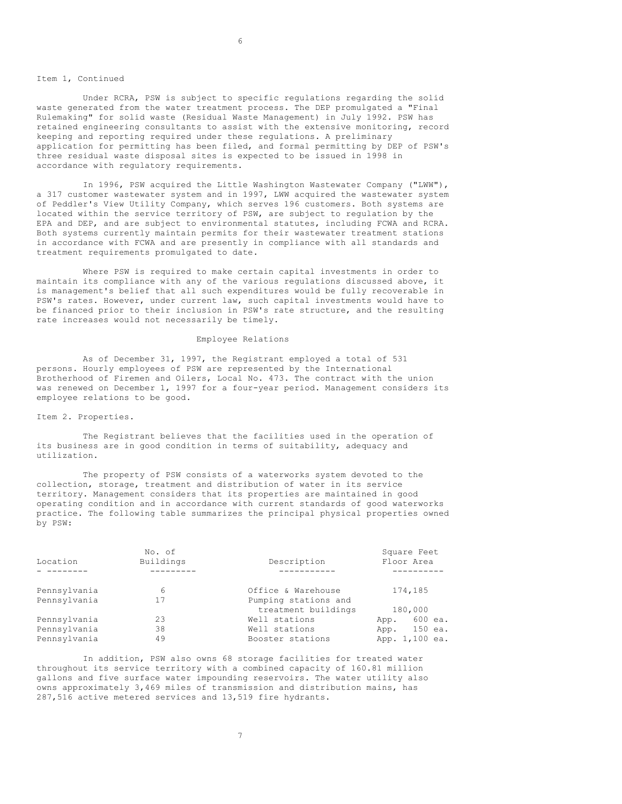#### Item 1, Continued

Under RCRA, PSW is subject to specific regulations regarding the solid waste generated from the water treatment process. The DEP promulgated a "Final Rulemaking" for solid waste (Residual Waste Management) in July 1992. PSW has retained engineering consultants to assist with the extensive monitoring, record keeping and reporting required under these regulations. A preliminary application for permitting has been filed, and formal permitting by DEP of PSW's three residual waste disposal sites is expected to be issued in 1998 in accordance with regulatory requirements.

In 1996, PSW acquired the Little Washington Wastewater Company ("LWW"), a 317 customer wastewater system and in 1997, LWW acquired the wastewater system of Peddler's View Utility Company, which serves 196 customers. Both systems are located within the service territory of PSW, are subject to regulation by the EPA and DEP, and are subject to environmental statutes, including FCWA and RCRA. Both systems currently maintain permits for their wastewater treatment stations in accordance with FCWA and are presently in compliance with all standards and treatment requirements promulgated to date.

Where PSW is required to make certain capital investments in order to maintain its compliance with any of the various regulations discussed above, it is management's belief that all such expenditures would be fully recoverable in PSW's rates. However, under current law, such capital investments would have to be financed prior to their inclusion in PSW's rate structure, and the resulting rate increases would not necessarily be timely.

#### Employee Relations

As of December 31, 1997, the Registrant employed a total of 531 persons. Hourly employees of PSW are represented by the International Brotherhood of Firemen and Oilers, Local No. 473. The contract with the union was renewed on December 1, 1997 for a four-year period. Management considers its employee relations to be good.

#### Item 2. Properties.

The Registrant believes that the facilities used in the operation of its business are in good condition in terms of suitability, adequacy and utilization.

The property of PSW consists of a waterworks system devoted to the collection, storage, treatment and distribution of water in its service territory. Management considers that its properties are maintained in good operating condition and in accordance with current standards of good waterworks practice. The following table summarizes the principal physical properties owned by PSW:

|              | No. of    |                      | Square Feet     |
|--------------|-----------|----------------------|-----------------|
| Location     | Buildings | Description          | Floor Area      |
|              |           |                      |                 |
| Pennsylvania | 6         | Office & Warehouse   | 174,185         |
| Pennsylvania | 17        | Pumping stations and |                 |
|              |           | treatment buildings  | 180,000         |
| Pennsylvania | 23        | Well stations        | 600 ea.<br>App. |
| Pennsylvania | 38        | Well stations        | 150 ea.<br>App. |
| Pennsylvania | 49        | Booster stations     | App. 1,100 ea.  |

In addition, PSW also owns 68 storage facilities for treated water throughout its service territory with a combined capacity of 160.81 million gallons and five surface water impounding reservoirs. The water utility also owns approximately 3,469 miles of transmission and distribution mains, has 287,516 active metered services and 13,519 fire hydrants.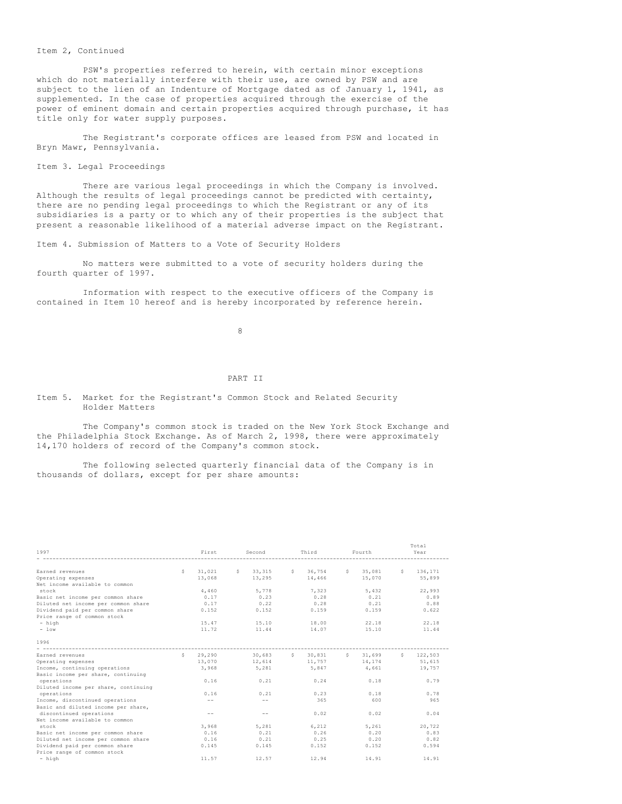#### Item 2, Continued

PSW's properties referred to herein, with certain minor exceptions which do not materially interfere with their use, are owned by PSW and are subject to the lien of an Indenture of Mortgage dated as of January 1, 1941, as supplemented. In the case of properties acquired through the exercise of the power of eminent domain and certain properties acquired through purchase, it has title only for water supply purposes.

The Registrant's corporate offices are leased from PSW and located in Bryn Mawr, Pennsylvania.

Item 3. Legal Proceedings

There are various legal proceedings in which the Company is involved. Although the results of legal proceedings cannot be predicted with certainty, there are no pending legal proceedings to which the Registrant or any of its subsidiaries is a party or to which any of their properties is the subject that present a reasonable likelihood of a material adverse impact on the Registrant.

Item 4. Submission of Matters to a Vote of Security Holders

No matters were submitted to a vote of security holders during the fourth quarter of 1997.

Information with respect to the executive officers of the Company is contained in Item 10 hereof and is hereby incorporated by reference herein.

8

#### PART II

# Item 5. Market for the Registrant's Common Stock and Related Security Holder Matters

The Company's common stock is traded on the New York Stock Exchange and the Philadelphia Stock Exchange. As of March 2, 1998, there were approximately 14,170 holders of record of the Company's common stock.

The following selected quarterly financial data of the Company is in thousands of dollars, except for per share amounts:

| 1997                                 |    | First  |   | Second  |   | Third         |              | Fourth        |   | Total<br>Year |
|--------------------------------------|----|--------|---|---------|---|---------------|--------------|---------------|---|---------------|
|                                      |    |        |   |         |   |               |              |               |   |               |
| Earned revenues                      | S. | 31,021 | S | 33, 315 | S | 36.754        | $\mathbb{S}$ | 35,081        | S | 136,171       |
| Operating expenses                   |    | 13,068 |   | 13,295  |   | 14,466        |              | 15,070        |   | 55,899        |
| Net income available to common       |    |        |   |         |   |               |              |               |   |               |
| stock                                |    | 4,460  |   | 5,778   |   | 7,323         |              | 5,432         |   | 22,993        |
| Basic net income per common share    |    | 0.17   |   | 0.23    |   | 0.28          |              | 0.21          |   | 0.89          |
| Diluted net income per common share  |    | 0.17   |   | 0.22    |   | 0.28          |              | 0.21          |   | 0.88          |
| Dividend paid per common share       |    | 0.152  |   | 0.152   |   | 0.159         |              | 0.159         |   | 0.622         |
| Price range of common stock          |    |        |   |         |   |               |              |               |   |               |
| - high                               |    | 15.47  |   | 15.10   |   | 18.00         |              | 22.18         |   | 22.18         |
| $-$ low                              |    | 11.72  |   | 11.44   |   | 14.07         |              | 15.10         |   | 11.44         |
| 1996                                 |    |        |   |         |   |               |              |               |   |               |
| -------------------------------      |    |        |   |         |   |               |              |               |   |               |
| Earned revenues                      | S  | 29,290 |   | 30,683  | S | 30,831        |              | $5 \t 31,699$ |   | \$122,503     |
| Operating expenses                   |    | 13,070 |   | 12.614  |   | 11.757 14.174 |              |               |   | 51,615        |
| Income, continuing operations        |    | 3,968  |   | 5,281   |   | 5,847         |              | 4,661         |   | 19,757        |
| Basic income per share, continuing   |    |        |   |         |   |               |              |               |   |               |
| operations                           |    | 0.16   |   | 0.21    |   | 0.24          |              | 0.18          |   | 0.79          |
| Diluted income per share, continuing |    |        |   |         |   |               |              |               |   |               |
| operations                           |    | 0.16   |   | 0.21    |   | 0.23          |              | 0.18          |   | 0.78          |
| Income, discontinued operations      |    | $- -$  |   | $- -$   |   | 365           |              | 600           |   | 965           |
| Basic and diluted income per share,  |    |        |   |         |   |               |              |               |   |               |
| discontinued operations              |    | $- -$  |   | $- -$   |   | 0.02          |              | 0.02          |   | 0.04          |
| Net income available to common       |    |        |   |         |   |               |              |               |   |               |
| stock                                |    | 3,968  |   | 5.281   |   | 6.212         |              | 5.261         |   | 20.722        |
| Basic net income per common share    |    | 0.16   |   | 0.21    |   | 0.26          |              | 0.20          |   | 0.83          |
| Diluted net income per common share  |    | 0.16   |   | 0.21    |   | 0.25          |              | 0.20          |   | 0.82          |
| Dividend paid per common share       |    | 0.145  |   | 0.145   |   | 0.152         |              | 0.152         |   | 0.594         |
| Price range of common stock          |    |        |   |         |   |               |              |               |   |               |
| - high                               |    | 11.57  |   | 12.57   |   | 12.94         |              | 14.91         |   | 14.91         |
|                                      |    |        |   |         |   |               |              |               |   |               |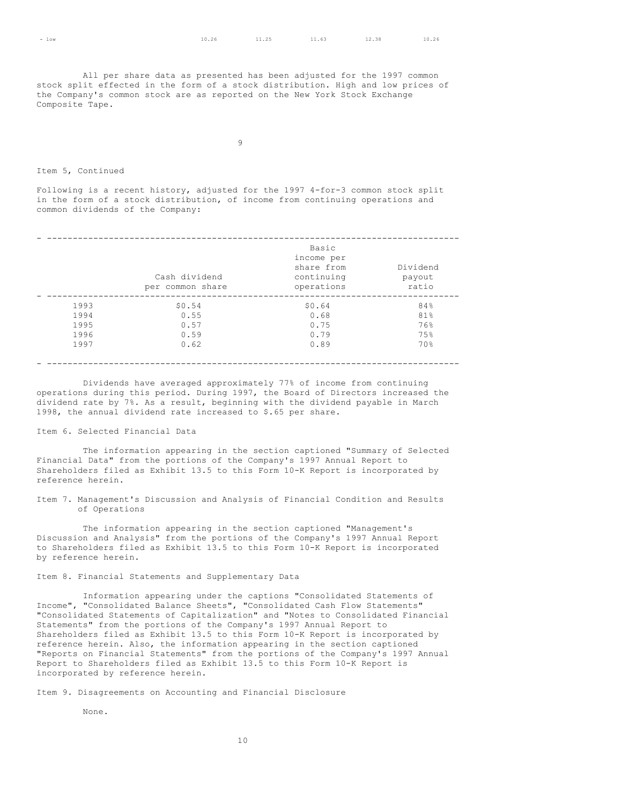All per share data as presented has been adjusted for the 1997 common stock split effected in the form of a stock distribution. High and low prices of the Company's common stock are as reported on the New York Stock Exchange Composite Tape.

9

#### Item 5, Continued

Following is a recent history, adjusted for the 1997 4-for-3 common stock split in the form of a stock distribution, of income from continuing operations and common dividends of the Company:

|      |                  | Basic<br>income per |          |
|------|------------------|---------------------|----------|
|      |                  | share from          | Dividend |
|      | Cash dividend    | continuing          | payout   |
|      | per common share | operations          | ratio    |
| 1993 | \$0.54           | \$0.64              | 84%      |
| 1994 | 0.55             | 0.68                | 81%      |
| 1995 | 0.57             | 0.75                | 76%      |
| 1996 | 0.59             | 0.79                | 75%      |
| 1997 | 0.62             | 0.89                | 70%      |
|      |                  |                     |          |

#### - --------------------------------------------------------------------------------

Dividends have averaged approximately 77% of income from continuing operations during this period. During 1997, the Board of Directors increased the dividend rate by 7%. As a result, beginning with the dividend payable in March 1998, the annual dividend rate increased to \$.65 per share.

# Item 6. Selected Financial Data

The information appearing in the section captioned "Summary of Selected Financial Data" from the portions of the Company's 1997 Annual Report to Shareholders filed as Exhibit 13.5 to this Form 10-K Report is incorporated by reference herein.

Item 7. Management's Discussion and Analysis of Financial Condition and Results of Operations

The information appearing in the section captioned "Management's Discussion and Analysis" from the portions of the Company's 1997 Annual Report to Shareholders filed as Exhibit 13.5 to this Form 10-K Report is incorporated by reference herein.

Item 8. Financial Statements and Supplementary Data

Information appearing under the captions "Consolidated Statements of Income", "Consolidated Balance Sheets", "Consolidated Cash Flow Statements" "Consolidated Statements of Capitalization" and "Notes to Consolidated Financial Statements" from the portions of the Company's 1997 Annual Report to Shareholders filed as Exhibit 13.5 to this Form 10-K Report is incorporated by reference herein. Also, the information appearing in the section captioned "Reports on Financial Statements" from the portions of the Company's 1997 Annual Report to Shareholders filed as Exhibit 13.5 to this Form 10-K Report is incorporated by reference herein.

Item 9. Disagreements on Accounting and Financial Disclosure

None.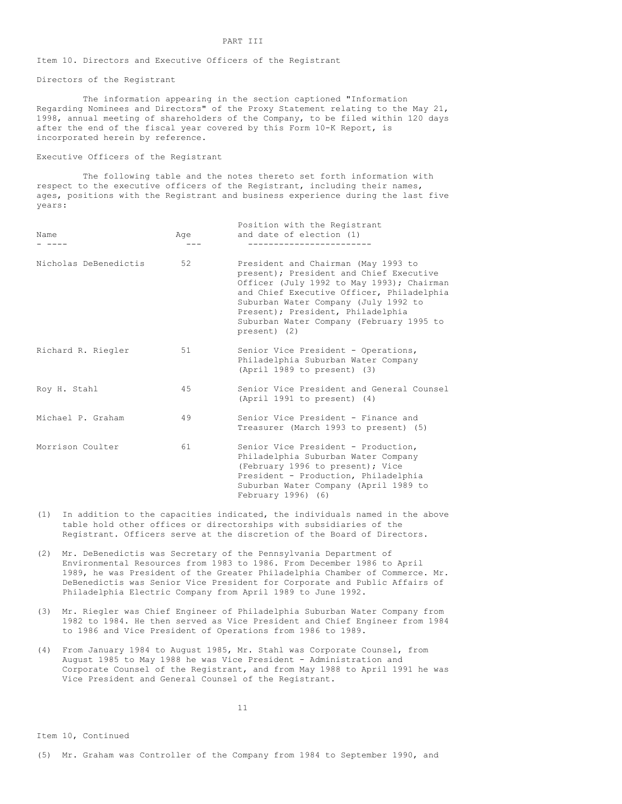#### PART III

Item 10. Directors and Executive Officers of the Registrant

Directors of the Registrant

The information appearing in the section captioned "Information Regarding Nominees and Directors" of the Proxy Statement relating to the May 21, 1998, annual meeting of shareholders of the Company, to be filed within 120 days after the end of the fiscal year covered by this Form 10-K Report, is incorporated herein by reference.

#### Executive Officers of the Registrant

The following table and the notes thereto set forth information with respect to the executive officers of the Registrant, including their names, ages, positions with the Registrant and business experience during the last five years:

| Name                  | Age | Position with the Registrant<br>and date of election (1)                                                                                                                                                                                                                                                          |
|-----------------------|-----|-------------------------------------------------------------------------------------------------------------------------------------------------------------------------------------------------------------------------------------------------------------------------------------------------------------------|
| Nicholas DeBenedictis | 52  | President and Chairman (May 1993 to<br>present); President and Chief Executive<br>Officer (July 1992 to May 1993); Chairman<br>and Chief Executive Officer, Philadelphia<br>Suburban Water Company (July 1992 to<br>Present); President, Philadelphia<br>Suburban Water Company (February 1995 to<br>present) (2) |
| Richard R. Riegler    | 51  | Senior Vice President - Operations,<br>Philadelphia Suburban Water Company<br>(April 1989 to present) (3)                                                                                                                                                                                                         |
| Roy H. Stahl          | 45  | Senior Vice President and General Counsel<br>(April 1991 to present) (4)                                                                                                                                                                                                                                          |
| Michael P. Graham     | 49  | Senior Vice President - Finance and<br>Treasurer (March 1993 to present) (5)                                                                                                                                                                                                                                      |
| Morrison Coulter      | 61  | Senior Vice President - Production,<br>Philadelphia Suburban Water Company<br>(February 1996 to present); Vice<br>President - Production, Philadelphia<br>Suburban Water Company (April 1989 to<br>February 1996) (6)                                                                                             |

- (1) In addition to the capacities indicated, the individuals named in the above table hold other offices or directorships with subsidiaries of the Registrant. Officers serve at the discretion of the Board of Directors.
- (2) Mr. DeBenedictis was Secretary of the Pennsylvania Department of Environmental Resources from 1983 to 1986. From December 1986 to April 1989, he was President of the Greater Philadelphia Chamber of Commerce. Mr. DeBenedictis was Senior Vice President for Corporate and Public Affairs of Philadelphia Electric Company from April 1989 to June 1992.
- (3) Mr. Riegler was Chief Engineer of Philadelphia Suburban Water Company from 1982 to 1984. He then served as Vice President and Chief Engineer from 1984 to 1986 and Vice President of Operations from 1986 to 1989.
- (4) From January 1984 to August 1985, Mr. Stahl was Corporate Counsel, from August 1985 to May 1988 he was Vice President - Administration and Corporate Counsel of the Registrant, and from May 1988 to April 1991 he was Vice President and General Counsel of the Registrant.

11

Item 10, Continued

(5) Mr. Graham was Controller of the Company from 1984 to September 1990, and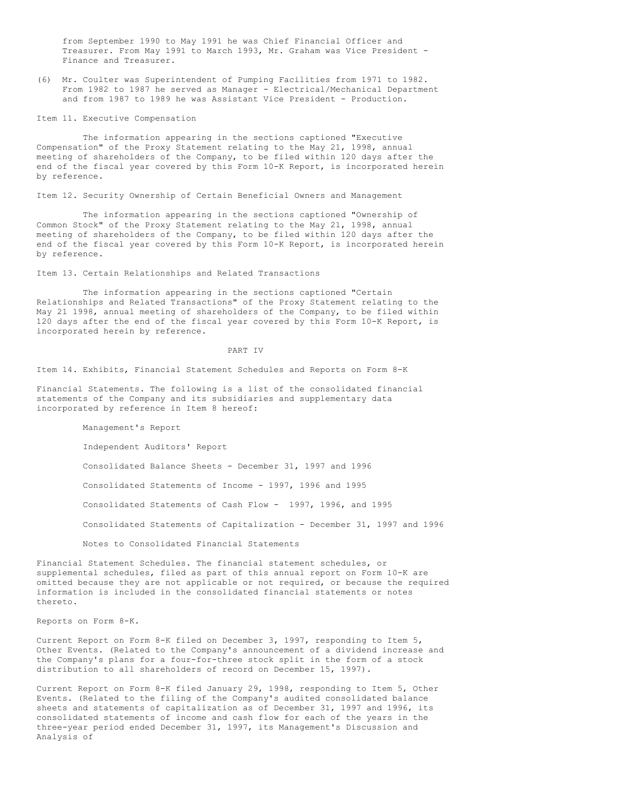from September 1990 to May 1991 he was Chief Financial Officer and Treasurer. From May 1991 to March 1993, Mr. Graham was Vice President - Finance and Treasurer.

(6) Mr. Coulter was Superintendent of Pumping Facilities from 1971 to 1982. From 1982 to 1987 he served as Manager - Electrical/Mechanical Department and from 1987 to 1989 he was Assistant Vice President - Production.

Item 11. Executive Compensation

The information appearing in the sections captioned "Executive Compensation" of the Proxy Statement relating to the May 21, 1998, annual meeting of shareholders of the Company, to be filed within 120 days after the end of the fiscal year covered by this Form 10-K Report, is incorporated herein by reference.

Item 12. Security Ownership of Certain Beneficial Owners and Management

The information appearing in the sections captioned "Ownership of Common Stock" of the Proxy Statement relating to the May 21, 1998, annual meeting of shareholders of the Company, to be filed within 120 days after the end of the fiscal year covered by this Form 10-K Report, is incorporated herein by reference.

Item 13. Certain Relationships and Related Transactions

The information appearing in the sections captioned "Certain Relationships and Related Transactions" of the Proxy Statement relating to the May 21 1998, annual meeting of shareholders of the Company, to be filed within 120 days after the end of the fiscal year covered by this Form 10-K Report, is incorporated herein by reference.

PART IV

Item 14. Exhibits, Financial Statement Schedules and Reports on Form 8-K

Financial Statements. The following is a list of the consolidated financial statements of the Company and its subsidiaries and supplementary data incorporated by reference in Item 8 hereof:

Management's Report

Independent Auditors' Report Consolidated Balance Sheets - December 31, 1997 and 1996 Consolidated Statements of Income - 1997, 1996 and 1995 Consolidated Statements of Cash Flow - 1997, 1996, and 1995 Consolidated Statements of Capitalization - December 31, 1997 and 1996 Notes to Consolidated Financial Statements

Financial Statement Schedules. The financial statement schedules, or supplemental schedules, filed as part of this annual report on Form 10-K are omitted because they are not applicable or not required, or because the required information is included in the consolidated financial statements or notes thereto.

Reports on Form 8-K.

Current Report on Form 8-K filed on December 3, 1997, responding to Item 5, Other Events. (Related to the Company's announcement of a dividend increase and the Company's plans for a four-for-three stock split in the form of a stock distribution to all shareholders of record on December 15, 1997).

Current Report on Form 8-K filed January 29, 1998, responding to Item 5, Other Events. (Related to the filing of the Company's audited consolidated balance sheets and statements of capitalization as of December 31, 1997 and 1996, its consolidated statements of income and cash flow for each of the years in the three-year period ended December 31, 1997, its Management's Discussion and Analysis of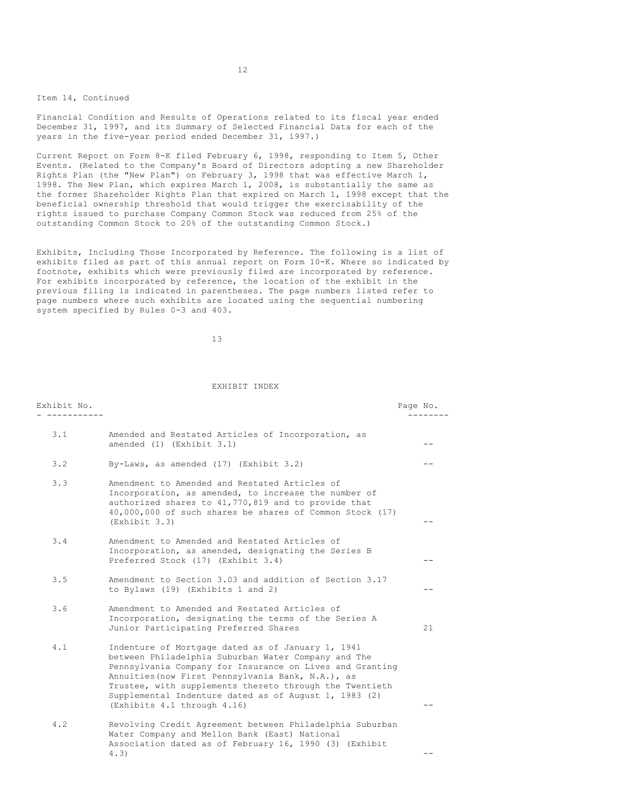### Item 14, Continued

Financial Condition and Results of Operations related to its fiscal year ended December 31, 1997, and its Summary of Selected Financial Data for each of the years in the five-year period ended December 31, 1997.)

Current Report on Form 8-K filed February 6, 1998, responding to Item 5, Other Events. (Related to the Company's Board of Directors adopting a new Shareholder Rights Plan (the "New Plan") on February 3, 1998 that was effective March 1, 1998. The New Plan, which expires March 1, 2008, is substantially the same as the former Shareholder Rights Plan that expired on March 1, 1998 except that the beneficial ownership threshold that would trigger the exercisability of the rights issued to purchase Company Common Stock was reduced from 25% of the outstanding Common Stock to 20% of the outstanding Common Stock.)

Exhibits, Including Those Incorporated by Reference. The following is a list of exhibits filed as part of this annual report on Form 10-K. Where so indicated by footnote, exhibits which were previously filed are incorporated by reference. For exhibits incorporated by reference, the location of the exhibit in the previous filing is indicated in parentheses. The page numbers listed refer to page numbers where such exhibits are located using the sequential numbering system specified by Rules 0-3 and 403.

13

#### EXHIBIT INDEX

| Exhibit No. |                                                                                                                                                                                                                                                                                                                                                                              | Page No. |
|-------------|------------------------------------------------------------------------------------------------------------------------------------------------------------------------------------------------------------------------------------------------------------------------------------------------------------------------------------------------------------------------------|----------|
| 3.1         | Amended and Restated Articles of Incorporation, as<br>amended $(1)$ (Exhibit $3.1$ )                                                                                                                                                                                                                                                                                         |          |
| 3.2         | By-Laws, as amended (17) (Exhibit 3.2)                                                                                                                                                                                                                                                                                                                                       |          |
| 3.3         | Amendment to Amended and Restated Articles of<br>Incorporation, as amended, to increase the number of<br>authorized shares to 41,770,819 and to provide that<br>40,000,000 of such shares be shares of Common Stock (17)<br>(Exhibit 3.3)                                                                                                                                    |          |
| 3.4         | Amendment to Amended and Restated Articles of<br>Incorporation, as amended, designating the Series B<br>Preferred Stock (17) (Exhibit 3.4)                                                                                                                                                                                                                                   |          |
| 3.5         | Amendment to Section 3.03 and addition of Section 3.17<br>to Bylaws (19) (Exhibits 1 and 2)                                                                                                                                                                                                                                                                                  | --       |
| 3.6         | Amendment to Amended and Restated Articles of<br>Incorporation, designating the terms of the Series A<br>Junior Participating Preferred Shares                                                                                                                                                                                                                               | 21       |
| 4.1         | Indenture of Mortgage dated as of January 1, 1941<br>between Philadelphia Suburban Water Company and The<br>Pennsylvania Company for Insurance on Lives and Granting<br>Annuities (now First Pennsylvania Bank, N.A.), as<br>Trustee, with supplements thereto through the Twentieth<br>Supplemental Indenture dated as of August 1, 1983 (2)<br>(Exhibits 4.1 through 4.16) |          |
| 4.2         | Revolving Credit Agreement between Philadelphia Suburban<br>Water Company and Mellon Bank (East) National<br>Association dated as of February 16, 1990 (3) (Exhibit                                                                                                                                                                                                          |          |
|             | 4.3)                                                                                                                                                                                                                                                                                                                                                                         |          |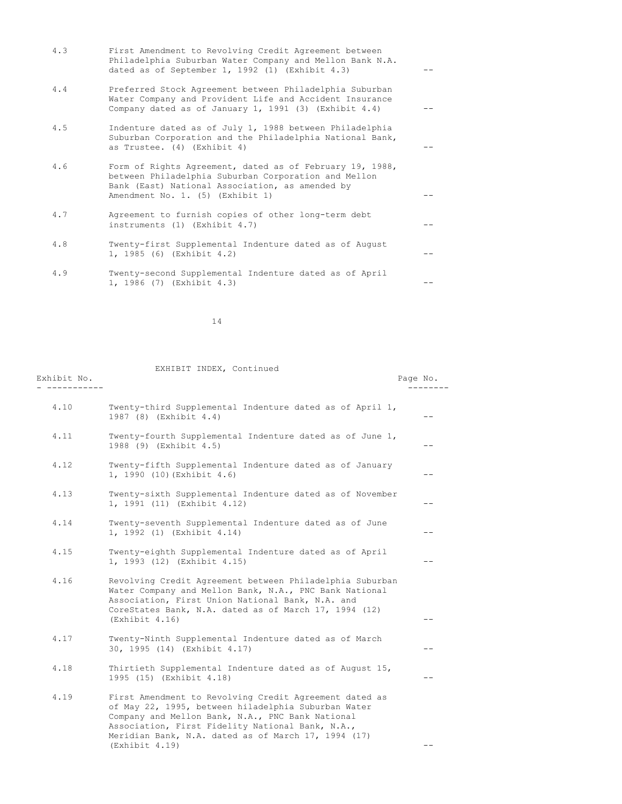| 4.3 | First Amendment to Revolving Credit Agreement between<br>Philadelphia Suburban Water Company and Mellon Bank N.A.<br>dated as of September 1, 1992 (1) (Exhibit $4.3$ )                                 |  |
|-----|---------------------------------------------------------------------------------------------------------------------------------------------------------------------------------------------------------|--|
| 4.4 | Preferred Stock Agreement between Philadelphia Suburban<br>Water Company and Provident Life and Accident Insurance<br>Company dated as of January 1, 1991 (3) (Exhibit $4.4$ )                          |  |
| 4.5 | Indenture dated as of July 1, 1988 between Philadelphia<br>Suburban Corporation and the Philadelphia National Bank,<br>as Trustee. (4) (Exhibit 4)                                                      |  |
| 4.6 | Form of Rights Agreement, dated as of February 19, 1988,<br>between Philadelphia Suburban Corporation and Mellon<br>Bank (East) National Association, as amended by<br>Amendment No. 1. (5) (Exhibit 1) |  |
| 4.7 | Agreement to furnish copies of other long-term debt<br>instruments $(1)$ (Exhibit 4.7)                                                                                                                  |  |
| 4.8 | Twenty-first Supplemental Indenture dated as of August<br>1, 1985 (6) (Exhibit 4.2)                                                                                                                     |  |
| 4.9 | Twenty-second Supplemental Indenture dated as of April<br>1, 1986 (7) (Exhibit 4.3)                                                                                                                     |  |

14

| Exhibit No. | EXHIBIT INDEX, Continued                                                                                                                                                                                                                                                                       | Page No. |
|-------------|------------------------------------------------------------------------------------------------------------------------------------------------------------------------------------------------------------------------------------------------------------------------------------------------|----------|
| 4.10        | Twenty-third Supplemental Indenture dated as of April 1,<br>1987 (8) (Exhibit 4.4)                                                                                                                                                                                                             | --       |
| 4.11        | Twenty-fourth Supplemental Indenture dated as of June 1,<br>1988 (9) (Exhibit 4.5)                                                                                                                                                                                                             | --       |
| 4.12        | Twenty-fifth Supplemental Indenture dated as of January<br>1, 1990 (10) (Exhibit 4.6)                                                                                                                                                                                                          | $- -$    |
| 4.13        | Twenty-sixth Supplemental Indenture dated as of November<br>1, 1991 (11) (Exhibit 4.12)                                                                                                                                                                                                        | --       |
| 4.14        | Twenty-seventh Supplemental Indenture dated as of June<br>1, 1992 (1) (Exhibit 4.14)                                                                                                                                                                                                           | --       |
| 4.15        | Twenty-eighth Supplemental Indenture dated as of April<br>1, 1993 (12) (Exhibit 4.15)                                                                                                                                                                                                          | --       |
| 4.16        | Revolving Credit Agreement between Philadelphia Suburban<br>Water Company and Mellon Bank, N.A., PNC Bank National<br>Association, First Union National Bank, N.A. and<br>CoreStates Bank, N.A. dated as of March 17, 1994 (12)<br>(Exhibit 4.16)                                              | --       |
| 4.17        | Twenty-Ninth Supplemental Indenture dated as of March<br>30, 1995 (14) (Exhibit 4.17)                                                                                                                                                                                                          |          |
| 4.18        | Thirtieth Supplemental Indenture dated as of August 15,<br>1995 (15) (Exhibit 4.18)                                                                                                                                                                                                            | $ -$     |
| 4.19        | First Amendment to Revolving Credit Agreement dated as<br>of May 22, 1995, between hiladelphia Suburban Water<br>Company and Mellon Bank, N.A., PNC Bank National<br>Association, First Fidelity National Bank, N.A.,<br>Meridian Bank, N.A. dated as of March 17, 1994 (17)<br>(Exhibit 4.19) | --       |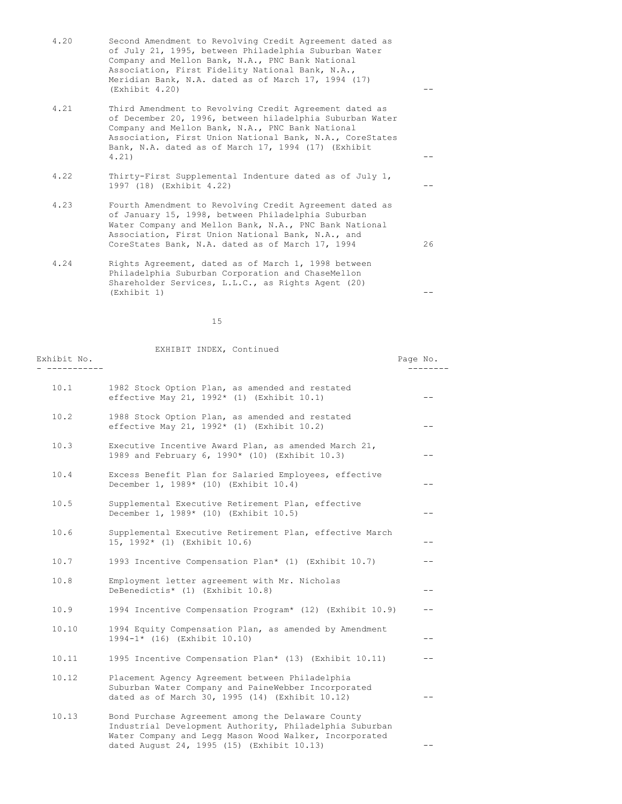|      | of July 21, 1995, between Philadelphia Suburban Water<br>Company and Mellon Bank, N.A., PNC Bank National<br>Association, First Fidelity National Bank, N.A.,<br>Meridian Bank, N.A. dated as of March 17, 1994 (17)<br>(Exhibit 4.20)                                                             |    |
|------|----------------------------------------------------------------------------------------------------------------------------------------------------------------------------------------------------------------------------------------------------------------------------------------------------|----|
| 4.21 | Third Amendment to Revolving Credit Agreement dated as<br>of December 20, 1996, between hiladelphia Suburban Water<br>Company and Mellon Bank, N.A., PNC Bank National<br>Association, First Union National Bank, N.A., CoreStates<br>Bank, N.A. dated as of March 17, 1994 (17) (Exhibit<br>4.21) |    |
| 4.22 | Thirty-First Supplemental Indenture dated as of July 1,<br>1997 (18) (Exhibit 4.22)                                                                                                                                                                                                                |    |
| 4.23 | Fourth Amendment to Revolving Credit Agreement dated as<br>of January 15, 1998, between Philadelphia Suburban<br>Water Company and Mellon Bank, N.A., PNC Bank National<br>Association, First Union National Bank, N.A., and<br>CoreStates Bank, N.A. dated as of March 17, 1994                   | 26 |
| 4.24 | Rights Agreement, dated as of March 1, 1998 between<br>Philadelphia Suburban Corporation and ChaseMellon<br>Shareholder Services, L.L.C., as Rights Agent (20)<br>(Exhibit 1)                                                                                                                      |    |

4.20 Second Amendment to Revolving Credit Agreement dated as

15

| Exhibit No. | EXHIBIT INDEX, Continued                                                                                                                                               | Page No. |
|-------------|------------------------------------------------------------------------------------------------------------------------------------------------------------------------|----------|
| 10.1        | 1982 Stock Option Plan, as amended and restated<br>effective May 21, 1992* (1) (Exhibit 10.1)                                                                          |          |
| 10.2        | 1988 Stock Option Plan, as amended and restated<br>effective May 21, 1992* (1) (Exhibit 10.2)                                                                          |          |
| 10.3        | Executive Incentive Award Plan, as amended March 21,<br>1989 and February 6, 1990* (10) (Exhibit 10.3)                                                                 | $ -$     |
| 10.4        | Excess Benefit Plan for Salaried Employees, effective<br>December 1, 1989* (10) (Exhibit 10.4)                                                                         | $- -$    |
| 10.5        | Supplemental Executive Retirement Plan, effective<br>December 1, 1989* (10) (Exhibit 10.5)                                                                             | --       |
| 10.6        | Supplemental Executive Retirement Plan, effective March<br>15, 1992* (1) (Exhibit 10.6)                                                                                | --       |
| 10.7        | 1993 Incentive Compensation Plan* (1) (Exhibit 10.7)                                                                                                                   | $-$      |
| 10.8        | Employment letter agreement with Mr. Nicholas<br>DeBenedictis* (1) (Exhibit 10.8)                                                                                      | $- -$    |
| 10.9        | 1994 Incentive Compensation Program* (12) (Exhibit 10.9)                                                                                                               |          |
| 10.10       | 1994 Equity Compensation Plan, as amended by Amendment<br>1994-1* (16) (Exhibit 10.10)                                                                                 | $ -$     |
| 10.11       | 1995 Incentive Compensation Plan* (13) (Exhibit 10.11)                                                                                                                 | $- -$    |
| 10.12       | Placement Agency Agreement between Philadelphia<br>Suburban Water Company and PaineWebber Incorporated<br>dated as of March 30, 1995 (14) (Exhibit 10.12)              | $- -$    |
| 10.13       | Bond Purchase Agreement among the Delaware County<br>Industrial Development Authority, Philadelphia Suburban<br>Water Company and Legg Mason Wood Walker, Incorporated |          |

dated August 24, 1995 (15) (Exhibit 10.13) --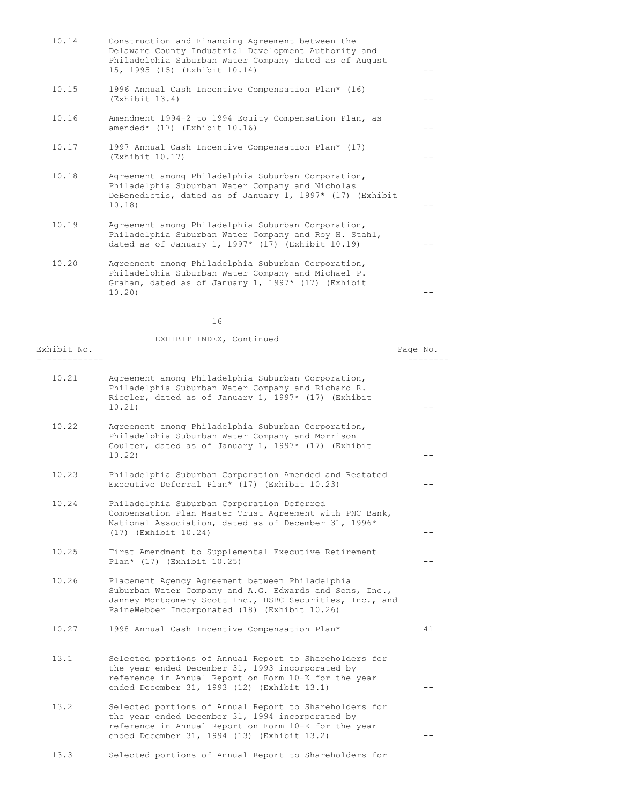| 10.14 | Construction and Financing Agreement between the<br>Delaware County Industrial Development Authority and<br>Philadelphia Suburban Water Company dated as of August<br>15, 1995 (15) (Exhibit 10.14) |  |
|-------|-----------------------------------------------------------------------------------------------------------------------------------------------------------------------------------------------------|--|
| 10.15 | 1996 Annual Cash Incentive Compensation Plan* (16)<br>(Exhibit 13.4)                                                                                                                                |  |
| 10.16 | Amendment 1994-2 to 1994 Equity Compensation Plan, as<br>amended* $(17)$ (Exhibit 10.16)                                                                                                            |  |
| 10.17 | 1997 Annual Cash Incentive Compensation Plan* (17)<br>(Exhibit 10.17)                                                                                                                               |  |
| 10.18 | Agreement among Philadelphia Suburban Corporation,<br>Philadelphia Suburban Water Company and Nicholas<br>DeBenedictis, dated as of January 1, $1997*$ (17) (Exhibit<br>10.18)                      |  |
| 10.19 | Agreement among Philadelphia Suburban Corporation,<br>Philadelphia Suburban Water Company and Roy H. Stahl,<br>dated as of January 1, $1997*$ (17) (Exhibit 10.19)                                  |  |
| 10.20 | Agreement among Philadelphia Suburban Corporation,<br>Philadelphia Suburban Water Company and Michael P.<br>Graham, dated as of January 1, 1997* (17) (Exhibit                                      |  |

 $10.20$ )  $-$ 

16

| 10.21<br>Agreement among Philadelphia Suburban Corporation,<br>Philadelphia Suburban Water Company and Richard R.<br>Riegler, dated as of January 1, 1997* (17) (Exhibit<br>10.21)<br>10.22<br>Agreement among Philadelphia Suburban Corporation,<br>Philadelphia Suburban Water Company and Morrison<br>Coulter, dated as of January 1, 1997* (17) (Exhibit<br>10.22<br>10.23<br>Philadelphia Suburban Corporation Amended and Restated<br>Executive Deferral Plan* (17) (Exhibit 10.23)<br>10.24<br>Philadelphia Suburban Corporation Deferred<br>Compensation Plan Master Trust Agreement with PNC Bank,<br>National Association, dated as of December 31, 1996*<br>(17) (Exhibit 10.24)<br>10.25<br>First Amendment to Supplemental Executive Retirement<br>Plan* (17) (Exhibit 10.25)<br>10.26<br>Placement Agency Agreement between Philadelphia<br>Suburban Water Company and A.G. Edwards and Sons, Inc.,<br>Janney Montgomery Scott Inc., HSBC Securities, Inc., and<br>PaineWebber Incorporated (18) (Exhibit 10.26)<br>10.27<br>1998 Annual Cash Incentive Compensation Plan*<br>41<br>13.1<br>Selected portions of Annual Report to Shareholders for<br>the year ended December 31, 1993 incorporated by<br>reference in Annual Report on Form 10-K for the year<br>ended December 31, 1993 (12) (Exhibit 13.1)<br>13.2<br>Selected portions of Annual Report to Shareholders for<br>the year ended December 31, 1994 incorporated by<br>reference in Annual Report on Form 10-K for the year<br>ended December 31, 1994 (13) (Exhibit 13.2) | Exhibit No. | EXHIBIT INDEX, Continued | Page No. |
|----------------------------------------------------------------------------------------------------------------------------------------------------------------------------------------------------------------------------------------------------------------------------------------------------------------------------------------------------------------------------------------------------------------------------------------------------------------------------------------------------------------------------------------------------------------------------------------------------------------------------------------------------------------------------------------------------------------------------------------------------------------------------------------------------------------------------------------------------------------------------------------------------------------------------------------------------------------------------------------------------------------------------------------------------------------------------------------------------------------------------------------------------------------------------------------------------------------------------------------------------------------------------------------------------------------------------------------------------------------------------------------------------------------------------------------------------------------------------------------------------------------------------------------------------------|-------------|--------------------------|----------|
|                                                                                                                                                                                                                                                                                                                                                                                                                                                                                                                                                                                                                                                                                                                                                                                                                                                                                                                                                                                                                                                                                                                                                                                                                                                                                                                                                                                                                                                                                                                                                          |             |                          |          |
|                                                                                                                                                                                                                                                                                                                                                                                                                                                                                                                                                                                                                                                                                                                                                                                                                                                                                                                                                                                                                                                                                                                                                                                                                                                                                                                                                                                                                                                                                                                                                          |             |                          |          |
|                                                                                                                                                                                                                                                                                                                                                                                                                                                                                                                                                                                                                                                                                                                                                                                                                                                                                                                                                                                                                                                                                                                                                                                                                                                                                                                                                                                                                                                                                                                                                          |             |                          |          |
|                                                                                                                                                                                                                                                                                                                                                                                                                                                                                                                                                                                                                                                                                                                                                                                                                                                                                                                                                                                                                                                                                                                                                                                                                                                                                                                                                                                                                                                                                                                                                          |             |                          |          |
|                                                                                                                                                                                                                                                                                                                                                                                                                                                                                                                                                                                                                                                                                                                                                                                                                                                                                                                                                                                                                                                                                                                                                                                                                                                                                                                                                                                                                                                                                                                                                          |             |                          |          |
|                                                                                                                                                                                                                                                                                                                                                                                                                                                                                                                                                                                                                                                                                                                                                                                                                                                                                                                                                                                                                                                                                                                                                                                                                                                                                                                                                                                                                                                                                                                                                          |             |                          |          |
|                                                                                                                                                                                                                                                                                                                                                                                                                                                                                                                                                                                                                                                                                                                                                                                                                                                                                                                                                                                                                                                                                                                                                                                                                                                                                                                                                                                                                                                                                                                                                          |             |                          |          |
|                                                                                                                                                                                                                                                                                                                                                                                                                                                                                                                                                                                                                                                                                                                                                                                                                                                                                                                                                                                                                                                                                                                                                                                                                                                                                                                                                                                                                                                                                                                                                          |             |                          |          |
|                                                                                                                                                                                                                                                                                                                                                                                                                                                                                                                                                                                                                                                                                                                                                                                                                                                                                                                                                                                                                                                                                                                                                                                                                                                                                                                                                                                                                                                                                                                                                          |             |                          |          |

13.3 Selected portions of Annual Report to Shareholders for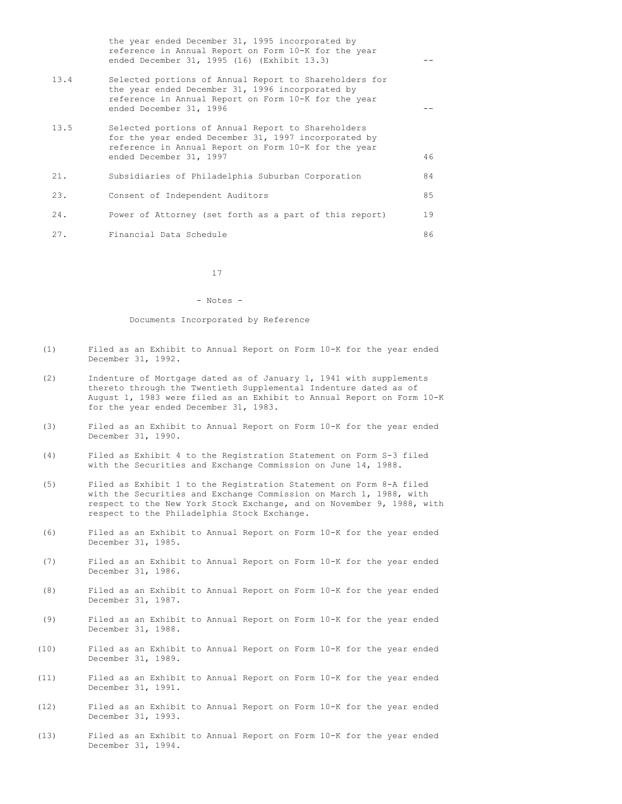|      | the year ended December 31, 1995 incorporated by<br>reference in Annual Report on Form 10-K for the year<br>ended December 31, 1995 (16) (Exhibit 13.3)                                       |    |
|------|-----------------------------------------------------------------------------------------------------------------------------------------------------------------------------------------------|----|
| 13.4 | Selected portions of Annual Report to Shareholders for<br>the year ended December 31, 1996 incorporated by<br>reference in Annual Report on Form 10-K for the year<br>ended December 31, 1996 |    |
| 13.5 | Selected portions of Annual Report to Shareholders<br>for the year ended December 31, 1997 incorporated by<br>reference in Annual Report on Form 10-K for the year<br>ended December 31, 1997 | 46 |
| 21.  | Subsidiaries of Philadelphia Suburban Corporation                                                                                                                                             | 84 |
| 23.  | Consent of Independent Auditors                                                                                                                                                               | 85 |
| 24.  | Power of Attorney (set forth as a part of this report)                                                                                                                                        | 19 |
| 27.  | Financial Data Schedule                                                                                                                                                                       | 86 |

17

#### - Notes -

#### Documents Incorporated by Reference

- (1) Filed as an Exhibit to Annual Report on Form 10-K for the year ended December 31, 1992.
- (2) Indenture of Mortgage dated as of January 1, 1941 with supplements thereto through the Twentieth Supplemental Indenture dated as of August 1, 1983 were filed as an Exhibit to Annual Report on Form 10-K for the year ended December 31, 1983.
- (3) Filed as an Exhibit to Annual Report on Form 10-K for the year ended December 31, 1990.
- (4) Filed as Exhibit 4 to the Registration Statement on Form S-3 filed with the Securities and Exchange Commission on June 14, 1988.
- (5) Filed as Exhibit 1 to the Registration Statement on Form 8-A filed with the Securities and Exchange Commission on March 1, 1988, with respect to the New York Stock Exchange, and on November 9, 1988, with respect to the Philadelphia Stock Exchange.
- (6) Filed as an Exhibit to Annual Report on Form 10-K for the year ended December 31, 1985.
- (7) Filed as an Exhibit to Annual Report on Form 10-K for the year ended December 31, 1986.
- (8) Filed as an Exhibit to Annual Report on Form 10-K for the year ended December 31, 1987.
- (9) Filed as an Exhibit to Annual Report on Form 10-K for the year ended December 31, 1988.
- (10) Filed as an Exhibit to Annual Report on Form 10-K for the year ended December 31, 1989.
- (11) Filed as an Exhibit to Annual Report on Form 10-K for the year ended December 31, 1991.
- (12) Filed as an Exhibit to Annual Report on Form 10-K for the year ended December 31, 1993.
- (13) Filed as an Exhibit to Annual Report on Form 10-K for the year ended December 31, 1994.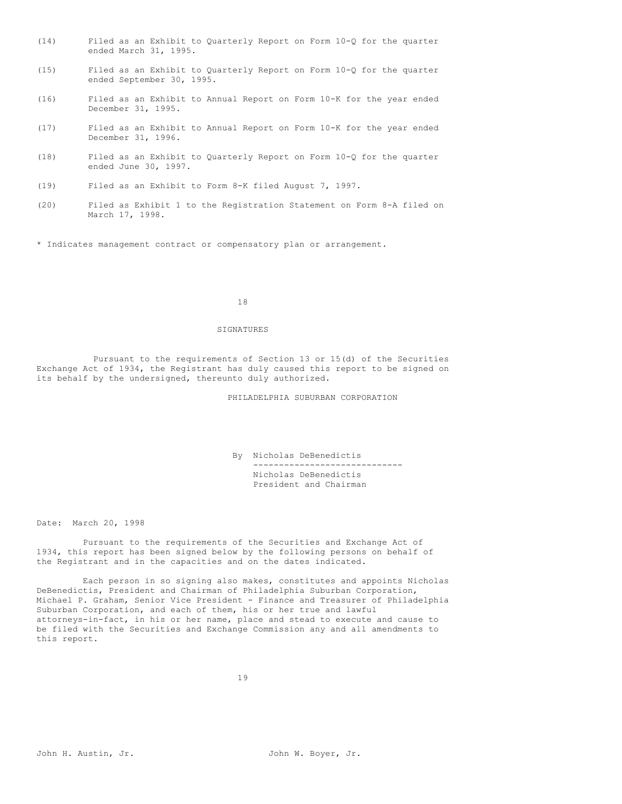- (14) Filed as an Exhibit to Quarterly Report on Form 10-Q for the quarter ended March 31, 1995.
- (15) Filed as an Exhibit to Quarterly Report on Form 10-Q for the quarter ended September 30, 1995.
- (16) Filed as an Exhibit to Annual Report on Form 10-K for the year ended December 31, 1995.
- (17) Filed as an Exhibit to Annual Report on Form 10-K for the year ended December 31, 1996.
- (18) Filed as an Exhibit to Quarterly Report on Form 10-Q for the quarter ended June 30, 1997.
- (19) Filed as an Exhibit to Form 8-K filed August 7, 1997.
- (20) Filed as Exhibit 1 to the Registration Statement on Form 8-A filed on March 17, 1998.

\* Indicates management contract or compensatory plan or arrangement.

#### 18

#### SIGNATURES

Pursuant to the requirements of Section 13 or 15(d) of the Securities Exchange Act of 1934, the Registrant has duly caused this report to be signed on its behalf by the undersigned, thereunto duly authorized.

PHILADELPHIA SUBURBAN CORPORATION

By Nicholas DeBenedictis ----------------------------- Nicholas DeBenedictis President and Chairman

Date: March 20, 1998

Pursuant to the requirements of the Securities and Exchange Act of 1934, this report has been signed below by the following persons on behalf of the Registrant and in the capacities and on the dates indicated.

Each person in so signing also makes, constitutes and appoints Nicholas DeBenedictis, President and Chairman of Philadelphia Suburban Corporation, Michael P. Graham, Senior Vice President - Finance and Treasurer of Philadelphia Suburban Corporation, and each of them, his or her true and lawful attorneys-in-fact, in his or her name, place and stead to execute and cause to be filed with the Securities and Exchange Commission any and all amendments to this report.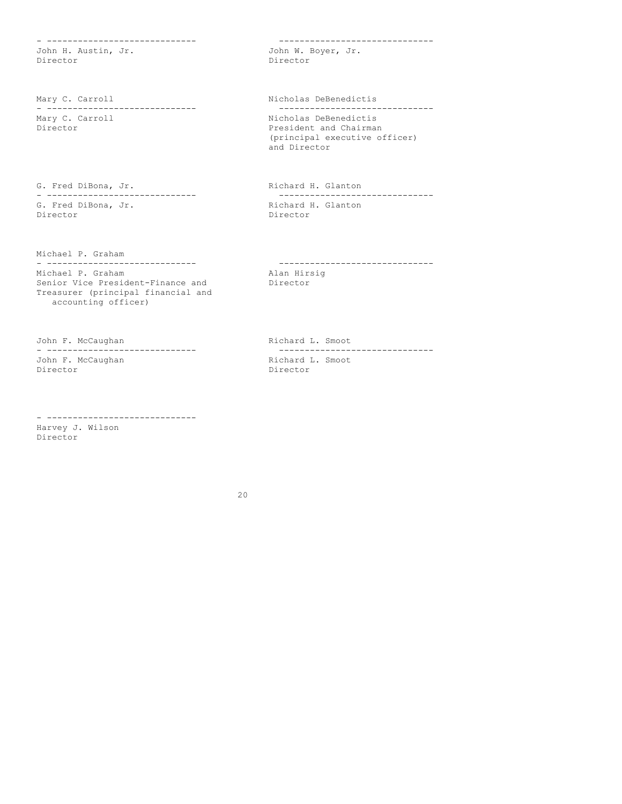- ----------------------------- ------------------------------ John H. Austin, Jr. Director Director

Mary C. Carroll **Nicholas DeBenedictis** - ----------------------------- ------------------------------ Director **President and Chairman** 

- ----------------------------- ------------------------------ G. Fred DiBona, Jr.<br>Director

Michael P. Graham

Michael P. Graham Senior Vice President-Finance and Director Treasurer (principal financial and accounting officer)

John F. McCaughan Manuel Communication Richard L. Smoot John F. McCaughan<br>Director

- ----------------------------- Harvey J. Wilson Director

Nicholas DeBenedictis (principal executive officer) and Director

G. Fred DiBona, Jr. Richard H. Glanton Director

- ----------------------------- ------------------------------

- ----------------------------- ------------------------------ Director

20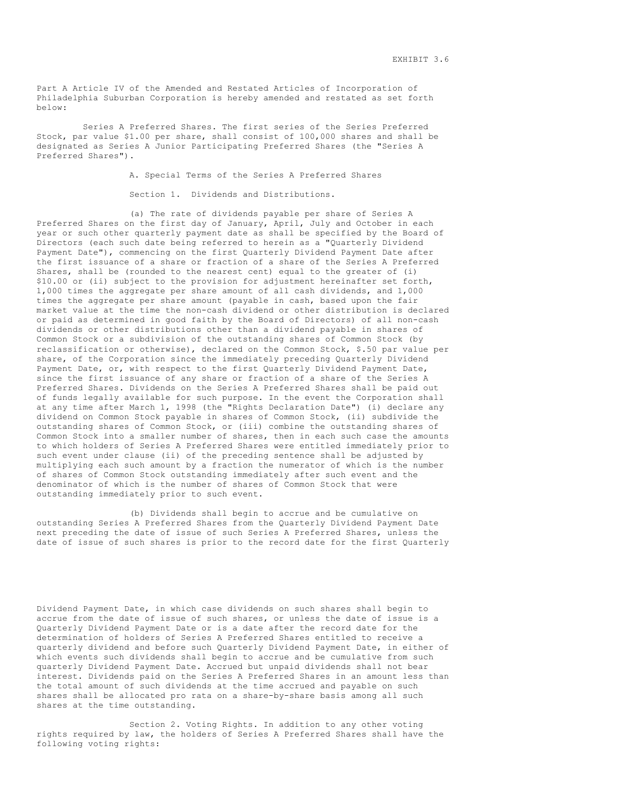Part A Article IV of the Amended and Restated Articles of Incorporation of Philadelphia Suburban Corporation is hereby amended and restated as set forth below:

Series A Preferred Shares. The first series of the Series Preferred Stock, par value \$1.00 per share, shall consist of 100,000 shares and shall be designated as Series A Junior Participating Preferred Shares (the "Series A Preferred Shares").

A. Special Terms of the Series A Preferred Shares

Section 1. Dividends and Distributions.

(a) The rate of dividends payable per share of Series A Preferred Shares on the first day of January, April, July and October in each year or such other quarterly payment date as shall be specified by the Board of Directors (each such date being referred to herein as a "Quarterly Dividend Payment Date"), commencing on the first Quarterly Dividend Payment Date after the first issuance of a share or fraction of a share of the Series A Preferred Shares, shall be (rounded to the nearest cent) equal to the greater of (i) \$10.00 or (ii) subject to the provision for adjustment hereinafter set forth, 1,000 times the aggregate per share amount of all cash dividends, and 1,000 times the aggregate per share amount (payable in cash, based upon the fair market value at the time the non-cash dividend or other distribution is declared or paid as determined in good faith by the Board of Directors) of all non-cash dividends or other distributions other than a dividend payable in shares of Common Stock or a subdivision of the outstanding shares of Common Stock (by reclassification or otherwise), declared on the Common Stock, \$.50 par value per share, of the Corporation since the immediately preceding Quarterly Dividend Payment Date, or, with respect to the first Quarterly Dividend Payment Date, since the first issuance of any share or fraction of a share of the Series A Preferred Shares. Dividends on the Series A Preferred Shares shall be paid out of funds legally available for such purpose. In the event the Corporation shall at any time after March 1, 1998 (the "Rights Declaration Date") (i) declare any dividend on Common Stock payable in shares of Common Stock, (ii) subdivide the outstanding shares of Common Stock, or (iii) combine the outstanding shares of Common Stock into a smaller number of shares, then in each such case the amounts to which holders of Series A Preferred Shares were entitled immediately prior to such event under clause (ii) of the preceding sentence shall be adjusted by multiplying each such amount by a fraction the numerator of which is the number of shares of Common Stock outstanding immediately after such event and the denominator of which is the number of shares of Common Stock that were outstanding immediately prior to such event.

(b) Dividends shall begin to accrue and be cumulative on outstanding Series A Preferred Shares from the Quarterly Dividend Payment Date next preceding the date of issue of such Series A Preferred Shares, unless the date of issue of such shares is prior to the record date for the first Quarterly

Dividend Payment Date, in which case dividends on such shares shall begin to accrue from the date of issue of such shares, or unless the date of issue is a Quarterly Dividend Payment Date or is a date after the record date for the determination of holders of Series A Preferred Shares entitled to receive a quarterly dividend and before such Quarterly Dividend Payment Date, in either of which events such dividends shall begin to accrue and be cumulative from such quarterly Dividend Payment Date. Accrued but unpaid dividends shall not bear interest. Dividends paid on the Series A Preferred Shares in an amount less than the total amount of such dividends at the time accrued and payable on such shares shall be allocated pro rata on a share-by-share basis among all such shares at the time outstanding.

Section 2. Voting Rights. In addition to any other voting rights required by law, the holders of Series A Preferred Shares shall have the following voting rights: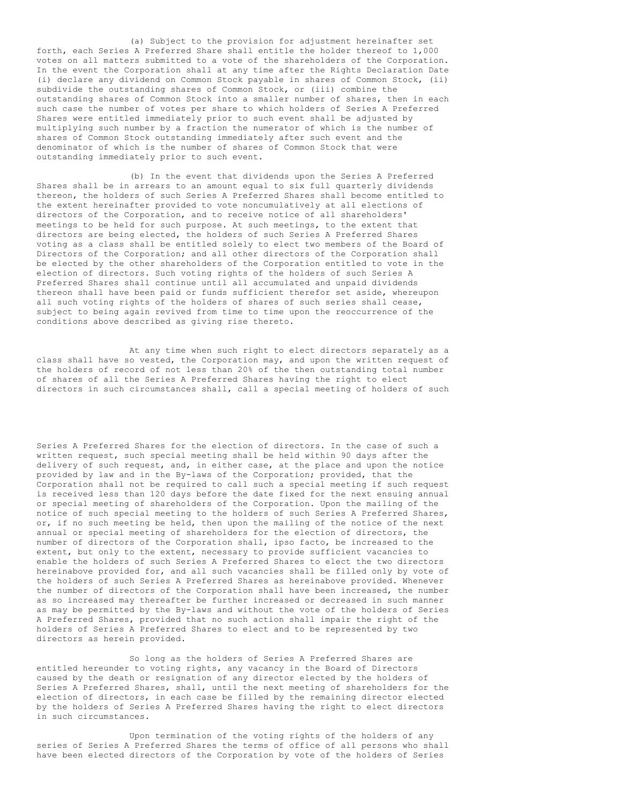(a) Subject to the provision for adjustment hereinafter set forth, each Series A Preferred Share shall entitle the holder thereof to 1,000 votes on all matters submitted to a vote of the shareholders of the Corporation. In the event the Corporation shall at any time after the Rights Declaration Date (i) declare any dividend on Common Stock payable in shares of Common Stock, (ii) subdivide the outstanding shares of Common Stock, or (iii) combine the outstanding shares of Common Stock into a smaller number of shares, then in each such case the number of votes per share to which holders of Series A Preferred Shares were entitled immediately prior to such event shall be adjusted by multiplying such number by a fraction the numerator of which is the number of shares of Common Stock outstanding immediately after such event and the denominator of which is the number of shares of Common Stock that were outstanding immediately prior to such event.

(b) In the event that dividends upon the Series A Preferred Shares shall be in arrears to an amount equal to six full quarterly dividends thereon, the holders of such Series A Preferred Shares shall become entitled to the extent hereinafter provided to vote noncumulatively at all elections of directors of the Corporation, and to receive notice of all shareholders' meetings to be held for such purpose. At such meetings, to the extent that directors are being elected, the holders of such Series A Preferred Shares voting as a class shall be entitled solely to elect two members of the Board of Directors of the Corporation; and all other directors of the Corporation shall be elected by the other shareholders of the Corporation entitled to vote in the election of directors. Such voting rights of the holders of such Series A Preferred Shares shall continue until all accumulated and unpaid dividends thereon shall have been paid or funds sufficient therefor set aside, whereupon all such voting rights of the holders of shares of such series shall cease, subject to being again revived from time to time upon the reoccurrence of the conditions above described as giving rise thereto.

At any time when such right to elect directors separately as a class shall have so vested, the Corporation may, and upon the written request of the holders of record of not less than 20% of the then outstanding total number of shares of all the Series A Preferred Shares having the right to elect directors in such circumstances shall, call a special meeting of holders of such

Series A Preferred Shares for the election of directors. In the case of such a written request, such special meeting shall be held within 90 days after the delivery of such request, and, in either case, at the place and upon the notice provided by law and in the By-laws of the Corporation; provided, that the Corporation shall not be required to call such a special meeting if such request is received less than 120 days before the date fixed for the next ensuing annual or special meeting of shareholders of the Corporation. Upon the mailing of the notice of such special meeting to the holders of such Series A Preferred Shares, or, if no such meeting be held, then upon the mailing of the notice of the next annual or special meeting of shareholders for the election of directors, the number of directors of the Corporation shall, ipso facto, be increased to the extent, but only to the extent, necessary to provide sufficient vacancies to enable the holders of such Series A Preferred Shares to elect the two directors hereinabove provided for, and all such vacancies shall be filled only by vote of the holders of such Series A Preferred Shares as hereinabove provided. Whenever the number of directors of the Corporation shall have been increased, the number as so increased may thereafter be further increased or decreased in such manner as may be permitted by the By-laws and without the vote of the holders of Series A Preferred Shares, provided that no such action shall impair the right of the holders of Series A Preferred Shares to elect and to be represented by two directors as herein provided.

So long as the holders of Series A Preferred Shares are entitled hereunder to voting rights, any vacancy in the Board of Directors caused by the death or resignation of any director elected by the holders of Series A Preferred Shares, shall, until the next meeting of shareholders for the election of directors, in each case be filled by the remaining director elected by the holders of Series A Preferred Shares having the right to elect directors in such circumstances.

Upon termination of the voting rights of the holders of any series of Series A Preferred Shares the terms of office of all persons who shall have been elected directors of the Corporation by vote of the holders of Series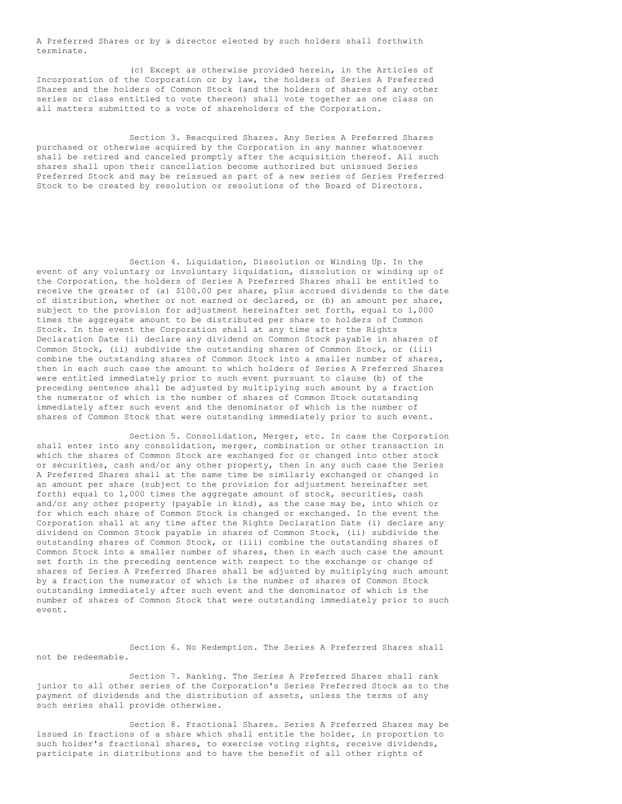A Preferred Shares or by a director elected by such holders shall forthwith terminate.

(c) Except as otherwise provided herein, in the Articles of Incorporation of the Corporation or by law, the holders of Series A Preferred Shares and the holders of Common Stock (and the holders of shares of any other series or class entitled to vote thereon) shall vote together as one class on all matters submitted to a vote of shareholders of the Corporation.

Section 3. Reacquired Shares. Any Series A Preferred Shares purchased or otherwise acquired by the Corporation in any manner whatsoever shall be retired and canceled promptly after the acquisition thereof. All such shares shall upon their cancellation become authorized but unissued Series Preferred Stock and may be reissued as part of a new series of Series Preferred Stock to be created by resolution or resolutions of the Board of Directors.

Section 4. Liquidation, Dissolution or Winding Up. In the event of any voluntary or involuntary liquidation, dissolution or winding up of the Corporation, the holders of Series A Preferred Shares shall be entitled to receive the greater of (a) \$100.00 per share, plus accrued dividends to the date of distribution, whether or not earned or declared, or (b) an amount per share, subject to the provision for adjustment hereinafter set forth, equal to 1,000 times the aggregate amount to be distributed per share to holders of Common Stock. In the event the Corporation shall at any time after the Rights Declaration Date (i) declare any dividend on Common Stock payable in shares of Common Stock, (ii) subdivide the outstanding shares of Common Stock, or (iii) combine the outstanding shares of Common Stock into a smaller number of shares, then in each such case the amount to which holders of Series A Preferred Shares were entitled immediately prior to such event pursuant to clause (b) of the preceding sentence shall be adjusted by multiplying such amount by a fraction the numerator of which is the number of shares of Common Stock outstanding immediately after such event and the denominator of which is the number of shares of Common Stock that were outstanding immediately prior to such event.

Section 5. Consolidation, Merger, etc. In case the Corporation shall enter into any consolidation, merger, combination or other transaction in which the shares of Common Stock are exchanged for or changed into other stock or securities, cash and/or any other property, then in any such case the Series A Preferred Shares shall at the same time be similarly exchanged or changed in an amount per share (subject to the provision for adjustment hereinafter set forth) equal to 1,000 times the aggregate amount of stock, securities, cash and/or any other property (payable in kind), as the case may be, into which or for which each share of Common Stock is changed or exchanged. In the event the Corporation shall at any time after the Rights Declaration Date (i) declare any dividend on Common Stock payable in shares of Common Stock, (ii) subdivide the outstanding shares of Common Stock, or (iii) combine the outstanding shares of Common Stock into a smaller number of shares, then in each such case the amount set forth in the preceding sentence with respect to the exchange or change of shares of Series A Preferred Shares shall be adjusted by multiplying such amount by a fraction the numerator of which is the number of shares of Common Stock outstanding immediately after such event and the denominator of which is the number of shares of Common Stock that were outstanding immediately prior to such event.

Section 6. No Redemption. The Series A Preferred Shares shall not be redeemable.

Section 7. Ranking. The Series A Preferred Shares shall rank junior to all other series of the Corporation's Series Preferred Stock as to the payment of dividends and the distribution of assets, unless the terms of any such series shall provide otherwise.

Section 8. Fractional Shares. Series A Preferred Shares may be issued in fractions of a share which shall entitle the holder, in proportion to such holder's fractional shares, to exercise voting rights, receive dividends, participate in distributions and to have the benefit of all other rights of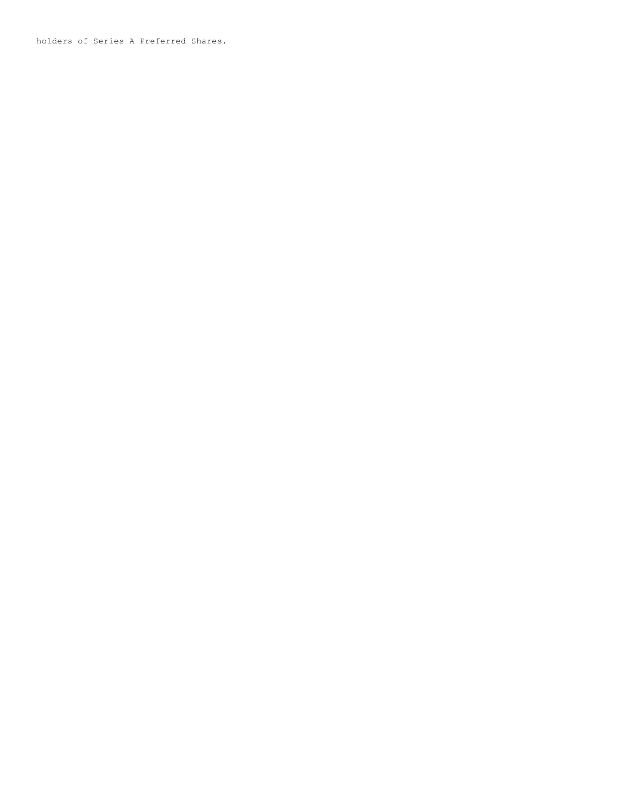holders of Series A Preferred Shares.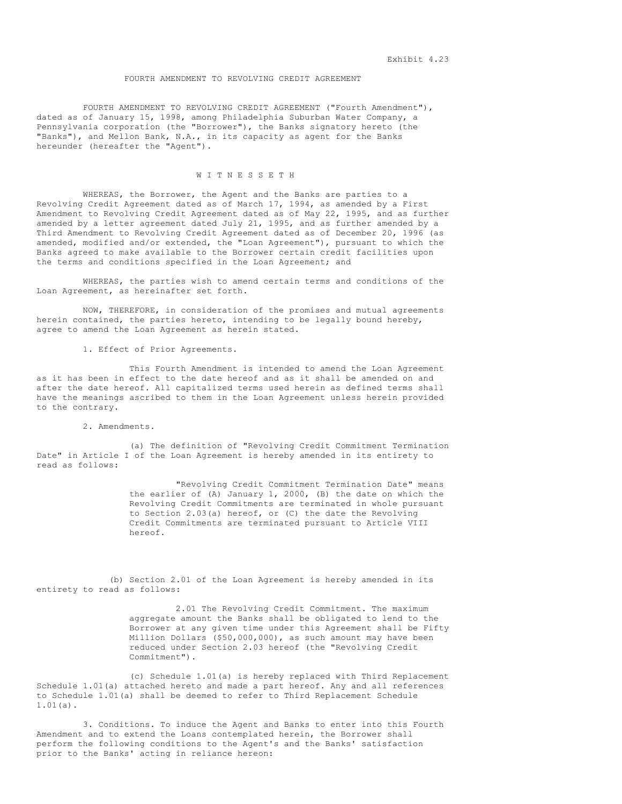#### FOURTH AMENDMENT TO REVOLVING CREDIT AGREEMENT

FOURTH AMENDMENT TO REVOLVING CREDIT AGREEMENT ("Fourth Amendment"), dated as of January 15, 1998, among Philadelphia Suburban Water Company, a Pennsylvania corporation (the "Borrower"), the Banks signatory hereto (the "Banks"), and Mellon Bank, N.A., in its capacity as agent for the Banks hereunder (hereafter the "Agent").

# W I T N E S S E T H

WHEREAS, the Borrower, the Agent and the Banks are parties to a Revolving Credit Agreement dated as of March 17, 1994, as amended by a First Amendment to Revolving Credit Agreement dated as of May 22, 1995, and as further amended by a letter agreement dated July 21, 1995, and as further amended by a Third Amendment to Revolving Credit Agreement dated as of December 20, 1996 (as amended, modified and/or extended, the "Loan Agreement"), pursuant to which the Banks agreed to make available to the Borrower certain credit facilities upon the terms and conditions specified in the Loan Agreement; and

WHEREAS, the parties wish to amend certain terms and conditions of the Loan Agreement, as hereinafter set forth.

NOW, THEREFORE, in consideration of the promises and mutual agreements herein contained, the parties hereto, intending to be legally bound hereby, agree to amend the Loan Agreement as herein stated.

1. Effect of Prior Agreements.

This Fourth Amendment is intended to amend the Loan Agreement as it has been in effect to the date hereof and as it shall be amended on and after the date hereof. All capitalized terms used herein as defined terms shall have the meanings ascribed to them in the Loan Agreement unless herein provided to the contrary.

2. Amendments.

(a) The definition of "Revolving Credit Commitment Termination Date" in Article I of the Loan Agreement is hereby amended in its entirety to read as follows:

> "Revolving Credit Commitment Termination Date" means the earlier of (A) January 1, 2000, (B) the date on which the Revolving Credit Commitments are terminated in whole pursuant to Section 2.03(a) hereof, or (C) the date the Revolving Credit Commitments are terminated pursuant to Article VIII hereof.

(b) Section 2.01 of the Loan Agreement is hereby amended in its entirety to read as follows:

> 2.01 The Revolving Credit Commitment. The maximum aggregate amount the Banks shall be obligated to lend to the Borrower at any given time under this Agreement shall be Fifty Million Dollars (\$50,000,000), as such amount may have been reduced under Section 2.03 hereof (the "Revolving Credit Commitment").

(c) Schedule 1.01(a) is hereby replaced with Third Replacement Schedule 1.01(a) attached hereto and made a part hereof. Any and all references to Schedule 1.01(a) shall be deemed to refer to Third Replacement Schedule 1.01(a).

3. Conditions. To induce the Agent and Banks to enter into this Fourth Amendment and to extend the Loans contemplated herein, the Borrower shall perform the following conditions to the Agent's and the Banks' satisfaction prior to the Banks' acting in reliance hereon: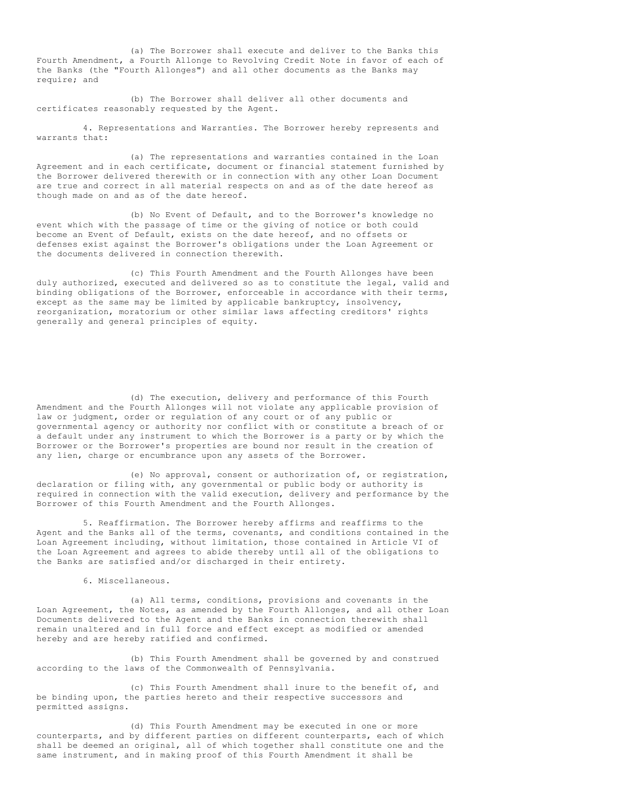(a) The Borrower shall execute and deliver to the Banks this Fourth Amendment, a Fourth Allonge to Revolving Credit Note in favor of each of the Banks (the "Fourth Allonges") and all other documents as the Banks may require; and

(b) The Borrower shall deliver all other documents and certificates reasonably requested by the Agent.

4. Representations and Warranties. The Borrower hereby represents and warrants that:

(a) The representations and warranties contained in the Loan Agreement and in each certificate, document or financial statement furnished by the Borrower delivered therewith or in connection with any other Loan Document are true and correct in all material respects on and as of the date hereof as though made on and as of the date hereof.

(b) No Event of Default, and to the Borrower's knowledge no event which with the passage of time or the giving of notice or both could become an Event of Default, exists on the date hereof, and no offsets or defenses exist against the Borrower's obligations under the Loan Agreement or the documents delivered in connection therewith.

(c) This Fourth Amendment and the Fourth Allonges have been duly authorized, executed and delivered so as to constitute the legal, valid and binding obligations of the Borrower, enforceable in accordance with their terms, except as the same may be limited by applicable bankruptcy, insolvency, reorganization, moratorium or other similar laws affecting creditors' rights generally and general principles of equity.

(d) The execution, delivery and performance of this Fourth Amendment and the Fourth Allonges will not violate any applicable provision of law or judgment, order or regulation of any court or of any public or governmental agency or authority nor conflict with or constitute a breach of or a default under any instrument to which the Borrower is a party or by which the Borrower or the Borrower's properties are bound nor result in the creation of any lien, charge or encumbrance upon any assets of the Borrower.

(e) No approval, consent or authorization of, or registration, declaration or filing with, any governmental or public body or authority is required in connection with the valid execution, delivery and performance by the Borrower of this Fourth Amendment and the Fourth Allonges.

5. Reaffirmation. The Borrower hereby affirms and reaffirms to the Agent and the Banks all of the terms, covenants, and conditions contained in the Loan Agreement including, without limitation, those contained in Article VI of the Loan Agreement and agrees to abide thereby until all of the obligations to the Banks are satisfied and/or discharged in their entirety.

6. Miscellaneous.

(a) All terms, conditions, provisions and covenants in the Loan Agreement, the Notes, as amended by the Fourth Allonges, and all other Loan Documents delivered to the Agent and the Banks in connection therewith shall remain unaltered and in full force and effect except as modified or amended hereby and are hereby ratified and confirmed.

(b) This Fourth Amendment shall be governed by and construed according to the laws of the Commonwealth of Pennsylvania.

(c) This Fourth Amendment shall inure to the benefit of, and be binding upon, the parties hereto and their respective successors and permitted assigns.

(d) This Fourth Amendment may be executed in one or more counterparts, and by different parties on different counterparts, each of which shall be deemed an original, all of which together shall constitute one and the same instrument, and in making proof of this Fourth Amendment it shall be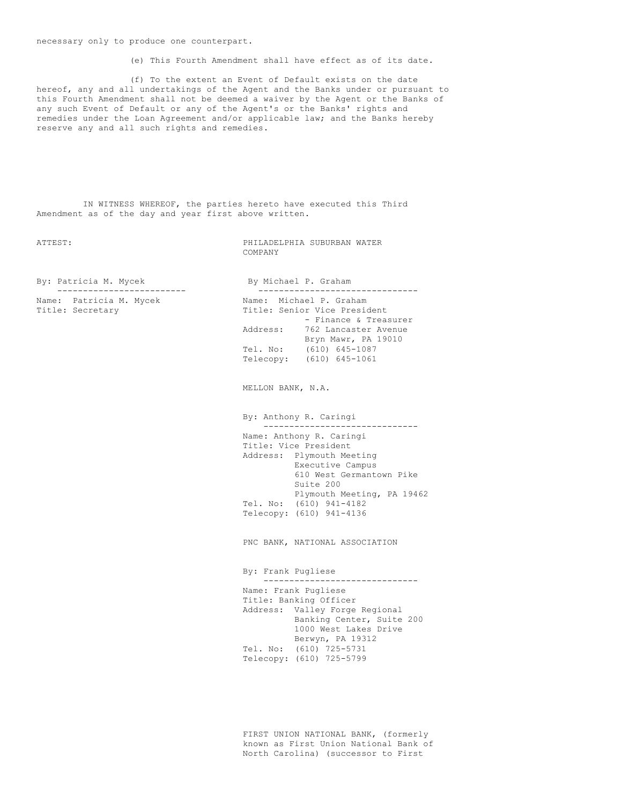necessary only to produce one counterpart.

(e) This Fourth Amendment shall have effect as of its date.

(f) To the extent an Event of Default exists on the date hereof, any and all undertakings of the Agent and the Banks under or pursuant to this Fourth Amendment shall not be deemed a waiver by the Agent or the Banks of any such Event of Default or any of the Agent's or the Banks' rights and remedies under the Loan Agreement and/or applicable law; and the Banks hereby reserve any and all such rights and remedies.

IN WITNESS WHEREOF, the parties hereto have executed this Third Amendment as of the day and year first above written.

ATTEST: PHILADELPHIA SUBURBAN WATER COMPANY

By: Patricia M. Mycek By Michael P. Graham ------------------------- ------------------------------- Name: Patricia M. Mycek

Title: Secretary

|           | Name: Michael P. Graham      |
|-----------|------------------------------|
|           | Title: Senior Vice President |
|           | - Finance & Treasurer        |
| Address:  | 762 Lancaster Avenue         |
|           | Bryn Mawr, PA 19010          |
| Tel. No:  | $(610) 645 - 1087$           |
| Telecopy: | $(610) 645 - 1061$           |
|           |                              |

MELLON BANK, N.A.

By: Anthony R. Caringi ------------------------------

Name: Anthony R. Caringi Title: Vice President Address: Plymouth Meeting Executive Campus 610 West Germantown Pike Suite 200 Plymouth Meeting, PA 19462 Tel. No: (610) 941-4182 Telecopy: (610) 941-4136

PNC BANK, NATIONAL ASSOCIATION

By: Frank Pugliese ------------------------------ Name: Frank Pugliese Title: Banking Officer Address: Valley Forge Regional Banking Center, Suite 200 1000 West Lakes Drive Berwyn, PA 19312 Tel. No: (610) 725-5731 Telecopy: (610) 725-5799

FIRST UNION NATIONAL BANK, (formerly known as First Union National Bank of North Carolina) (successor to First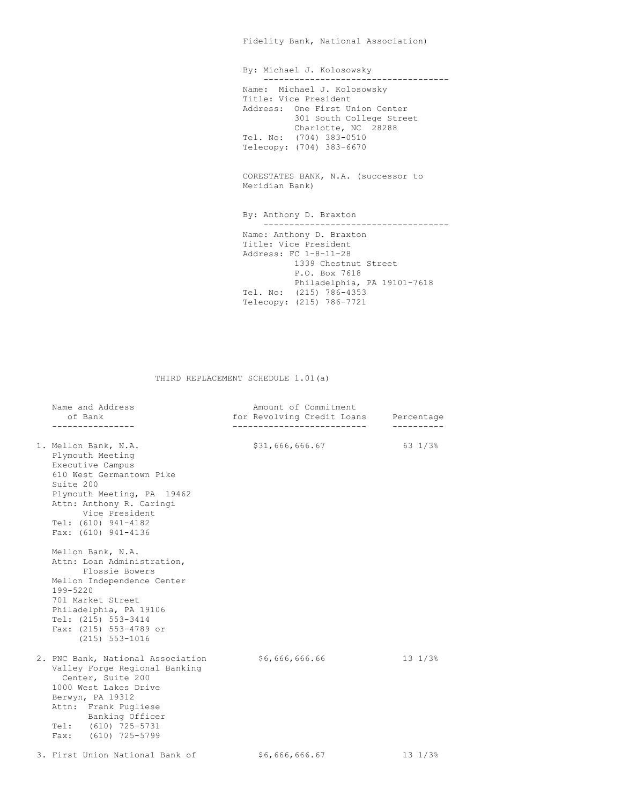Fidelity Bank, National Association)

By: Michael J. Kolosowsky ------------------------------------ Name: Michael J. Kolosowsky Title: Vice President Address: One First Union Center 301 South College Street Charlotte, NC 28288 Tel. No: (704) 383-0510 Telecopy: (704) 383-6670

CORESTATES BANK, N.A. (successor to Meridian Bank)

By: Anthony D. Braxton ------------------------------------ Name: Anthony D. Braxton Title: Vice President Address: FC 1-8-11-28 1339 Chestnut Street P.O. Box 7618 Philadelphia, PA 19101-7618 Tel. No: (215) 786-4353 Telecopy: (215) 786-7721

THIRD REPLACEMENT SCHEDULE 1.01(a)

| Name and Address<br>of Bank<br>----------------                                                                                                                                                                                   | Amount of Commitment<br>for Revolving Credit Loans Percentage |                         |
|-----------------------------------------------------------------------------------------------------------------------------------------------------------------------------------------------------------------------------------|---------------------------------------------------------------|-------------------------|
| 1. Mellon Bank, N.A.<br>Plymouth Meeting<br>Executive Campus<br>610 West Germantown Pike<br>Suite 200<br>Plymouth Meeting, PA 19462<br>Attn: Anthony R. Caringi<br>Vice President<br>Tel: (610) 941-4182<br>Fax: (610) 941-4136   | \$31,666,666.67                                               | 63 1/3%                 |
| Mellon Bank, N.A.<br>Attn: Loan Administration,<br>Flossie Bowers<br>Mellon Independence Center<br>199-5220<br>701 Market Street<br>Philadelphia, PA 19106<br>Tel: (215) 553-3414<br>Fax: (215) 553-4789 or<br>$(215) 553 - 1016$ |                                                               |                         |
| 2. PNC Bank, National Association<br>Valley Forge Regional Banking<br>Center, Suite 200<br>1000 West Lakes Drive<br>Berwyn, PA 19312<br>Attn: Frank Pugliese<br>Banking Officer<br>Tel: (610) 725-5731<br>Fax: (610) 725-5799     | \$6,666,666.66                                                | $13 \frac{1}{3}$        |
| 3. First Union National Bank of                                                                                                                                                                                                   | \$6,666,666.67                                                | $13 \t1/3$ <sup>8</sup> |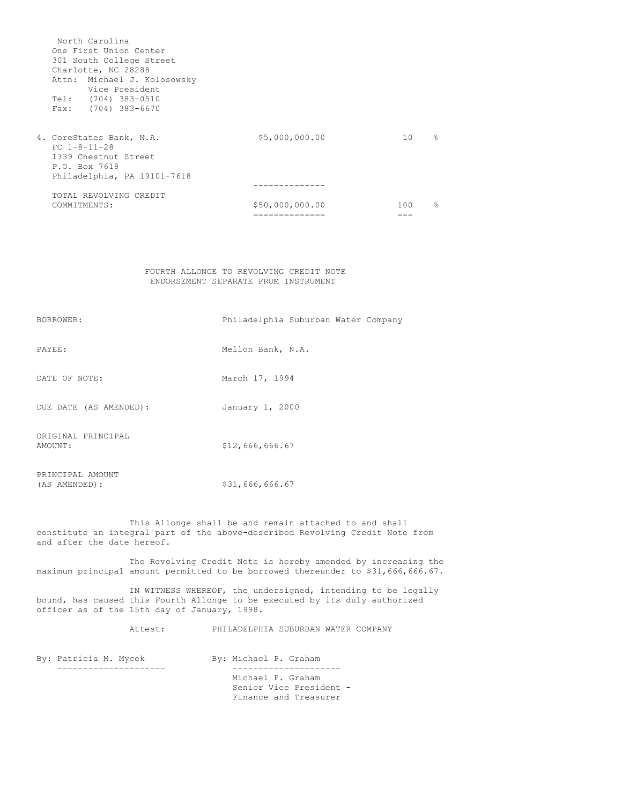North Carolina One First Union Center 301 South College Street Charlotte, NC 28288 Attn: Michael J. Kolosowsky Vice President Tel: (704) 383-0510 Fax: (704) 383-6670 4. CoreStates Bank, N.A.  $$5,000,000.00$  10 % FC 1-8-11-28 1339 Chestnut Street P.O. Box 7618 Philadelphia, PA 19101-7618 -------------- TOTAL REVOLVING CREDIT<br>COMMITMENTS:  $$50,000,000.00$ <br> $=$   $=$   $=$   $$$   $=$   $$$ ============== ===

# FOURTH ALLONGE TO REVOLVING CREDIT NOTE ENDORSEMENT SEPARATE FROM INSTRUMENT

| BORROWER:                         | Philadelphia Suburban Water Company |
|-----------------------------------|-------------------------------------|
| PAYEE:                            | Mellon Bank, N.A.                   |
| DATE OF NOTE:                     | March 17, 1994                      |
| DUE DATE (AS AMENDED):            | January 1, 2000                     |
| ORIGINAL PRINCIPAL<br>AMOUNT:     | \$12,666,666.67                     |
| PRINCIPAL AMOUNT<br>(AS AMENDED): | \$31,666,666.67                     |

This Allonge shall be and remain attached to and shall constitute an integral part of the above-described Revolving Credit Note from and after the date hereof.

The Revolving Credit Note is hereby amended by increasing the maximum principal amount permitted to be borrowed thereunder to \$31,666,666.67.

IN WITNESS WHEREOF, the undersigned, intending to be legally bound, has caused this Fourth Allonge to be executed by its duly authorized officer as of the 15th day of January, 1998.

Attest: PHILADELPHIA SUBURBAN WATER COMPANY

By: Patricia M. Mycek By: Michael P. Graham --------------------- --------------------- Michael P. Graham Senior Vice President - Finance and Treasurer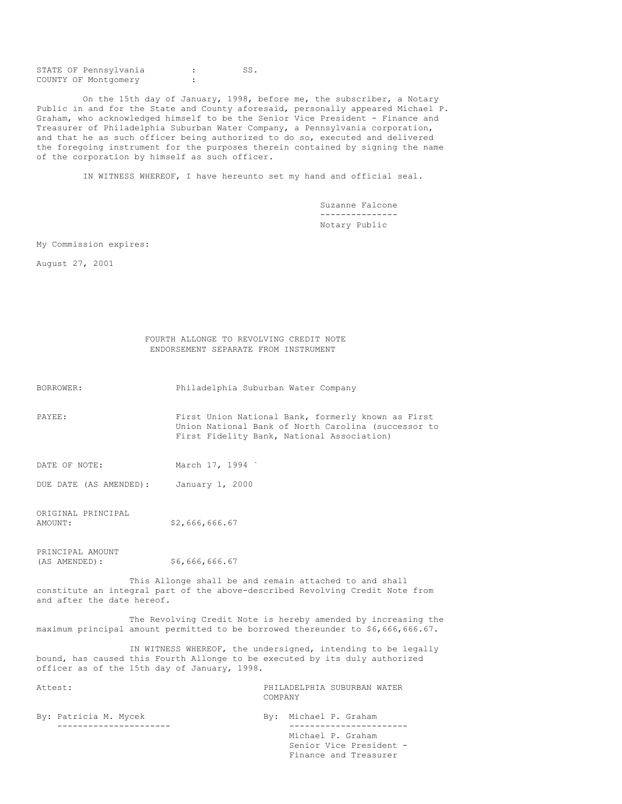STATE OF Pennsylvania : SS. COUNTY OF Montgomery :

On the 15th day of January, 1998, before me, the subscriber, a Notary Public in and for the State and County aforesaid, personally appeared Michael P. Graham, who acknowledged himself to be the Senior Vice President - Finance and Treasurer of Philadelphia Suburban Water Company, a Pennsylvania corporation, and that he as such officer being authorized to do so, executed and delivered the foregoing instrument for the purposes therein contained by signing the name of the corporation by himself as such officer.

IN WITNESS WHEREOF, I have hereunto set my hand and official seal.

Suzanne Falcone --------------- Notary Public

My Commission expires:

August 27, 2001

| FOURTH ALLONGE TO REVOLVING CREDIT NOTE |                                      |  |  |  |  |
|-----------------------------------------|--------------------------------------|--|--|--|--|
|                                         | ENDORSEMENT SEPARATE FROM INSTRUMENT |  |  |  |  |

BORROWER: Philadelphia Suburban Water Company

PAYEE: First Union National Bank, formerly known as First Union National Bank of North Carolina (successor to First Fidelity Bank, National Association)

DATE OF NOTE: March 17, 1994

DUE DATE (AS AMENDED): January 1, 2000

ORIGINAL PRINCIPAL<br>AMOUNT: \$2,666,666.67

PRINCIPAL AMOUNT<br>(AS AMENDED): (AS AMENDED): \$6,666,666.67

This Allonge shall be and remain attached to and shall constitute an integral part of the above-described Revolving Credit Note from and after the date hereof.

The Revolving Credit Note is hereby amended by increasing the maximum principal amount permitted to be borrowed thereunder to \$6,666,666.67.

IN WITNESS WHEREOF, the undersigned, intending to be legally bound, has caused this Fourth Allonge to be executed by its duly authorized officer as of the 15th day of January, 1998.

Attest: PHILADELPHIA SUBURBAN WATER COMPANY

| By: Patricia M. Mycek | By: Michael P. Graham   |
|-----------------------|-------------------------|
|                       |                         |
|                       | Michael P. Graham       |
|                       | Senior Vice President - |
|                       | Finance and Treasurer   |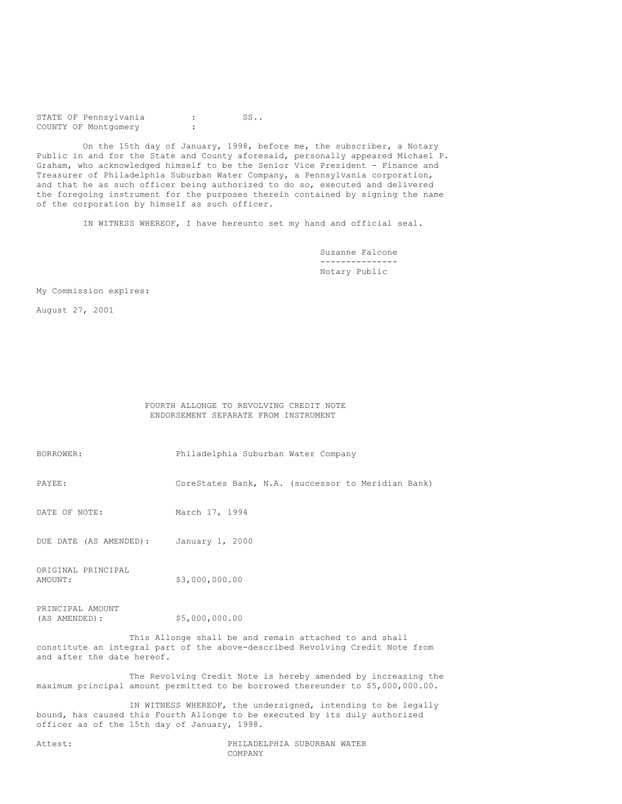STATE OF Pennsylvania : SS.. COUNTY OF Montgomery :

On the 15th day of January, 1998, before me, the subscriber, a Notary Public in and for the State and County aforesaid, personally appeared Michael P. Graham, who acknowledged himself to be the Senior Vice President - Finance and Treasurer of Philadelphia Suburban Water Company, a Pennsylvania corporation, and that he as such officer being authorized to do so, executed and delivered the foregoing instrument for the purposes therein contained by signing the name of the corporation by himself as such officer.

IN WITNESS WHEREOF, I have hereunto set my hand and official seal.

Suzanne Falcone --------------- Notary Public

My Commission expires:

August 27, 2001

FOURTH ALLONGE TO REVOLVING CREDIT NOTE ENDORSEMENT SEPARATE FROM INSTRUMENT

BORROWER: Philadelphia Suburban Water Company

PAYEE: CoreStates Bank, N.A. (successor to Meridian Bank)

DATE OF NOTE: March 17, 1994

DUE DATE (AS AMENDED): January 1, 2000

ORIGINAL PRINCIPAL<br>AMOUNT: \$3,000,000.00

PRINCIPAL AMOUNT (AS AMENDED): \$5,000,000.00

This Allonge shall be and remain attached to and shall constitute an integral part of the above-described Revolving Credit Note from and after the date hereof.

The Revolving Credit Note is hereby amended by increasing the maximum principal amount permitted to be borrowed thereunder to \$5,000,000.00.

IN WITNESS WHEREOF, the undersigned, intending to be legally bound, has caused this Fourth Allonge to be executed by its duly authorized officer as of the 15th day of January, 1998.

Attest: PHILADELPHIA SUBURBAN WATER COMPANY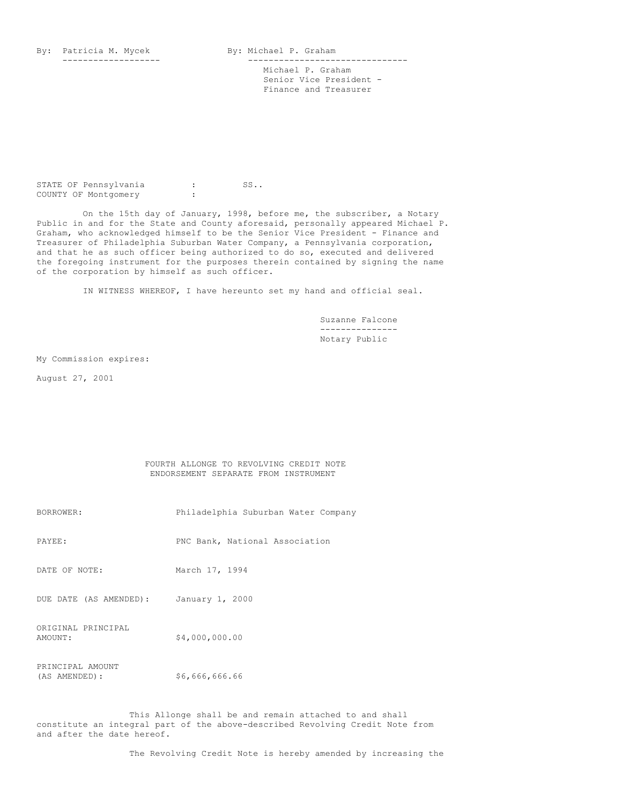By: Patricia M. Mycek By: Michael P. Graham

------------------- ------------------------------- Michael P. Graham Senior Vice President - Finance and Treasurer

STATE OF Pennsylvania : SS.. COUNTY OF Montgomery :

On the 15th day of January, 1998, before me, the subscriber, a Notary Public in and for the State and County aforesaid, personally appeared Michael P. Graham, who acknowledged himself to be the Senior Vice President - Finance and Treasurer of Philadelphia Suburban Water Company, a Pennsylvania corporation, and that he as such officer being authorized to do so, executed and delivered the foregoing instrument for the purposes therein contained by signing the name of the corporation by himself as such officer.

IN WITNESS WHEREOF, I have hereunto set my hand and official seal.

Suzanne Falcone --------------- Notary Public

My Commission expires:

August 27, 2001

#### FOURTH ALLONGE TO REVOLVING CREDIT NOTE ENDORSEMENT SEPARATE FROM INSTRUMENT

| BORROWER:                         | Philadelphia Suburban Water Company |
|-----------------------------------|-------------------------------------|
| PAYEE:                            | PNC Bank, National Association      |
| DATE OF NOTE:                     | March 17, 1994                      |
| DUE DATE (AS AMENDED):            | January 1, 2000                     |
| ORIGINAL PRINCIPAL<br>AMOUNT:     | \$4,000,000.00                      |
| PRINCIPAL AMOUNT<br>(AS AMENDED): | \$6,666,666.66                      |

This Allonge shall be and remain attached to and shall constitute an integral part of the above-described Revolving Credit Note from and after the date hereof.

The Revolving Credit Note is hereby amended by increasing the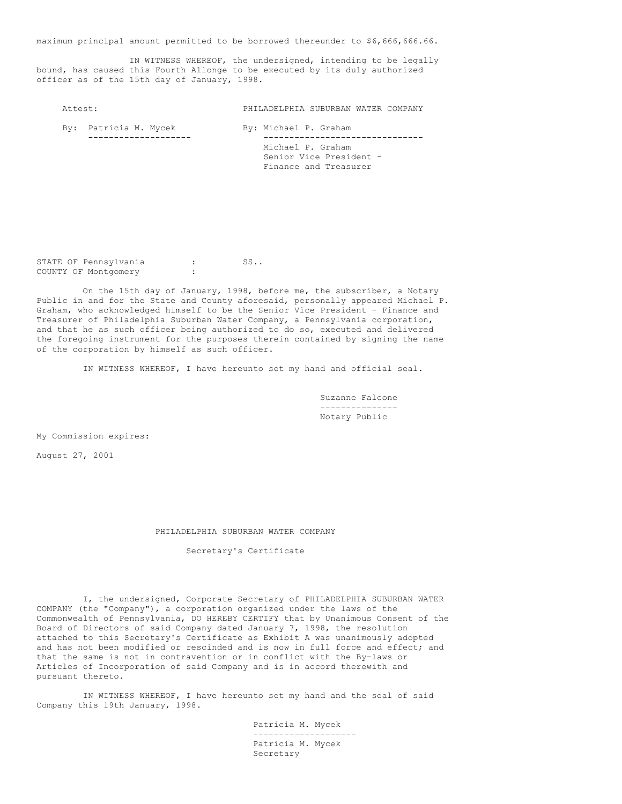maximum principal amount permitted to be borrowed thereunder to \$6,666,666.66.

IN WITNESS WHEREOF, the undersigned, intending to be legally bound, has caused this Fourth Allonge to be executed by its duly authorized officer as of the 15th day of January, 1998.

Attest: PHILADELPHIA SUBURBAN WATER COMPANY

By: Patricia M. Mycek By: Michael P. Graham -------------------- ------------------------------- Michael P. Graham Senior Vice President - Finance and Treasurer

STATE OF Pennsylvania : SS.. COUNTY OF Montgomery

On the 15th day of January, 1998, before me, the subscriber, a Notary Public in and for the State and County aforesaid, personally appeared Michael P. Graham, who acknowledged himself to be the Senior Vice President - Finance and Treasurer of Philadelphia Suburban Water Company, a Pennsylvania corporation, and that he as such officer being authorized to do so, executed and delivered the foregoing instrument for the purposes therein contained by signing the name of the corporation by himself as such officer.

IN WITNESS WHEREOF, I have hereunto set my hand and official seal.

Suzanne Falcone --------------- Notary Public

My Commission expires:

August 27, 2001

# PHILADELPHIA SUBURBAN WATER COMPANY

# Secretary's Certificate

I, the undersigned, Corporate Secretary of PHILADELPHIA SUBURBAN WATER COMPANY (the "Company"), a corporation organized under the laws of the Commonwealth of Pennsylvania, DO HEREBY CERTIFY that by Unanimous Consent of the Board of Directors of said Company dated January 7, 1998, the resolution attached to this Secretary's Certificate as Exhibit A was unanimously adopted and has not been modified or rescinded and is now in full force and effect; and that the same is not in contravention or in conflict with the By-laws or Articles of Incorporation of said Company and is in accord therewith and pursuant thereto.

IN WITNESS WHEREOF, I have hereunto set my hand and the seal of said Company this 19th January, 1998.

> Patricia M. Mycek -------------------- Patricia M. Mycek Secretary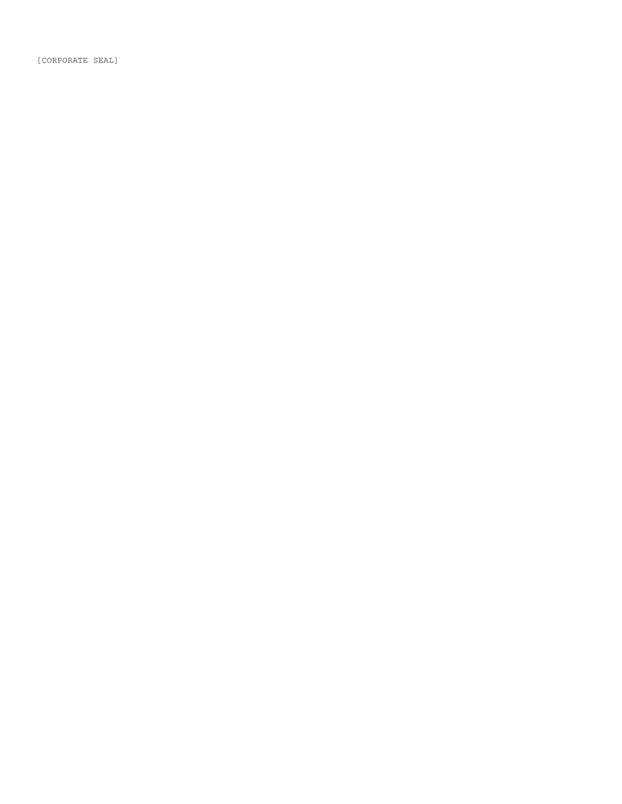[CORPORATE SEAL]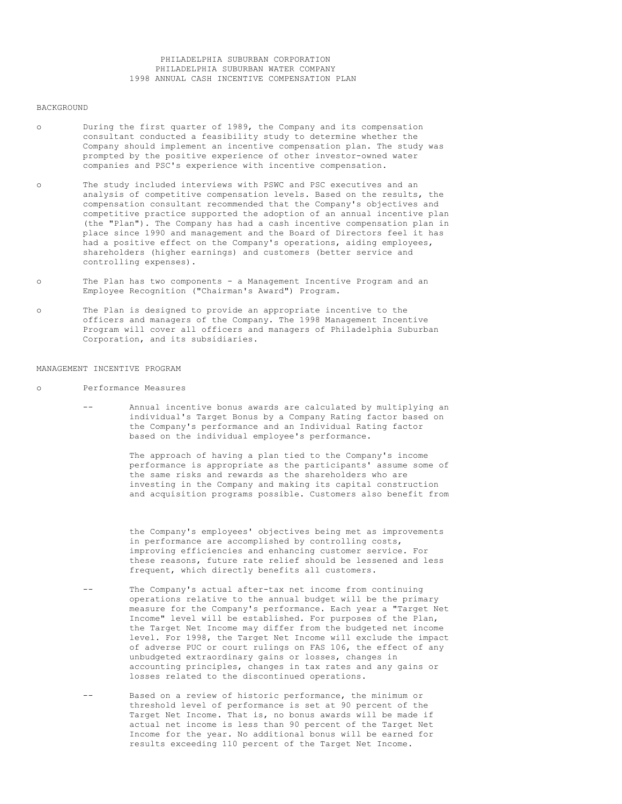# PHILADELPHIA SUBURBAN CORPORATION PHILADELPHIA SUBURBAN WATER COMPANY 1998 ANNUAL CASH INCENTIVE COMPENSATION PLAN

#### BACKGROUND

- o During the first quarter of 1989, the Company and its compensation consultant conducted a feasibility study to determine whether the Company should implement an incentive compensation plan. The study was prompted by the positive experience of other investor-owned water companies and PSC's experience with incentive compensation.
- o The study included interviews with PSWC and PSC executives and an analysis of competitive compensation levels. Based on the results, the compensation consultant recommended that the Company's objectives and competitive practice supported the adoption of an annual incentive plan (the "Plan"). The Company has had a cash incentive compensation plan in place since 1990 and management and the Board of Directors feel it has had a positive effect on the Company's operations, aiding employees, shareholders (higher earnings) and customers (better service and controlling expenses).
- o The Plan has two components a Management Incentive Program and an Employee Recognition ("Chairman's Award") Program.
- o The Plan is designed to provide an appropriate incentive to the officers and managers of the Company. The 1998 Management Incentive Program will cover all officers and managers of Philadelphia Suburban Corporation, and its subsidiaries.

# MANAGEMENT INCENTIVE PROGRAM

- o Performance Measures
	- -- Annual incentive bonus awards are calculated by multiplying an individual's Target Bonus by a Company Rating factor based on the Company's performance and an Individual Rating factor based on the individual employee's performance.

The approach of having a plan tied to the Company's income performance is appropriate as the participants' assume some of the same risks and rewards as the shareholders who are investing in the Company and making its capital construction and acquisition programs possible. Customers also benefit from

the Company's employees' objectives being met as improvements in performance are accomplished by controlling costs, improving efficiencies and enhancing customer service. For these reasons, future rate relief should be lessened and less frequent, which directly benefits all customers.

- -- The Company's actual after-tax net income from continuing operations relative to the annual budget will be the primary measure for the Company's performance. Each year a "Target Net Income" level will be established. For purposes of the Plan, the Target Net Income may differ from the budgeted net income level. For 1998, the Target Net Income will exclude the impact of adverse PUC or court rulings on FAS 106, the effect of any unbudgeted extraordinary gains or losses, changes in accounting principles, changes in tax rates and any gains or losses related to the discontinued operations.
- -- Based on a review of historic performance, the minimum or threshold level of performance is set at 90 percent of the Target Net Income. That is, no bonus awards will be made if actual net income is less than 90 percent of the Target Net Income for the year. No additional bonus will be earned for results exceeding 110 percent of the Target Net Income.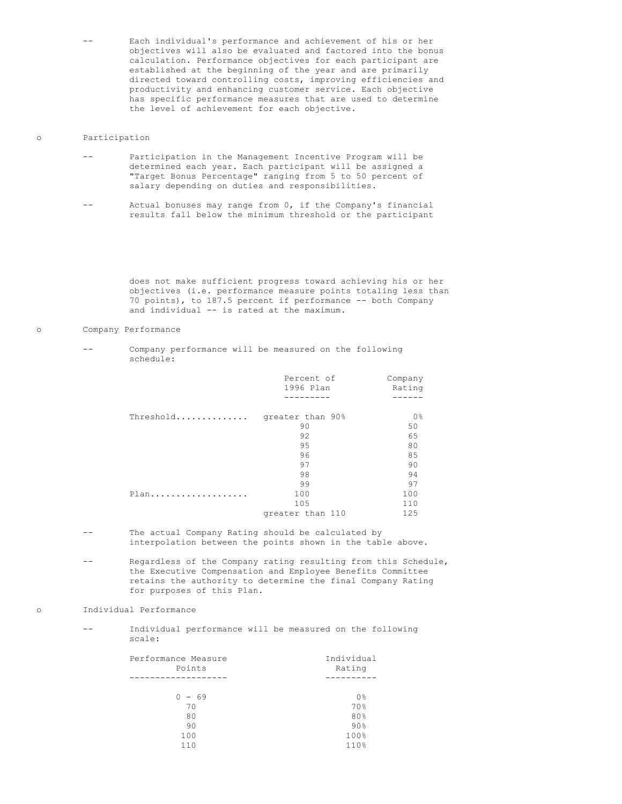Each individual's performance and achievement of his or her objectives will also be evaluated and factored into the bonus calculation. Performance objectives for each participant are established at the beginning of the year and are primarily directed toward controlling costs, improving efficiencies and productivity and enhancing customer service. Each objective has specific performance measures that are used to determine the level of achievement for each objective.

#### o Participation

- -- Participation in the Management Incentive Program will be determined each year. Each participant will be assigned a "Target Bonus Percentage" ranging from 5 to 50 percent of salary depending on duties and responsibilities.
- -- Actual bonuses may range from 0, if the Company's financial results fall below the minimum threshold or the participant

does not make sufficient progress toward achieving his or her objectives (i.e. performance measure points totaling less than 70 points), to 187.5 percent if performance -- both Company and individual -- is rated at the maximum.

#### o Company Performance

Company performance will be measured on the following schedule:

|           | Percent of<br>1996 Plan | Company<br>Rating |
|-----------|-------------------------|-------------------|
|           |                         |                   |
| Threshold | greater than 90%        | 0%                |
|           | 90                      | 50                |
|           | 92                      | 65                |
|           | 95                      | 80                |
|           | 96                      | 85                |
|           | 97                      | 90                |
|           | 98                      | 94                |
|           | 99                      | 97                |
| $Plan$    | 100                     | 100               |
|           | 105                     | 110               |
|           | greater than 110        | 125               |

- -- The actual Company Rating should be calculated by interpolation between the points shown in the table above.
- -- Regardless of the Company rating resulting from this Schedule, the Executive Compensation and Employee Benefits Committee retains the authority to determine the final Company Rating for purposes of this Plan.

# o Individual Performance

-- Individual performance will be measured on the following scale:

| Performance Measure | Individual     |
|---------------------|----------------|
| Points              | Rating         |
|                     |                |
|                     |                |
| $0 - 69$            | 0 <sup>°</sup> |
| 70                  | 70%            |
| 80                  | 80%            |
| 90                  | $90\%$         |
| 100                 | 100%           |
| 110                 | 110%           |
|                     |                |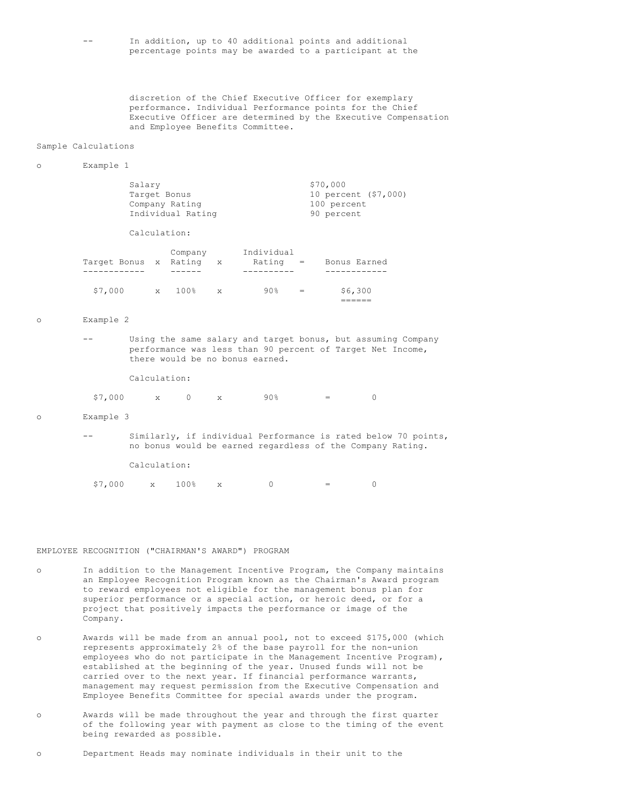| $- -$ | In addition, up to 40 additional points and additional   |  |  |  |  |  |  |
|-------|----------------------------------------------------------|--|--|--|--|--|--|
|       | percentage points may be awarded to a participant at the |  |  |  |  |  |  |

discretion of the Chief Executive Officer for exemplary performance. Individual Performance points for the Chief Executive Officer are determined by the Executive Compensation and Employee Benefits Committee.

#### Sample Calculations

# o Example 1

| Salary                  |              | Target Bonus<br>Company Rating<br>Individual Rating |              | \$70,000<br>10 percent (\$7,000)<br>100 percent<br>90 percent |  |              |  |  |
|-------------------------|--------------|-----------------------------------------------------|--------------|---------------------------------------------------------------|--|--------------|--|--|
|                         |              | Calculation:                                        |              |                                                               |  |              |  |  |
| Tarqet Bonus x Ratinq x |              | Company                                             |              | Individual<br>$Rating =$                                      |  | Bonus Earned |  |  |
| \$7,000                 | $\mathbf{x}$ | 100%                                                | $\mathbf{x}$ | 90%                                                           |  | \$6,300      |  |  |

o Example 2

-- Using the same salary and target bonus, but assuming Company performance was less than 90 percent of Target Net Income, there would be no bonus earned.

======

Calculation:

 $$7,000$  x 0 x 90% = 0

#### o Example 3

|              |                  |  |  | Similarly, if individual Performance is rated below 70 points, |                                   |  |  |  |
|--------------|------------------|--|--|----------------------------------------------------------------|-----------------------------------|--|--|--|
|              |                  |  |  | no bonus would be earned regardless of the Company Rating.     |                                   |  |  |  |
| Calculation: |                  |  |  |                                                                |                                   |  |  |  |
|              | \$7,000 x 100% x |  |  | (1)                                                            | and the state of the state of the |  |  |  |

#### EMPLOYEE RECOGNITION ("CHAIRMAN'S AWARD") PROGRAM

- o In addition to the Management Incentive Program, the Company maintains an Employee Recognition Program known as the Chairman's Award program to reward employees not eligible for the management bonus plan for superior performance or a special action, or heroic deed, or for a project that positively impacts the performance or image of the Company.
- o Awards will be made from an annual pool, not to exceed \$175,000 (which represents approximately 2% of the base payroll for the non-union employees who do not participate in the Management Incentive Program), established at the beginning of the year. Unused funds will not be carried over to the next year. If financial performance warrants, management may request permission from the Executive Compensation and Employee Benefits Committee for special awards under the program.
- o Awards will be made throughout the year and through the first quarter of the following year with payment as close to the timing of the event being rewarded as possible.

o Department Heads may nominate individuals in their unit to the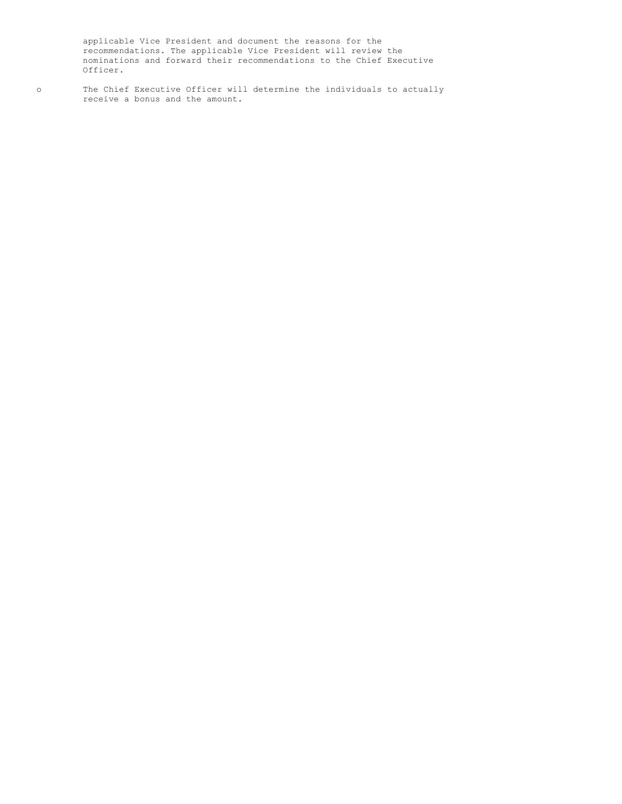applicable Vice President and document the reasons for the recommendations. The applicable Vice President will review the nominations and forward their recommendations to the Chief Executive Officer.

o The Chief Executive Officer will determine the individuals to actually receive a bonus and the amount.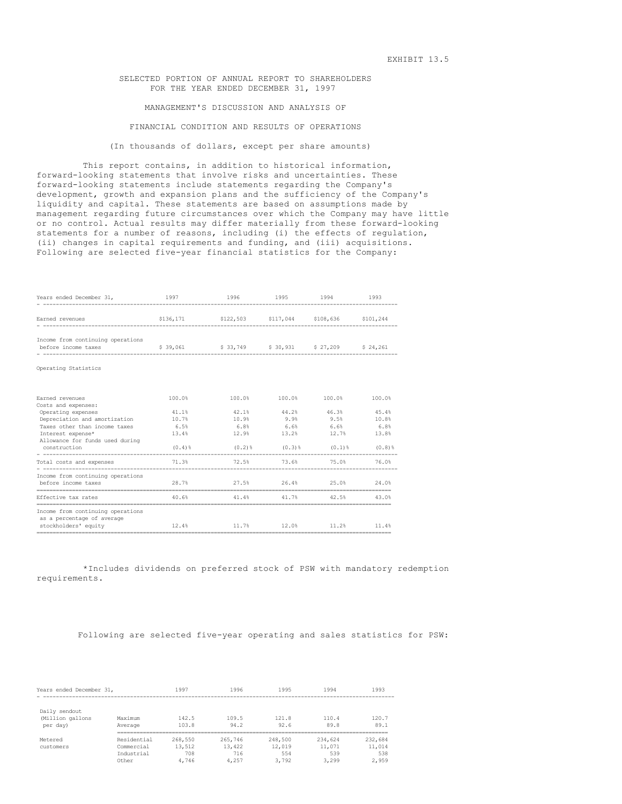SELECTED PORTION OF ANNUAL REPORT TO SHAREHOLDERS FOR THE YEAR ENDED DECEMBER 31, 1997

MANAGEMENT'S DISCUSSION AND ANALYSIS OF

FINANCIAL CONDITION AND RESULTS OF OPERATIONS

(In thousands of dollars, except per share amounts)

This report contains, in addition to historical information, forward-looking statements that involve risks and uncertainties. These forward-looking statements include statements regarding the Company's development, growth and expansion plans and the sufficiency of the Company's liquidity and capital. These statements are based on assumptions made by management regarding future circumstances over which the Company may have little or no control. Actual results may differ materially from these forward-looking statements for a number of reasons, including (i) the effects of regulation, (ii) changes in capital requirements and funding, and (iii) acquisitions. Following are selected five-year financial statistics for the Company:

| Years ended December 31,                                                                                                                                                            | 1997                                         | 1996                                                          | 1995                   | 1994                                                              | 1993                            |
|-------------------------------------------------------------------------------------------------------------------------------------------------------------------------------------|----------------------------------------------|---------------------------------------------------------------|------------------------|-------------------------------------------------------------------|---------------------------------|
| Earned revenues                                                                                                                                                                     |                                              | \$136,171    \$122,503    \$117,044    \$108,636    \$101,244 |                        |                                                                   |                                 |
| Income from continuing operations<br>before income taxes                                                                                                                            |                                              | \$39,061 \$33,749 \$30,931 \$27,209 \$24,261                  |                        |                                                                   |                                 |
| Operating Statistics                                                                                                                                                                |                                              |                                                               |                        |                                                                   |                                 |
| Earned revenues                                                                                                                                                                     | 100.0%                                       | 100.0%                                                        |                        | 100.0% 100.0%                                                     | 100.0%                          |
| Costs and expenses:<br>Operating expenses<br>Depreciation and amortization<br>Taxes other than income taxes<br>Interest expense*<br>Allowance for funds used during<br>construction | 41.1%<br>10.7%<br>6.5%<br>13.4%<br>$(0.4)$ 8 | 42.1%<br>10.9%<br>$6.8\%$ $6.6\%$ $6.6\%$ $6.6\%$<br>12.9%    | 44.2%<br>9.9%<br>13.2% | 46.3%<br>9.5%<br>12.7%<br>$(0.2)$ % $(0.3)$ % $(0.1)$ % $(0.8)$ % | 45.4%<br>10.8%<br>6.8%<br>13.8% |
| Total costs and expenses                                                                                                                                                            | 71.3%                                        | 72.5% 73.6% 75.0%                                             |                        |                                                                   | 76.0%                           |
| Income from continuing operations<br>before income taxes                                                                                                                            | 28.7%                                        | 27.5% 26.4% 25.0%                                             |                        |                                                                   | 24.0%                           |
| Effective tax rates                                                                                                                                                                 | 40.6%                                        | 41.4%                                                         | 41.7%                  | 42.5%                                                             | 43.0%                           |
| Income from continuing operations<br>as a percentage of average<br>stockholders' equity                                                                                             | 12.4%                                        |                                                               |                        | 11.7% 12.0% 11.2% 11.4%                                           |                                 |

\*Includes dividends on preferred stock of PSW with mandatory redemption requirements.

Following are selected five-year operating and sales statistics for PSW:

| Years ended December 31,                      |                                                  | 1997                              | 1996                              | 1995                              | 1994                              | 1993                              |
|-----------------------------------------------|--------------------------------------------------|-----------------------------------|-----------------------------------|-----------------------------------|-----------------------------------|-----------------------------------|
| Daily sendout<br>(Million gallons<br>per day) | Maximum<br>Average                               | 142.5<br>103.8                    | 109.5<br>94.2                     | 121.8<br>92.6                     | 110.4<br>89.8                     | 120.7<br>89.1                     |
| Metered<br>customers                          | Residential<br>Commercial<br>Industrial<br>Other | 268,550<br>13,512<br>708<br>4.746 | 265,746<br>13,422<br>716<br>4,257 | 248,500<br>12,019<br>554<br>3.792 | 234,624<br>11,071<br>539<br>3,299 | 232,684<br>11,014<br>538<br>2,959 |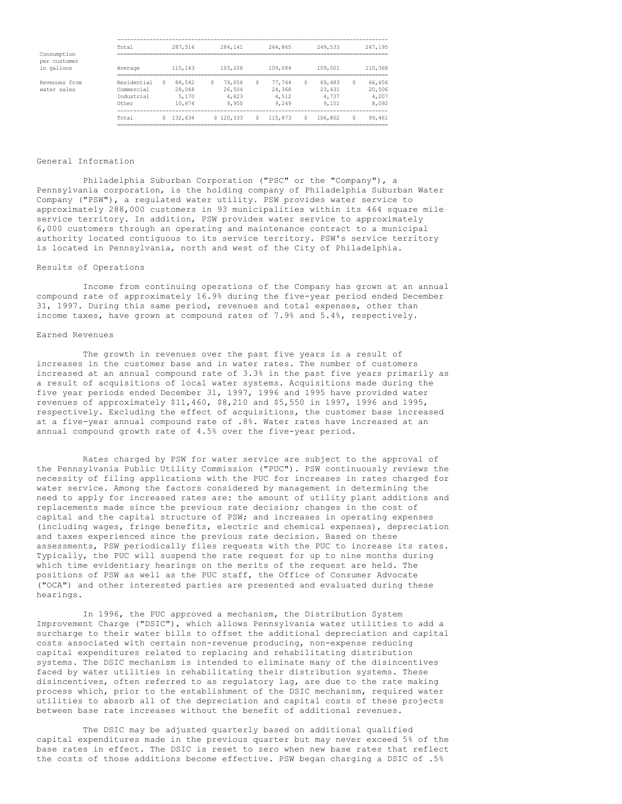|                             | Total       |   | 287,516 | 284,141   |   | 264,865 |   | 249,533 | 247,195 |
|-----------------------------|-------------|---|---------|-----------|---|---------|---|---------|---------|
| Consumption<br>per customer |             |   |         |           |   |         |   |         |         |
| in gallons                  | Average     |   | 110,143 | 103,206   |   | 109,084 |   | 109,001 | 110,368 |
| Revenues from               | Residential | S | 88,542  | 79,056    | S | 77.744  | S | 69,483  | 66,656  |
| water sales                 | Commercial  |   | 28,048  | 26,504    |   | 24,368  |   | 23,431  | 20,506  |
|                             | Industrial  |   | 5,170   | 4,823     |   | 4,512   |   | 4,737   | 4,207   |
|                             | Other       |   | 10,874  | 9,950     |   | 9,249   |   | 9,151   | 8,092   |
|                             | Total       |   | 132,634 | \$120,333 | S | 115,873 |   | 106,802 | 99,461  |
|                             |             |   |         |           |   |         |   |         |         |

### General Information

Philadelphia Suburban Corporation ("PSC" or the "Company"), a Pennsylvania corporation, is the holding company of Philadelphia Suburban Water Company ("PSW"), a regulated water utility. PSW provides water service to approximately 288,000 customers in 93 municipalities within its 464 square mile service territory. In addition, PSW provides water service to approximately 6,000 customers through an operating and maintenance contract to a municipal authority located contiguous to its service territory. PSW's service territory is located in Pennsylvania, north and west of the City of Philadelphia.

### Results of Operations

Income from continuing operations of the Company has grown at an annual compound rate of approximately 16.9% during the five-year period ended December 31, 1997. During this same period, revenues and total expenses, other than income taxes, have grown at compound rates of 7.9% and 5.4%, respectively.

## Earned Revenues

The growth in revenues over the past five years is a result of increases in the customer base and in water rates. The number of customers increased at an annual compound rate of 3.3% in the past five years primarily as a result of acquisitions of local water systems. Acquisitions made during the five year periods ended December 31, 1997, 1996 and 1995 have provided water revenues of approximately \$11,460, \$8,210 and \$5,550 in 1997, 1996 and 1995, respectively. Excluding the effect of acquisitions, the customer base increased at a five-year annual compound rate of .8%. Water rates have increased at an annual compound growth rate of 4.5% over the five-year period.

Rates charged by PSW for water service are subject to the approval of the Pennsylvania Public Utility Commission ("PUC"). PSW continuously reviews the necessity of filing applications with the PUC for increases in rates charged for water service. Among the factors considered by management in determining the need to apply for increased rates are: the amount of utility plant additions and replacements made since the previous rate decision; changes in the cost of capital and the capital structure of PSW; and increases in operating expenses (including wages, fringe benefits, electric and chemical expenses), depreciation and taxes experienced since the previous rate decision. Based on these assessments, PSW periodically files requests with the PUC to increase its rates. Typically, the PUC will suspend the rate request for up to nine months during which time evidentiary hearings on the merits of the request are held. The positions of PSW as well as the PUC staff, the Office of Consumer Advocate ("OCA") and other interested parties are presented and evaluated during these hearings.

In 1996, the PUC approved a mechanism, the Distribution System Improvement Charge ("DSIC"), which allows Pennsylvania water utilities to add a surcharge to their water bills to offset the additional depreciation and capital costs associated with certain non-revenue producing, non-expense reducing capital expenditures related to replacing and rehabilitating distribution systems. The DSIC mechanism is intended to eliminate many of the disincentives faced by water utilities in rehabilitating their distribution systems. These disincentives, often referred to as regulatory lag, are due to the rate making process which, prior to the establishment of the DSIC mechanism, required water utilities to absorb all of the depreciation and capital costs of these projects between base rate increases without the benefit of additional revenues.

The DSIC may be adjusted quarterly based on additional qualified capital expenditures made in the previous quarter but may never exceed 5% of the base rates in effect. The DSIC is reset to zero when new base rates that reflect the costs of those additions become effective. PSW began charging a DSIC of .5%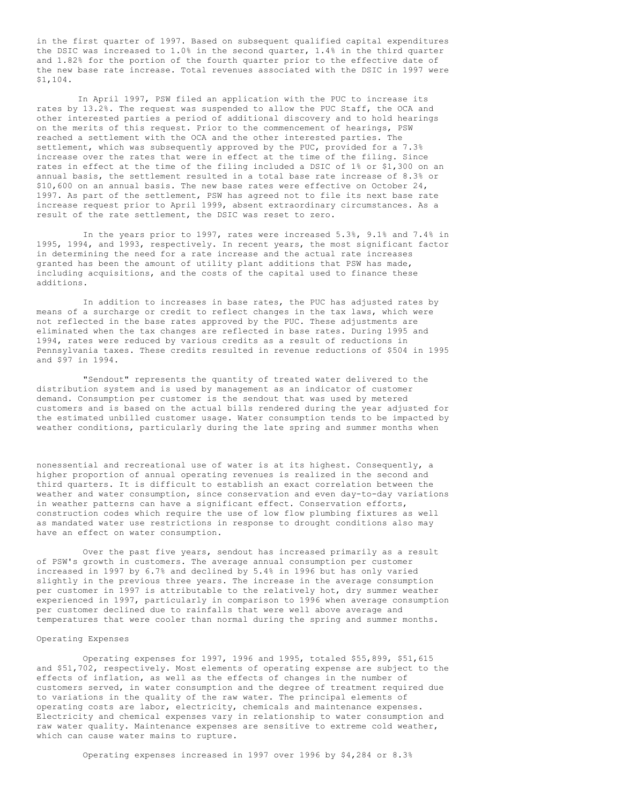in the first quarter of 1997. Based on subsequent qualified capital expenditures the DSIC was increased to 1.0% in the second quarter, 1.4% in the third quarter and 1.82% for the portion of the fourth quarter prior to the effective date of the new base rate increase. Total revenues associated with the DSIC in 1997 were \$1,104.

In April 1997, PSW filed an application with the PUC to increase its rates by 13.2%. The request was suspended to allow the PUC Staff, the OCA and other interested parties a period of additional discovery and to hold hearings on the merits of this request. Prior to the commencement of hearings, PSW reached a settlement with the OCA and the other interested parties. The settlement, which was subsequently approved by the PUC, provided for a 7.3% increase over the rates that were in effect at the time of the filing. Since rates in effect at the time of the filing included a DSIC of 1% or \$1,300 on an annual basis, the settlement resulted in a total base rate increase of 8.3% or \$10,600 on an annual basis. The new base rates were effective on October 24, 1997. As part of the settlement, PSW has agreed not to file its next base rate increase request prior to April 1999, absent extraordinary circumstances. As a result of the rate settlement, the DSIC was reset to zero.

In the years prior to 1997, rates were increased 5.3%, 9.1% and 7.4% in 1995, 1994, and 1993, respectively. In recent years, the most significant factor in determining the need for a rate increase and the actual rate increases granted has been the amount of utility plant additions that PSW has made, including acquisitions, and the costs of the capital used to finance these additions.

In addition to increases in base rates, the PUC has adjusted rates by means of a surcharge or credit to reflect changes in the tax laws, which were not reflected in the base rates approved by the PUC. These adjustments are eliminated when the tax changes are reflected in base rates. During 1995 and 1994, rates were reduced by various credits as a result of reductions in Pennsylvania taxes. These credits resulted in revenue reductions of \$504 in 1995 and \$97 in 1994.

"Sendout" represents the quantity of treated water delivered to the distribution system and is used by management as an indicator of customer demand. Consumption per customer is the sendout that was used by metered customers and is based on the actual bills rendered during the year adjusted for the estimated unbilled customer usage. Water consumption tends to be impacted by weather conditions, particularly during the late spring and summer months when

nonessential and recreational use of water is at its highest. Consequently, a higher proportion of annual operating revenues is realized in the second and third quarters. It is difficult to establish an exact correlation between the weather and water consumption, since conservation and even day-to-day variations in weather patterns can have a significant effect. Conservation efforts, construction codes which require the use of low flow plumbing fixtures as well as mandated water use restrictions in response to drought conditions also may have an effect on water consumption.

Over the past five years, sendout has increased primarily as a result of PSW's growth in customers. The average annual consumption per customer increased in 1997 by 6.7% and declined by 5.4% in 1996 but has only varied slightly in the previous three years. The increase in the average consumption per customer in 1997 is attributable to the relatively hot, dry summer weather experienced in 1997, particularly in comparison to 1996 when average consumption per customer declined due to rainfalls that were well above average and temperatures that were cooler than normal during the spring and summer months.

#### Operating Expenses

Operating expenses for 1997, 1996 and 1995, totaled \$55,899, \$51,615 and \$51,702, respectively. Most elements of operating expense are subject to the effects of inflation, as well as the effects of changes in the number of customers served, in water consumption and the degree of treatment required due to variations in the quality of the raw water. The principal elements of operating costs are labor, electricity, chemicals and maintenance expenses. Electricity and chemical expenses vary in relationship to water consumption and raw water quality. Maintenance expenses are sensitive to extreme cold weather, which can cause water mains to rupture.

Operating expenses increased in 1997 over 1996 by \$4,284 or 8.3%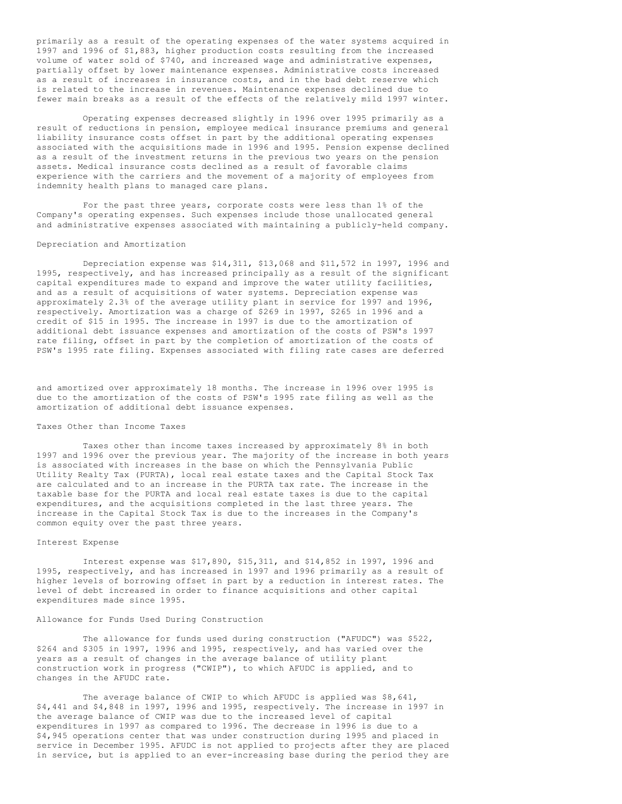primarily as a result of the operating expenses of the water systems acquired in 1997 and 1996 of \$1,883, higher production costs resulting from the increased volume of water sold of \$740, and increased wage and administrative expenses, partially offset by lower maintenance expenses. Administrative costs increased as a result of increases in insurance costs, and in the bad debt reserve which is related to the increase in revenues. Maintenance expenses declined due to fewer main breaks as a result of the effects of the relatively mild 1997 winter.

Operating expenses decreased slightly in 1996 over 1995 primarily as a result of reductions in pension, employee medical insurance premiums and general liability insurance costs offset in part by the additional operating expenses associated with the acquisitions made in 1996 and 1995. Pension expense declined as a result of the investment returns in the previous two years on the pension assets. Medical insurance costs declined as a result of favorable claims experience with the carriers and the movement of a majority of employees from indemnity health plans to managed care plans.

For the past three years, corporate costs were less than 1% of the Company's operating expenses. Such expenses include those unallocated general and administrative expenses associated with maintaining a publicly-held company.

### Depreciation and Amortization

Depreciation expense was \$14,311, \$13,068 and \$11,572 in 1997, 1996 and 1995, respectively, and has increased principally as a result of the significant capital expenditures made to expand and improve the water utility facilities, and as a result of acquisitions of water systems. Depreciation expense was approximately 2.3% of the average utility plant in service for 1997 and 1996, respectively. Amortization was a charge of \$269 in 1997, \$265 in 1996 and a credit of \$15 in 1995. The increase in 1997 is due to the amortization of additional debt issuance expenses and amortization of the costs of PSW's 1997 rate filing, offset in part by the completion of amortization of the costs of PSW's 1995 rate filing. Expenses associated with filing rate cases are deferred

and amortized over approximately 18 months. The increase in 1996 over 1995 is due to the amortization of the costs of PSW's 1995 rate filing as well as the amortization of additional debt issuance expenses.

## Taxes Other than Income Taxes

Taxes other than income taxes increased by approximately 8% in both 1997 and 1996 over the previous year. The majority of the increase in both years is associated with increases in the base on which the Pennsylvania Public Utility Realty Tax (PURTA), local real estate taxes and the Capital Stock Tax are calculated and to an increase in the PURTA tax rate. The increase in the taxable base for the PURTA and local real estate taxes is due to the capital expenditures, and the acquisitions completed in the last three years. The increase in the Capital Stock Tax is due to the increases in the Company's common equity over the past three years.

### Interest Expense

Interest expense was \$17,890, \$15,311, and \$14,852 in 1997, 1996 and 1995, respectively, and has increased in 1997 and 1996 primarily as a result of higher levels of borrowing offset in part by a reduction in interest rates. The level of debt increased in order to finance acquisitions and other capital expenditures made since 1995.

# Allowance for Funds Used During Construction

The allowance for funds used during construction ("AFUDC") was \$522, \$264 and \$305 in 1997, 1996 and 1995, respectively, and has varied over the years as a result of changes in the average balance of utility plant construction work in progress ("CWIP"), to which AFUDC is applied, and to changes in the AFUDC rate.

The average balance of CWIP to which AFUDC is applied was \$8,641, \$4,441 and \$4,848 in 1997, 1996 and 1995, respectively. The increase in 1997 in the average balance of CWIP was due to the increased level of capital expenditures in 1997 as compared to 1996. The decrease in 1996 is due to a \$4,945 operations center that was under construction during 1995 and placed in service in December 1995. AFUDC is not applied to projects after they are placed in service, but is applied to an ever-increasing base during the period they are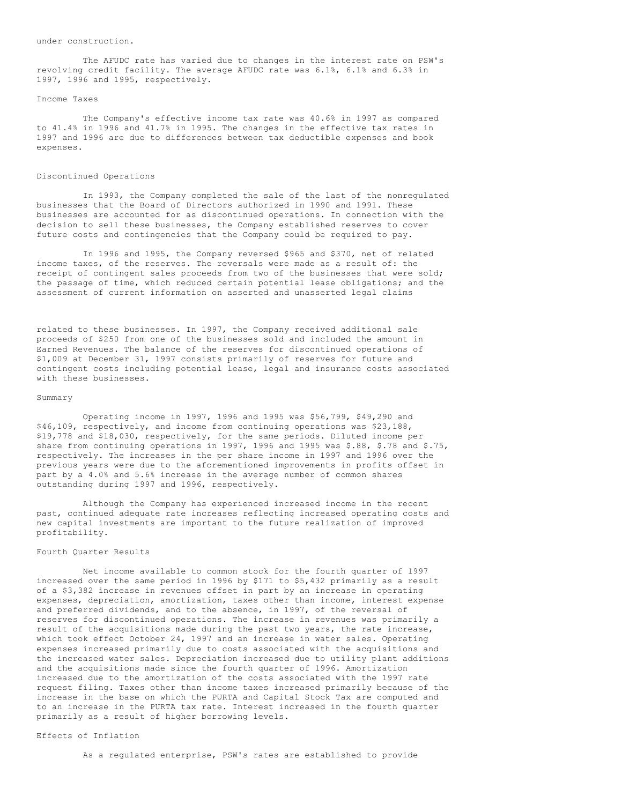under construction.

The AFUDC rate has varied due to changes in the interest rate on PSW's revolving credit facility. The average AFUDC rate was 6.1%, 6.1% and 6.3% in 1997, 1996 and 1995, respectively.

## Income Taxes

The Company's effective income tax rate was 40.6% in 1997 as compared to 41.4% in 1996 and 41.7% in 1995. The changes in the effective tax rates in 1997 and 1996 are due to differences between tax deductible expenses and book expenses.

#### Discontinued Operations

In 1993, the Company completed the sale of the last of the nonregulated businesses that the Board of Directors authorized in 1990 and 1991. These businesses are accounted for as discontinued operations. In connection with the decision to sell these businesses, the Company established reserves to cover future costs and contingencies that the Company could be required to pay.

In 1996 and 1995, the Company reversed \$965 and \$370, net of related income taxes, of the reserves. The reversals were made as a result of: the receipt of contingent sales proceeds from two of the businesses that were sold; the passage of time, which reduced certain potential lease obligations; and the assessment of current information on asserted and unasserted legal claims

related to these businesses. In 1997, the Company received additional sale proceeds of \$250 from one of the businesses sold and included the amount in Earned Revenues. The balance of the reserves for discontinued operations of \$1,009 at December 31, 1997 consists primarily of reserves for future and contingent costs including potential lease, legal and insurance costs associated with these businesses.

#### Summary

Operating income in 1997, 1996 and 1995 was \$56,799, \$49,290 and \$46,109, respectively, and income from continuing operations was \$23,188, \$19,778 and \$18,030, respectively, for the same periods. Diluted income per share from continuing operations in 1997, 1996 and 1995 was \$.88, \$.78 and \$.75, respectively. The increases in the per share income in 1997 and 1996 over the previous years were due to the aforementioned improvements in profits offset in part by a 4.0% and 5.6% increase in the average number of common shares outstanding during 1997 and 1996, respectively.

Although the Company has experienced increased income in the recent past, continued adequate rate increases reflecting increased operating costs and new capital investments are important to the future realization of improved profitability.

### Fourth Quarter Results

Net income available to common stock for the fourth quarter of 1997 increased over the same period in 1996 by \$171 to \$5,432 primarily as a result of a \$3,382 increase in revenues offset in part by an increase in operating expenses, depreciation, amortization, taxes other than income, interest expense and preferred dividends, and to the absence, in 1997, of the reversal of reserves for discontinued operations. The increase in revenues was primarily a result of the acquisitions made during the past two years, the rate increase, which took effect October 24, 1997 and an increase in water sales. Operating expenses increased primarily due to costs associated with the acquisitions and the increased water sales. Depreciation increased due to utility plant additions and the acquisitions made since the fourth quarter of 1996. Amortization increased due to the amortization of the costs associated with the 1997 rate request filing. Taxes other than income taxes increased primarily because of the increase in the base on which the PURTA and Capital Stock Tax are computed and to an increase in the PURTA tax rate. Interest increased in the fourth quarter primarily as a result of higher borrowing levels.

# Effects of Inflation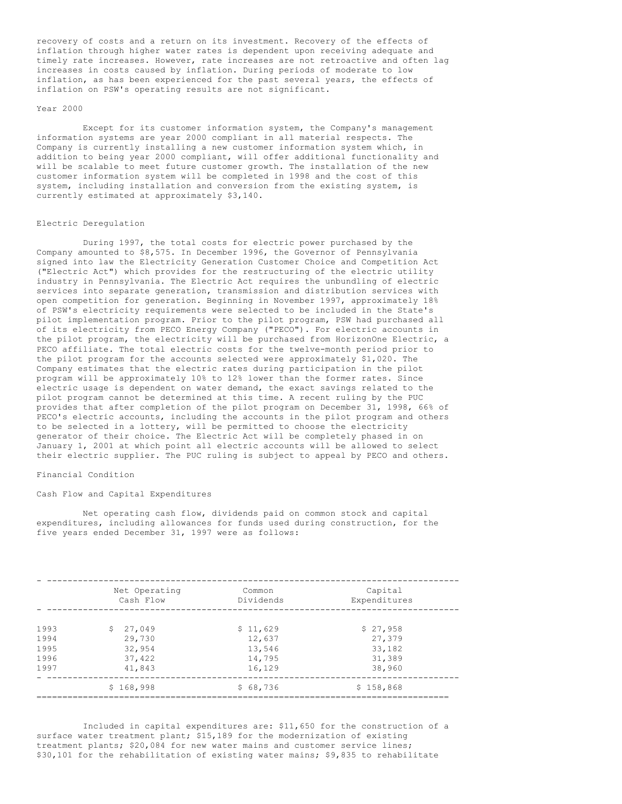recovery of costs and a return on its investment. Recovery of the effects of inflation through higher water rates is dependent upon receiving adequate and timely rate increases. However, rate increases are not retroactive and often lag increases in costs caused by inflation. During periods of moderate to low inflation, as has been experienced for the past several years, the effects of inflation on PSW's operating results are not significant.

#### Year 2000

Except for its customer information system, the Company's management information systems are year 2000 compliant in all material respects. The Company is currently installing a new customer information system which, in addition to being year 2000 compliant, will offer additional functionality and will be scalable to meet future customer growth. The installation of the new customer information system will be completed in 1998 and the cost of this system, including installation and conversion from the existing system, is currently estimated at approximately \$3,140.

## Electric Deregulation

During 1997, the total costs for electric power purchased by the Company amounted to \$8,575. In December 1996, the Governor of Pennsylvania signed into law the Electricity Generation Customer Choice and Competition Act ("Electric Act") which provides for the restructuring of the electric utility industry in Pennsylvania. The Electric Act requires the unbundling of electric services into separate generation, transmission and distribution services with open competition for generation. Beginning in November 1997, approximately 18% of PSW's electricity requirements were selected to be included in the State's pilot implementation program. Prior to the pilot program, PSW had purchased all of its electricity from PECO Energy Company ("PECO"). For electric accounts in the pilot program, the electricity will be purchased from HorizonOne Electric, a PECO affiliate. The total electric costs for the twelve-month period prior to the pilot program for the accounts selected were approximately \$1,020. The Company estimates that the electric rates during participation in the pilot program will be approximately 10% to 12% lower than the former rates. Since electric usage is dependent on water demand, the exact savings related to the pilot program cannot be determined at this time. A recent ruling by the PUC provides that after completion of the pilot program on December 31, 1998, 66% of PECO's electric accounts, including the accounts in the pilot program and others to be selected in a lottery, will be permitted to choose the electricity generator of their choice. The Electric Act will be completely phased in on January 1, 2001 at which point all electric accounts will be allowed to select their electric supplier. The PUC ruling is subject to appeal by PECO and others.

### Financial Condition

### Cash Flow and Capital Expenditures

Net operating cash flow, dividends paid on common stock and capital expenditures, including allowances for funds used during construction, for the five years ended December 31, 1997 were as follows:

|      | Net Operating<br>Cash Flow | Common<br>Dividends | Capital<br>Expenditures |
|------|----------------------------|---------------------|-------------------------|
|      |                            |                     |                         |
| 1993 | \$27.049                   | \$11,629            | \$27,958                |
| 1994 | 29,730                     | 12,637              | 27,379                  |
| 1995 | 32,954                     | 13,546              | 33,182                  |
| 1996 | 37,422                     | 14,795              | 31,389                  |
| 1997 | 41,843                     | 16,129              | 38,960                  |
|      | \$168,998                  | \$68,736            | \$158,868               |
|      |                            |                     |                         |

Included in capital expenditures are: \$11,650 for the construction of a surface water treatment plant; \$15,189 for the modernization of existing treatment plants; \$20,084 for new water mains and customer service lines; \$30,101 for the rehabilitation of existing water mains; \$9,835 to rehabilitate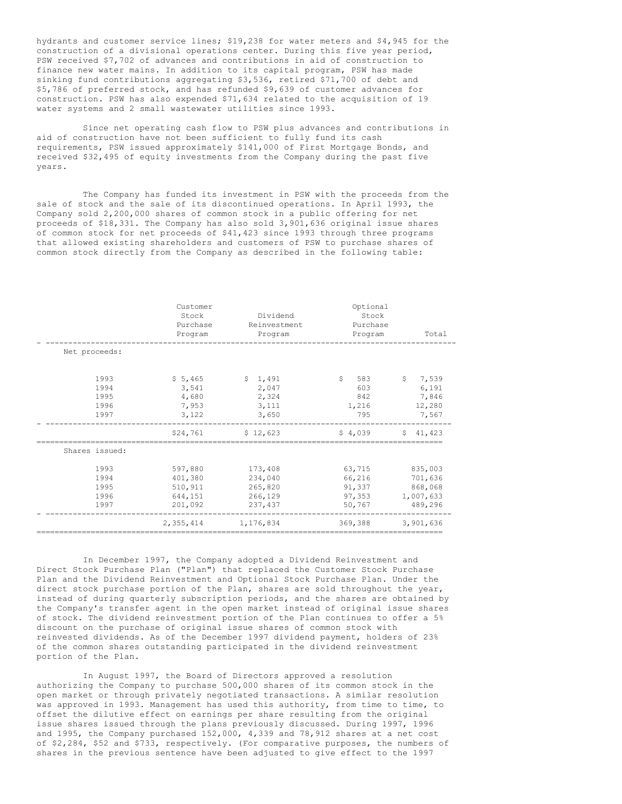hydrants and customer service lines; \$19,238 for water meters and \$4,945 for the construction of a divisional operations center. During this five year period, PSW received \$7,702 of advances and contributions in aid of construction to finance new water mains. In addition to its capital program, PSW has made sinking fund contributions aggregating \$3,536, retired \$71,700 of debt and \$5,786 of preferred stock, and has refunded \$9,639 of customer advances for construction. PSW has also expended \$71,634 related to the acquisition of 19 water systems and 2 small wastewater utilities since 1993.

Since net operating cash flow to PSW plus advances and contributions in aid of construction have not been sufficient to fully fund its cash requirements, PSW issued approximately \$141,000 of First Mortgage Bonds, and received \$32,495 of equity investments from the Company during the past five years.

The Company has funded its investment in PSW with the proceeds from the sale of stock and the sale of its discontinued operations. In April 1993, the Company sold 2,200,000 shares of common stock in a public offering for net proceeds of \$18,331. The Company has also sold 3,901,636 original issue shares of common stock for net proceeds of \$41,423 since 1993 through three programs that allowed existing shareholders and customers of PSW to purchase shares of common stock directly from the Company as described in the following table:

|                                      | Customer<br>Stock<br>Purchase<br>Program            | Dividend<br>Reinvestment<br>Program                 | Optional<br>Stock<br>Purchase<br>Program       | Total                                                        |
|--------------------------------------|-----------------------------------------------------|-----------------------------------------------------|------------------------------------------------|--------------------------------------------------------------|
| Net proceeds:                        |                                                     |                                                     |                                                |                                                              |
| 1993<br>1994<br>1995<br>1996<br>1997 | \$5,465<br>3,541<br>4,680<br>7,953<br>3,122         | \$1,491<br>2,047<br>2,324<br>3,111<br>3,650         | S.<br>583<br>603<br>842<br>1,216<br>795        | $\mathsf{S}^-$<br>7,539<br>6,191<br>7,846<br>12,280<br>7,567 |
|                                      | \$24,761                                            | \$12,623                                            | \$4,039                                        | \$41.423                                                     |
| Shares issued:                       |                                                     |                                                     |                                                |                                                              |
| 1993<br>1994<br>1995<br>1996<br>1997 | 597,880<br>401,380<br>510,911<br>644,151<br>201,092 | 173,408<br>234,040<br>265,820<br>266,129<br>237,437 | 63,715<br>66,216<br>91,337<br>97,353<br>50,767 | 835,003<br>701,636<br>868,068<br>1,007,633<br>489,296        |
|                                      | 2.355.414                                           | 1,176,834                                           | 369,388                                        | 3.901.636                                                    |

In December 1997, the Company adopted a Dividend Reinvestment and Direct Stock Purchase Plan ("Plan") that replaced the Customer Stock Purchase Plan and the Dividend Reinvestment and Optional Stock Purchase Plan. Under the direct stock purchase portion of the Plan, shares are sold throughout the year, instead of during quarterly subscription periods, and the shares are obtained by the Company's transfer agent in the open market instead of original issue shares of stock. The dividend reinvestment portion of the Plan continues to offer a 5% discount on the purchase of original issue shares of common stock with reinvested dividends. As of the December 1997 dividend payment, holders of 23% of the common shares outstanding participated in the dividend reinvestment portion of the Plan.

In August 1997, the Board of Directors approved a resolution authorizing the Company to purchase 500,000 shares of its common stock in the open market or through privately negotiated transactions. A similar resolution was approved in 1993. Management has used this authority, from time to time, to offset the dilutive effect on earnings per share resulting from the original issue shares issued through the plans previously discussed. During 1997, 1996 and 1995, the Company purchased 152,000, 4,339 and 78,912 shares at a net cost of \$2,284, \$52 and \$733, respectively. (For comparative purposes, the numbers of shares in the previous sentence have been adjusted to give effect to the 1997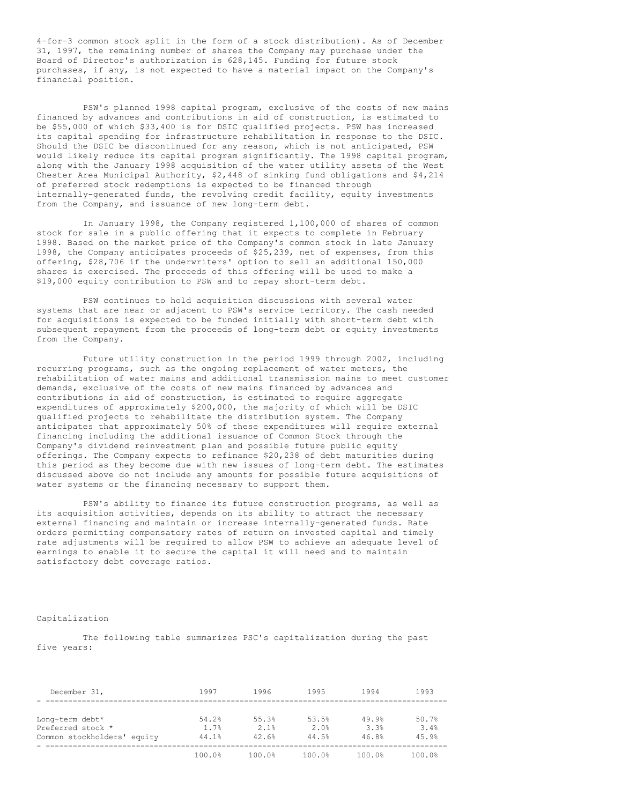4-for-3 common stock split in the form of a stock distribution). As of December 31, 1997, the remaining number of shares the Company may purchase under the Board of Director's authorization is 628,145. Funding for future stock purchases, if any, is not expected to have a material impact on the Company's financial position.

PSW's planned 1998 capital program, exclusive of the costs of new mains financed by advances and contributions in aid of construction, is estimated to be \$55,000 of which \$33,400 is for DSIC qualified projects. PSW has increased its capital spending for infrastructure rehabilitation in response to the DSIC. Should the DSIC be discontinued for any reason, which is not anticipated, PSW would likely reduce its capital program significantly. The 1998 capital program, along with the January 1998 acquisition of the water utility assets of the West Chester Area Municipal Authority, \$2,448 of sinking fund obligations and \$4,214 of preferred stock redemptions is expected to be financed through internally-generated funds, the revolving credit facility, equity investments from the Company, and issuance of new long-term debt.

In January 1998, the Company registered 1,100,000 of shares of common stock for sale in a public offering that it expects to complete in February 1998. Based on the market price of the Company's common stock in late January 1998, the Company anticipates proceeds of \$25,239, net of expenses, from this offering, \$28,706 if the underwriters' option to sell an additional 150,000 shares is exercised. The proceeds of this offering will be used to make a \$19,000 equity contribution to PSW and to repay short-term debt.

PSW continues to hold acquisition discussions with several water systems that are near or adjacent to PSW's service territory. The cash needed for acquisitions is expected to be funded initially with short-term debt with subsequent repayment from the proceeds of long-term debt or equity investments from the Company.

Future utility construction in the period 1999 through 2002, including recurring programs, such as the ongoing replacement of water meters, the rehabilitation of water mains and additional transmission mains to meet customer demands, exclusive of the costs of new mains financed by advances and contributions in aid of construction, is estimated to require aggregate expenditures of approximately \$200,000, the majority of which will be DSIC qualified projects to rehabilitate the distribution system. The Company anticipates that approximately 50% of these expenditures will require external financing including the additional issuance of Common Stock through the Company's dividend reinvestment plan and possible future public equity offerings. The Company expects to refinance \$20,238 of debt maturities during this period as they become due with new issues of long-term debt. The estimates discussed above do not include any amounts for possible future acquisitions of water systems or the financing necessary to support them.

PSW's ability to finance its future construction programs, as well as its acquisition activities, depends on its ability to attract the necessary external financing and maintain or increase internally-generated funds. Rate orders permitting compensatory rates of return on invested capital and timely rate adjustments will be required to allow PSW to achieve an adequate level of earnings to enable it to secure the capital it will need and to maintain satisfactory debt coverage ratios.

## Capitalization

The following table summarizes PSC's capitalization during the past five years:

| December 31,                | 1997   | 1996   | 1995   | 1994   | 1993   |
|-----------------------------|--------|--------|--------|--------|--------|
|                             |        |        |        |        |        |
| Long-term debt*             | 54.2%  | 55.3%  | 53.5%  | 49.9%  | 50.7%  |
| Preferred stock *           | 1.7%   | 2.1%   | 2.0%   | 3.3%   | 3.4%   |
| Common stockholders' equity | 44.1%  | 42.6%  | 44.5%  | 46.8%  | 45.9%  |
|                             | 100.0% | 100.0% | 100.0% | 100.0% | 100.0% |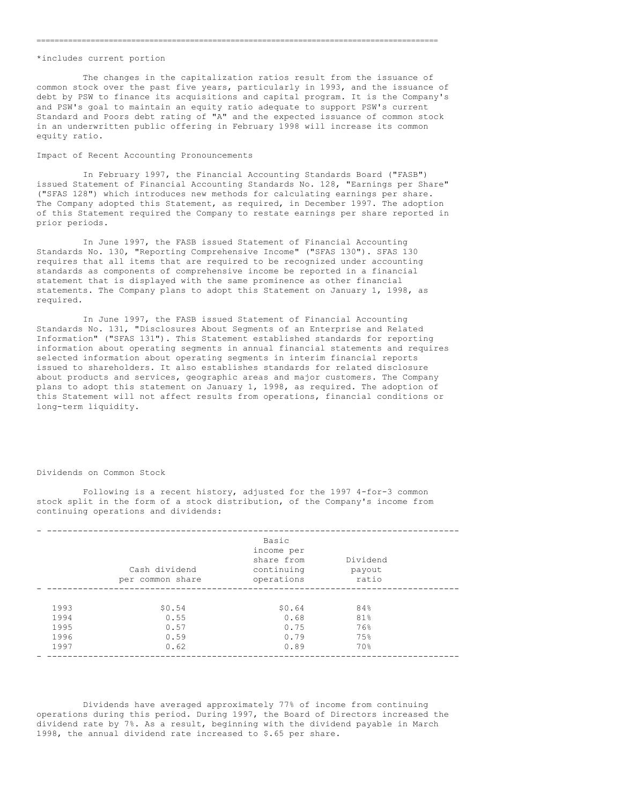#### \*includes current portion

The changes in the capitalization ratios result from the issuance of common stock over the past five years, particularly in 1993, and the issuance of debt by PSW to finance its acquisitions and capital program. It is the Company's and PSW's goal to maintain an equity ratio adequate to support PSW's current Standard and Poors debt rating of "A" and the expected issuance of common stock in an underwritten public offering in February 1998 will increase its common equity ratio.

=========================================================================================

## Impact of Recent Accounting Pronouncements

In February 1997, the Financial Accounting Standards Board ("FASB") issued Statement of Financial Accounting Standards No. 128, "Earnings per Share" ("SFAS 128") which introduces new methods for calculating earnings per share. The Company adopted this Statement, as required, in December 1997. The adoption of this Statement required the Company to restate earnings per share reported in prior periods.

In June 1997, the FASB issued Statement of Financial Accounting Standards No. 130, "Reporting Comprehensive Income" ("SFAS 130"). SFAS 130 requires that all items that are required to be recognized under accounting standards as components of comprehensive income be reported in a financial statement that is displayed with the same prominence as other financial statements. The Company plans to adopt this Statement on January 1, 1998, as required.

In June 1997, the FASB issued Statement of Financial Accounting Standards No. 131, "Disclosures About Segments of an Enterprise and Related Information" ("SFAS 131"). This Statement established standards for reporting information about operating segments in annual financial statements and requires selected information about operating segments in interim financial reports issued to shareholders. It also establishes standards for related disclosure about products and services, geographic areas and major customers. The Company plans to adopt this statement on January 1, 1998, as required. The adoption of this Statement will not affect results from operations, financial conditions or long-term liquidity.

### Dividends on Common Stock

Following is a recent history, adjusted for the 1997 4-for-3 common stock split in the form of a stock distribution, of the Company's income from continuing operations and dividends:

|      | Cash dividend<br>per common share | Basic<br>income per<br>share from<br>continuing<br>operations | Dividend<br>payout<br>ratio |  |
|------|-----------------------------------|---------------------------------------------------------------|-----------------------------|--|
|      |                                   |                                                               |                             |  |
| 1993 | \$0.54                            | \$0.64                                                        | 84%                         |  |
| 1994 | 0.55                              | 0.68                                                          | 81%                         |  |
| 1995 | 0.57                              | 0.75                                                          | 76%                         |  |
| 1996 | 0.59                              | 0.79                                                          | 75%                         |  |
| 1997 | 0.62                              | 0.89                                                          | 70%                         |  |
|      |                                   |                                                               |                             |  |

Dividends have averaged approximately 77% of income from continuing operations during this period. During 1997, the Board of Directors increased the dividend rate by 7%. As a result, beginning with the dividend payable in March 1998, the annual dividend rate increased to \$.65 per share.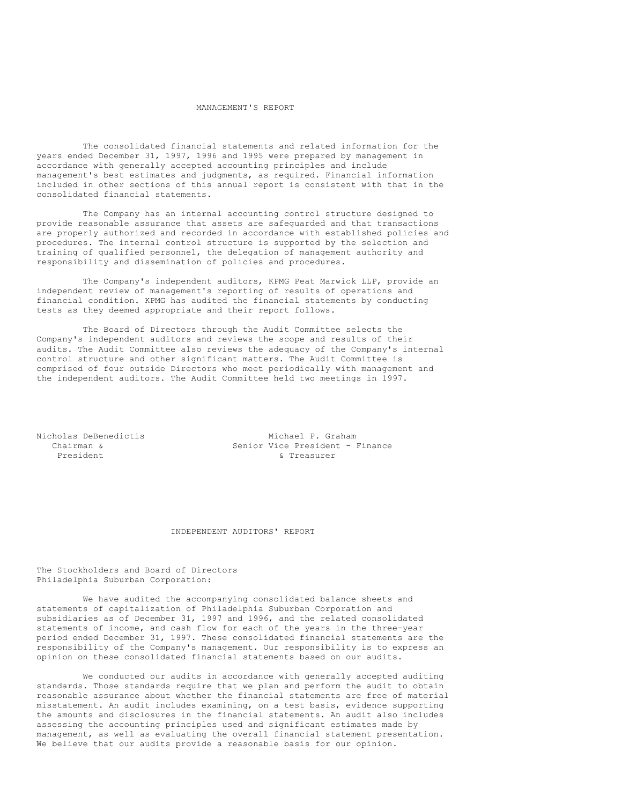### MANAGEMENT'S REPORT

The consolidated financial statements and related information for the years ended December 31, 1997, 1996 and 1995 were prepared by management in accordance with generally accepted accounting principles and include management's best estimates and judgments, as required. Financial information included in other sections of this annual report is consistent with that in the consolidated financial statements.

The Company has an internal accounting control structure designed to provide reasonable assurance that assets are safeguarded and that transactions are properly authorized and recorded in accordance with established policies and procedures. The internal control structure is supported by the selection and training of qualified personnel, the delegation of management authority and responsibility and dissemination of policies and procedures.

The Company's independent auditors, KPMG Peat Marwick LLP, provide an independent review of management's reporting of results of operations and financial condition. KPMG has audited the financial statements by conducting tests as they deemed appropriate and their report follows.

The Board of Directors through the Audit Committee selects the Company's independent auditors and reviews the scope and results of their audits. The Audit Committee also reviews the adequacy of the Company's internal control structure and other significant matters. The Audit Committee is comprised of four outside Directors who meet periodically with management and the independent auditors. The Audit Committee held two meetings in 1997.

Nicholas DeBenedictis Michael P. Graham<br>Chairman & Senior Vice President -Senior Vice President - Finance President & Treasurer

## INDEPENDENT AUDITORS' REPORT

The Stockholders and Board of Directors Philadelphia Suburban Corporation:

We have audited the accompanying consolidated balance sheets and statements of capitalization of Philadelphia Suburban Corporation and subsidiaries as of December 31, 1997 and 1996, and the related consolidated statements of income, and cash flow for each of the years in the three-year period ended December 31, 1997. These consolidated financial statements are the responsibility of the Company's management. Our responsibility is to express an opinion on these consolidated financial statements based on our audits.

We conducted our audits in accordance with generally accepted auditing standards. Those standards require that we plan and perform the audit to obtain reasonable assurance about whether the financial statements are free of material misstatement. An audit includes examining, on a test basis, evidence supporting the amounts and disclosures in the financial statements. An audit also includes assessing the accounting principles used and significant estimates made by management, as well as evaluating the overall financial statement presentation. We believe that our audits provide a reasonable basis for our opinion.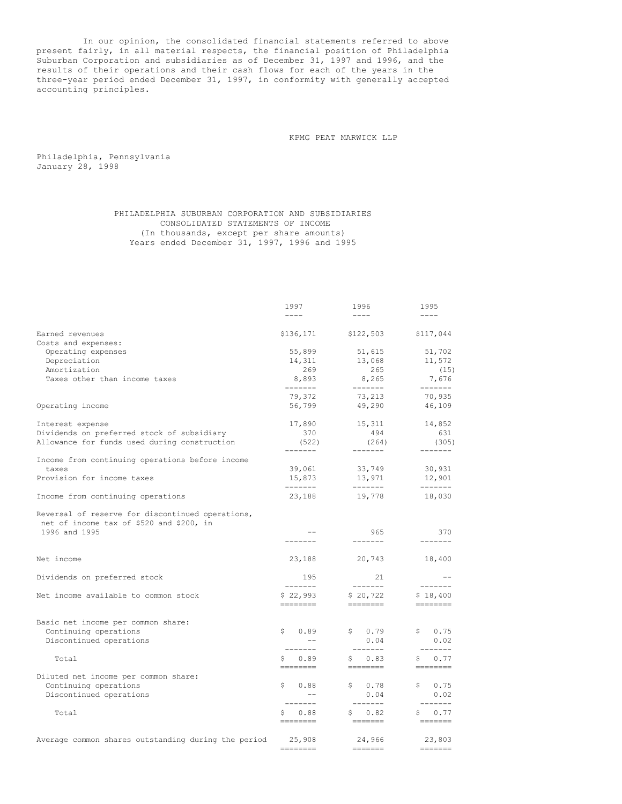In our opinion, the consolidated financial statements referred to above present fairly, in all material respects, the financial position of Philadelphia Suburban Corporation and subsidiaries as of December 31, 1997 and 1996, and the results of their operations and their cash flows for each of the years in the three-year period ended December 31, 1997, in conformity with generally accepted accounting principles.

KPMG PEAT MARWICK LLP

Philadelphia, Pennsylvania January 28, 1998

> PHILADELPHIA SUBURBAN CORPORATION AND SUBSIDIARIES CONSOLIDATED STATEMENTS OF INCOME (In thousands, except per share amounts) Years ended December 31, 1997, 1996 and 1995

|                                                                                              | 1997                        | 1996                                                                                                                                                                                                                                                                                                                                                                                                                                                                                                                                                       | 1995                                                                                                                                                                                                                                                                                                                                                                                                                                                                                                                                                       |
|----------------------------------------------------------------------------------------------|-----------------------------|------------------------------------------------------------------------------------------------------------------------------------------------------------------------------------------------------------------------------------------------------------------------------------------------------------------------------------------------------------------------------------------------------------------------------------------------------------------------------------------------------------------------------------------------------------|------------------------------------------------------------------------------------------------------------------------------------------------------------------------------------------------------------------------------------------------------------------------------------------------------------------------------------------------------------------------------------------------------------------------------------------------------------------------------------------------------------------------------------------------------------|
|                                                                                              | $- - - -$                   | $---$                                                                                                                                                                                                                                                                                                                                                                                                                                                                                                                                                      | $- - - -$                                                                                                                                                                                                                                                                                                                                                                                                                                                                                                                                                  |
| Earned revenues                                                                              |                             | $$136, 171$ $$122, 503$                                                                                                                                                                                                                                                                                                                                                                                                                                                                                                                                    | \$117,044                                                                                                                                                                                                                                                                                                                                                                                                                                                                                                                                                  |
| Costs and expenses:                                                                          |                             |                                                                                                                                                                                                                                                                                                                                                                                                                                                                                                                                                            |                                                                                                                                                                                                                                                                                                                                                                                                                                                                                                                                                            |
| Operating expenses                                                                           | 55,899                      | 51,615                                                                                                                                                                                                                                                                                                                                                                                                                                                                                                                                                     | 51,702                                                                                                                                                                                                                                                                                                                                                                                                                                                                                                                                                     |
| Depreciation                                                                                 | 14,311                      | 13,068                                                                                                                                                                                                                                                                                                                                                                                                                                                                                                                                                     | 11,572                                                                                                                                                                                                                                                                                                                                                                                                                                                                                                                                                     |
| Amortization                                                                                 | 269                         | 265                                                                                                                                                                                                                                                                                                                                                                                                                                                                                                                                                        | (15)                                                                                                                                                                                                                                                                                                                                                                                                                                                                                                                                                       |
| Taxes other than income taxes                                                                | 8,893<br>--------           | 8,265<br>--------                                                                                                                                                                                                                                                                                                                                                                                                                                                                                                                                          | 7,676<br>-------                                                                                                                                                                                                                                                                                                                                                                                                                                                                                                                                           |
|                                                                                              | 79,372                      | 73,213                                                                                                                                                                                                                                                                                                                                                                                                                                                                                                                                                     | 70,935                                                                                                                                                                                                                                                                                                                                                                                                                                                                                                                                                     |
| Operating income                                                                             | 56,799                      | 49,290                                                                                                                                                                                                                                                                                                                                                                                                                                                                                                                                                     | 46,109                                                                                                                                                                                                                                                                                                                                                                                                                                                                                                                                                     |
| Interest expense                                                                             | 17,890                      | 15,311                                                                                                                                                                                                                                                                                                                                                                                                                                                                                                                                                     | 14,852                                                                                                                                                                                                                                                                                                                                                                                                                                                                                                                                                     |
| Dividends on preferred stock of subsidiary                                                   | 370                         | 494                                                                                                                                                                                                                                                                                                                                                                                                                                                                                                                                                        | 631                                                                                                                                                                                                                                                                                                                                                                                                                                                                                                                                                        |
| Allowance for funds used during construction                                                 | (522)<br>-------            | (264)<br>-------                                                                                                                                                                                                                                                                                                                                                                                                                                                                                                                                           | (305)<br>$- - - - - - -$                                                                                                                                                                                                                                                                                                                                                                                                                                                                                                                                   |
| Income from continuing operations before income                                              |                             |                                                                                                                                                                                                                                                                                                                                                                                                                                                                                                                                                            |                                                                                                                                                                                                                                                                                                                                                                                                                                                                                                                                                            |
| taxes                                                                                        | 39,061                      | 33,749                                                                                                                                                                                                                                                                                                                                                                                                                                                                                                                                                     | 30,931                                                                                                                                                                                                                                                                                                                                                                                                                                                                                                                                                     |
| Provision for income taxes                                                                   | 15,873                      | 13,971                                                                                                                                                                                                                                                                                                                                                                                                                                                                                                                                                     | 12,901                                                                                                                                                                                                                                                                                                                                                                                                                                                                                                                                                     |
| Income from continuing operations                                                            | -------<br>23,188           | ________<br>19,778                                                                                                                                                                                                                                                                                                                                                                                                                                                                                                                                         | --------<br>18,030                                                                                                                                                                                                                                                                                                                                                                                                                                                                                                                                         |
| Reversal of reserve for discontinued operations,<br>net of income tax of \$520 and \$200, in |                             |                                                                                                                                                                                                                                                                                                                                                                                                                                                                                                                                                            |                                                                                                                                                                                                                                                                                                                                                                                                                                                                                                                                                            |
| 1996 and 1995                                                                                | $- -$<br>--------           | 965<br>$- - - - - - -$                                                                                                                                                                                                                                                                                                                                                                                                                                                                                                                                     | 370<br>$- - - - - - -$                                                                                                                                                                                                                                                                                                                                                                                                                                                                                                                                     |
| Net income                                                                                   | 23,188                      | 20,743                                                                                                                                                                                                                                                                                                                                                                                                                                                                                                                                                     | 18,400                                                                                                                                                                                                                                                                                                                                                                                                                                                                                                                                                     |
| Dividends on preferred stock                                                                 | 195                         | 21                                                                                                                                                                                                                                                                                                                                                                                                                                                                                                                                                         | $-$                                                                                                                                                                                                                                                                                                                                                                                                                                                                                                                                                        |
| Net income available to common stock                                                         | $- - - - - - -$<br>\$22,993 | $- - - - - - -$<br>\$20,722                                                                                                                                                                                                                                                                                                                                                                                                                                                                                                                                | $- - - - - - -$<br>\$18,400                                                                                                                                                                                                                                                                                                                                                                                                                                                                                                                                |
|                                                                                              | ========                    | docodod i                                                                                                                                                                                                                                                                                                                                                                                                                                                                                                                                                  | $\begin{tabular}{ll} \multicolumn{3}{l}{{\color{blue}\textbf{1}}}\\ \multicolumn{3}{l}{\color{blue}\textbf{2}}\\ \multicolumn{3}{l}{\color{blue}\textbf{2}}\\ \multicolumn{3}{l}{\color{blue}\textbf{3}}\\ \multicolumn{3}{l}{\color{blue}\textbf{4}}\\ \multicolumn{3}{l}{\color{blue}\textbf{4}}\\ \multicolumn{3}{l}{\color{blue}\textbf{4}}\\ \multicolumn{3}{l}{\color{blue}\textbf{5}}\\ \multicolumn{3}{l}{\color{blue}\textbf{5}}\\ \multicolumn{3}{l}{\color{blue}\textbf{5}}\\ \multicolumn{3}{l}{\color$                                        |
| Basic net income per common share:                                                           |                             |                                                                                                                                                                                                                                                                                                                                                                                                                                                                                                                                                            |                                                                                                                                                                                                                                                                                                                                                                                                                                                                                                                                                            |
| Continuing operations                                                                        | \$0.89                      | \$0.79                                                                                                                                                                                                                                                                                                                                                                                                                                                                                                                                                     | \$0.75                                                                                                                                                                                                                                                                                                                                                                                                                                                                                                                                                     |
| Discontinued operations                                                                      | $- -$                       | 0.04                                                                                                                                                                                                                                                                                                                                                                                                                                                                                                                                                       | 0.02                                                                                                                                                                                                                                                                                                                                                                                                                                                                                                                                                       |
|                                                                                              | $- - - - - - -$             | --------                                                                                                                                                                                                                                                                                                                                                                                                                                                                                                                                                   | $- - - - - - -$                                                                                                                                                                                                                                                                                                                                                                                                                                                                                                                                            |
| Total                                                                                        | \$0.89                      | \$0.83                                                                                                                                                                                                                                                                                                                                                                                                                                                                                                                                                     | \$0.77                                                                                                                                                                                                                                                                                                                                                                                                                                                                                                                                                     |
|                                                                                              |                             | $\begin{tabular}{ll} \multicolumn{3}{l}{{\color{red}\boldsymbol{=}}} & \multicolumn{3}{l}{\color{blue}\boldsymbol{=}} & \multicolumn{3}{l}{\color{blue}\boldsymbol{=}} & \multicolumn{3}{l}{\color{blue}\boldsymbol{=}} & \multicolumn{3}{l}{\color{blue}\boldsymbol{=}} & \multicolumn{3}{l}{\color{blue}\boldsymbol{=}} & \multicolumn{3}{l}{\color{blue}\boldsymbol{=}} & \multicolumn{3}{l}{\color{blue}\boldsymbol{=}} & \multicolumn{3}{l}{\color{blue}\boldsymbol{=}} & \multicolumn{3}{l}{\color{blue}\boldsymbol{=}} & \multicolumn{3}{l}{\color$ | $\begin{tabular}{ll} \multicolumn{3}{l}{{\color{red}\boldsymbol{=}}} & \multicolumn{3}{l}{\color{blue}\boldsymbol{=}} & \multicolumn{3}{l}{\color{blue}\boldsymbol{=}} & \multicolumn{3}{l}{\color{blue}\boldsymbol{=}} & \multicolumn{3}{l}{\color{blue}\boldsymbol{=}} & \multicolumn{3}{l}{\color{blue}\boldsymbol{=}} & \multicolumn{3}{l}{\color{blue}\boldsymbol{=}} & \multicolumn{3}{l}{\color{blue}\boldsymbol{=}} & \multicolumn{3}{l}{\color{blue}\boldsymbol{=}} & \multicolumn{3}{l}{\color{blue}\boldsymbol{=}} & \multicolumn{3}{l}{\color$ |
| Diluted net income per common share:<br>Continuing operations                                | \$0.88                      | \$0.78                                                                                                                                                                                                                                                                                                                                                                                                                                                                                                                                                     | \$0.75                                                                                                                                                                                                                                                                                                                                                                                                                                                                                                                                                     |
| Discontinued operations                                                                      | $- -$                       | 0.04                                                                                                                                                                                                                                                                                                                                                                                                                                                                                                                                                       | 0.02                                                                                                                                                                                                                                                                                                                                                                                                                                                                                                                                                       |
|                                                                                              | $- - - - - - -$             | $- - - - - - -$                                                                                                                                                                                                                                                                                                                                                                                                                                                                                                                                            | $- - - - - - -$                                                                                                                                                                                                                                                                                                                                                                                                                                                                                                                                            |
| Total                                                                                        | \$0.88                      | \$0.82                                                                                                                                                                                                                                                                                                                                                                                                                                                                                                                                                     | \$0.77                                                                                                                                                                                                                                                                                                                                                                                                                                                                                                                                                     |
|                                                                                              | ========                    | $\begin{tabular}{ll} \multicolumn{3}{l}{{\color{red}\boldsymbol{1}}}\\ \multicolumn{3}{l}{\color{blue}\boldsymbol{2}}\\ \multicolumn{3}{l}{\color{blue}\boldsymbol{3}}\\ \multicolumn{3}{l}{\color{blue}\boldsymbol{3}}\\ \multicolumn{3}{l}{\color{blue}\boldsymbol{4}}\\ \multicolumn{3}{l}{\color{blue}\boldsymbol{4}}\\ \multicolumn{3}{l}{\color{blue}\boldsymbol{5}}\\ \multicolumn{3}{l}{\color{blue}\boldsymbol{5}}\\ \multicolumn{3}{l}{\color{blue}\boldsymbol{5}}\\ \multicolumn{3}{l}{\color{blue}\boldsymbol{5}}\\ \multicolumn{3}{l}{\color$ | $\begin{tabular}{ll} \multicolumn{2}{l}{{\color{red}\boldsymbol{1}}}\\ \multicolumn{2}{l}{\color{blue}\boldsymbol{2}}\\ \multicolumn{2}{l}{\color{blue}\boldsymbol{3}}\\ \multicolumn{2}{l}{\color{blue}\boldsymbol{3}}\\ \multicolumn{2}{l}{\color{blue}\boldsymbol{4}}\\ \multicolumn{2}{l}{\color{blue}\boldsymbol{4}}\\ \multicolumn{2}{l}{\color{blue}\boldsymbol{5}}\\ \multicolumn{2}{l}{\color{blue}\boldsymbol{5}}\\ \multicolumn{2}{l}{\color{blue}\boldsymbol{5}}\\ \multicolumn{2}{l}{\color{blue}\boldsymbol{5}}\\ \multicolumn{2}{l}{\color$ |
| Average common shares outstanding during the period                                          | 25,908                      | 24,966                                                                                                                                                                                                                                                                                                                                                                                                                                                                                                                                                     | 23,803                                                                                                                                                                                                                                                                                                                                                                                                                                                                                                                                                     |
|                                                                                              | ========                    | $\qquad \qquad \doteq\qquad \qquad \doteq\qquad \qquad \doteq\qquad \qquad \qquad$                                                                                                                                                                                                                                                                                                                                                                                                                                                                         | $\begin{tabular}{l} \multicolumn{2}{c}{\textbf{m}}\\ \multicolumn{2}{c}{\textbf{m}}\\ \multicolumn{2}{c}{\textbf{m}}\\ \multicolumn{2}{c}{\textbf{m}}\\ \multicolumn{2}{c}{\textbf{m}}\\ \multicolumn{2}{c}{\textbf{m}}\\ \multicolumn{2}{c}{\textbf{m}}\\ \multicolumn{2}{c}{\textbf{m}}\\ \multicolumn{2}{c}{\textbf{m}}\\ \multicolumn{2}{c}{\textbf{m}}\\ \multicolumn{2}{c}{\textbf{m}}\\ \multicolumn{2}{c}{\textbf{m}}\\ \multicolumn{2}{c}{\textbf{m}}\\ \multicolumn$                                                                             |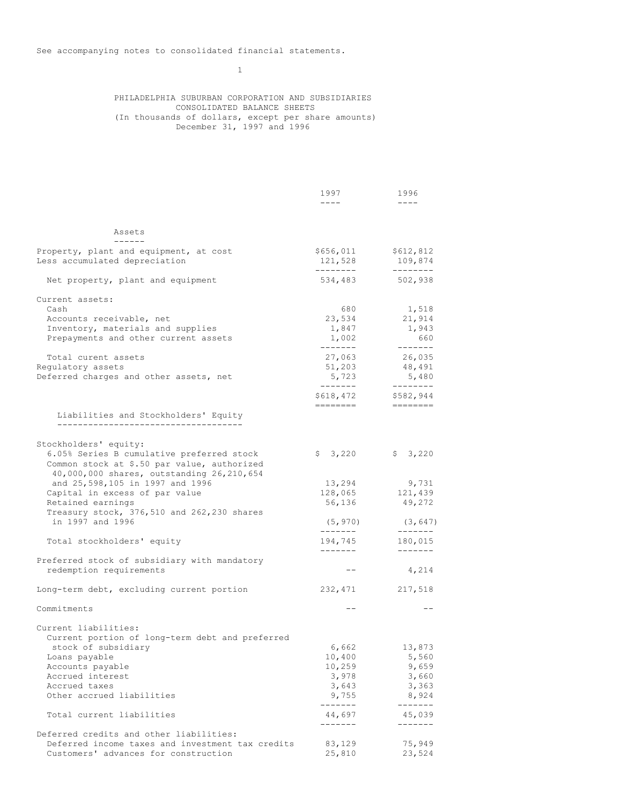1

# PHILADELPHIA SUBURBAN CORPORATION AND SUBSIDIARIES CONSOLIDATED BALANCE SHEETS (In thousands of dollars, except per share amounts) December 31, 1997 and 1996

|                                                                                                                                       | 1997<br>$---$        | 1996<br>$- - - -$    |
|---------------------------------------------------------------------------------------------------------------------------------------|----------------------|----------------------|
|                                                                                                                                       |                      |                      |
| Assets                                                                                                                                |                      |                      |
| Property, plant and equipment, at cost<br>Less accumulated depreciation                                                               | \$656,011<br>121,528 | \$612,812<br>109,874 |
|                                                                                                                                       | ---------            | --------             |
| Net property, plant and equipment                                                                                                     | 534,483              | 502,938              |
| Current assets:                                                                                                                       |                      |                      |
| Cash                                                                                                                                  | 680                  | 1,518                |
| Accounts receivable, net                                                                                                              | 23,534               | 21,914               |
| Inventory, materials and supplies                                                                                                     | 1,847                | 1,943                |
| Prepayments and other current assets                                                                                                  | 1,002<br>-------     | 660<br>-------       |
| Total curent assets                                                                                                                   | 27,063               | 26,035               |
| Regulatory assets                                                                                                                     | 51,203               | 48,491               |
| Deferred charges and other assets, net                                                                                                | 5,723<br>--------    | 5,480<br>--------    |
|                                                                                                                                       | \$618,472            | \$582,944            |
| Liabilities and Stockholders' Equity                                                                                                  | ========             |                      |
|                                                                                                                                       |                      |                      |
| Stockholders' equity:                                                                                                                 |                      |                      |
| 6.05% Series B cumulative preferred stock<br>Common stock at \$.50 par value, authorized<br>40,000,000 shares, outstanding 26,210,654 | \$3,220              | \$3,220              |
| and 25,598,105 in 1997 and 1996                                                                                                       | 13,294               | 9,731                |
| Capital in excess of par value                                                                                                        | 128,065              | 121,439              |
| Retained earnings                                                                                                                     | 56,136               | 49,272               |
| Treasury stock, 376,510 and 262,230 shares                                                                                            |                      |                      |
| in 1997 and 1996                                                                                                                      | (5, 970)             | (3, 647)             |
| Total stockholders' equity                                                                                                            | -------<br>194,745   | --------<br>180,015  |
| Preferred stock of subsidiary with mandatory                                                                                          | -------              | -------              |
| redemption requirements                                                                                                               | $- -$                | 4,214                |
|                                                                                                                                       |                      |                      |
| Long-term debt, excluding current portion                                                                                             | 232,471              | 217,518              |
| Commitments                                                                                                                           | $- -$                |                      |
| Current liabilities:                                                                                                                  |                      |                      |
| Current portion of long-term debt and preferred                                                                                       |                      |                      |
| stock of subsidiary                                                                                                                   | 6,662                | 13,873               |
| Loans payable                                                                                                                         | 10,400               | 5,560                |
| Accounts payable                                                                                                                      | 10,259               | 9,659                |
| Accrued interest                                                                                                                      | 3,978                | 3,660                |
| Accrued taxes<br>Other accrued liabilities                                                                                            | 3,643<br>9,755       | 3,363<br>8,924       |
|                                                                                                                                       | .                    | -----                |
| Total current liabilities                                                                                                             | 44,697<br>-------    | 45,039<br>-------    |
| Deferred credits and other liabilities:                                                                                               |                      |                      |
| Deferred income taxes and investment tax credits                                                                                      | 83,129               | 75,949               |
| Customers' advances for construction                                                                                                  | 25,810               | 23,524               |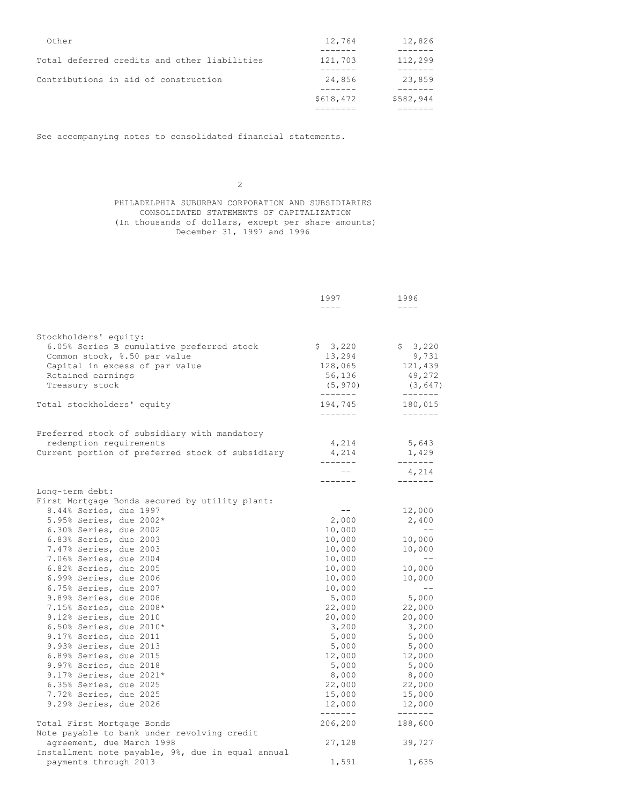| Other                                        | 12,764    | 12,826    |
|----------------------------------------------|-----------|-----------|
| Total deferred credits and other liabilities | 121,703   | 112,299   |
| Contributions in aid of construction         | 24,856    | 23,859    |
|                                              |           |           |
|                                              | \$618,472 | \$582,944 |
|                                              |           |           |

See accompanying notes to consolidated financial statements.

2

# PHILADELPHIA SUBURBAN CORPORATION AND SUBSIDIARIES CONSOLIDATED STATEMENTS OF CAPITALIZATION (In thousands of dollars, except per share amounts) December 31, 1997 and 1996

|                                                                                                                                                                             | 1997<br>$- - - -$                                             | 1996<br>$- - - -$                                             |
|-----------------------------------------------------------------------------------------------------------------------------------------------------------------------------|---------------------------------------------------------------|---------------------------------------------------------------|
|                                                                                                                                                                             |                                                               |                                                               |
| Stockholders' equity:<br>6.05% Series B cumulative preferred stock<br>Common stock, %.50 par value<br>Capital in excess of par value<br>Retained earnings<br>Treasury stock | \$3,220<br>13,294<br>128,065<br>56,136<br>(5, 970)<br>------- | \$3,220<br>9,731<br>121,439<br>49,272<br>(3, 647)<br>-------- |
| Total stockholders' equity                                                                                                                                                  | 194,745<br>-------                                            | 180,015<br>-------                                            |
|                                                                                                                                                                             |                                                               |                                                               |
| Preferred stock of subsidiary with mandatory<br>redemption requirements<br>Current portion of preferred stock of subsidiary                                                 | 4,214<br>4,214<br>-------                                     | 5,643<br>1,429<br>$- - - - - - -$                             |
|                                                                                                                                                                             | $- -$                                                         | 4,214<br>-------                                              |
| Long-term debt:<br>First Mortgage Bonds secured by utility plant:                                                                                                           | --------                                                      |                                                               |
| 8.44% Series, due 1997<br>5.95% Series, due 2002*<br>6.30% Series, due 2002<br>6.83% Series, due 2003                                                                       | $--$<br>2,000<br>10,000<br>10,000                             | 12,000<br>2,400<br>$-\,-$<br>10,000                           |
| 7.47% Series, due 2003<br>7.06% Series, due 2004<br>6.82% Series, due 2005<br>6.99% Series, due 2006                                                                        | 10,000<br>10,000<br>10,000<br>10,000                          | 10,000<br>$\sim$ $-$<br>10,000<br>10,000                      |
| 6.75% Series, due 2007<br>9.89% Series, due 2008<br>7.15% Series, due 2008*<br>9.12% Series, due 2010                                                                       | 10,000<br>5,000<br>22,000<br>20,000                           | $\qquad \qquad -$<br>5,000<br>22,000<br>20,000                |
| 6.50% Series, due 2010*<br>9.17% Series, due 2011<br>9.93% Series, due 2013                                                                                                 | 3,200<br>5,000<br>5,000                                       | 3,200<br>5,000<br>5,000                                       |
| 6.89% Series, due 2015<br>9.97% Series, due 2018<br>9.17% Series, due 2021*<br>6.35% Series, due 2025                                                                       | 12,000<br>5,000<br>8,000<br>22,000                            | 12,000<br>5,000<br>8,000<br>22,000                            |
| 7.72% Series, due 2025<br>9.29% Series, due 2026                                                                                                                            | 15,000<br>12,000                                              | 15,000<br>12,000                                              |
| Total First Mortgage Bonds                                                                                                                                                  | -------<br>206,200                                            | -------<br>188,600                                            |
| Note payable to bank under revolving credit<br>agreement, due March 1998<br>Installment note payable, 9%, due in equal annual                                               | 27,128                                                        | 39,727                                                        |
| payments through 2013                                                                                                                                                       | 1,591                                                         | 1,635                                                         |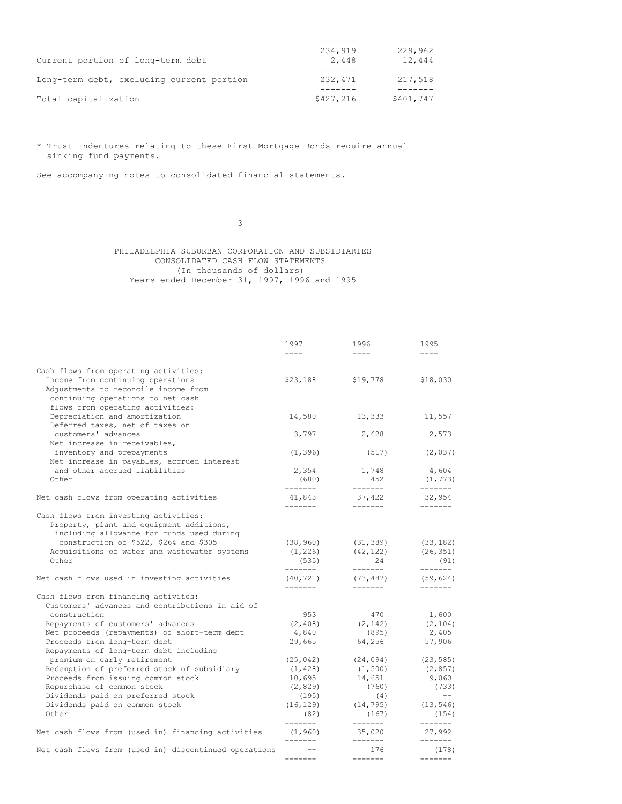|                                           | 234,919   | 229,962   |
|-------------------------------------------|-----------|-----------|
| Current portion of long-term debt         | 2,448     | 12,444    |
|                                           |           |           |
| Long-term debt, excluding current portion | 232,471   | 217,518   |
|                                           |           |           |
| Total capitalization                      | \$427,216 | \$401,747 |
|                                           |           |           |

\* Trust indentures relating to these First Mortgage Bonds require annual sinking fund payments.

See accompanying notes to consolidated financial statements.

3

PHILADELPHIA SUBURBAN CORPORATION AND SUBSIDIARIES CONSOLIDATED CASH FLOW STATEMENTS (In thousands of dollars) Years ended December 31, 1997, 1996 and 1995

|                                                       | 1997                 | 1996               | 1995                      |
|-------------------------------------------------------|----------------------|--------------------|---------------------------|
|                                                       | $- - - -$            | $- - - -$          | $- - - -$                 |
| Cash flows from operating activities:                 |                      |                    |                           |
| Income from continuing operations                     | \$23,188             | \$19,778           | \$18,030                  |
| Adjustments to reconcile income from                  |                      |                    |                           |
| continuing operations to net cash                     |                      |                    |                           |
| flows from operating activities:                      |                      |                    |                           |
| Depreciation and amortization                         | 14,580               | 13,333             | 11,557                    |
| Deferred taxes, net of taxes on                       |                      |                    |                           |
| customers' advances                                   | 3,797                | 2,628              | 2,573                     |
| Net increase in receivables,                          |                      |                    |                           |
| inventory and prepayments                             | (1, 396)             | (517)              | (2, 037)                  |
| Net increase in payables, accrued interest            |                      |                    |                           |
| and other accrued liabilities                         | 2,354                | 1,748              | 4,604                     |
| Other                                                 | (680)                | 452                | (1, 773)                  |
|                                                       | --------             | -------            | -------                   |
| Net cash flows from operating activities              | 41,843<br>-------    | 37,422<br>-------- | 32,954<br>$- - - - - - -$ |
| Cash flows from investing activities:                 |                      |                    |                           |
| Property, plant and equipment additions,              |                      |                    |                           |
| including allowance for funds used during             |                      |                    |                           |
| construction of \$522, \$264 and \$305                | (38, 960)            | (31, 389)          | (33, 182)                 |
| Acquisitions of water and wastewater systems          | (1, 226)             | (42, 122)          | (26, 351)                 |
| Other                                                 | (535)                | 24                 | (91)                      |
|                                                       | -------              | --------           | -------                   |
| Net cash flows used in investing activities           | (40, 721)            | (73, 487)          | (59, 624)                 |
|                                                       | --------             | $- - - - - - -$    | $- - - - - - -$           |
| Cash flows from financing activites:                  |                      |                    |                           |
| Customers' advances and contributions in aid of       |                      |                    |                           |
| construction                                          | 953                  | 470                | 1,600                     |
| Repayments of customers' advances                     | (2, 408)             | (2, 142)           | (2, 104)                  |
| Net proceeds (repayments) of short-term debt          | 4,840                | (895)              | 2,405                     |
| Proceeds from long-term debt                          | 29,665               | 64,256             | 57,906                    |
| Repayments of long-term debt including                |                      |                    |                           |
| premium on early retirement                           | (25, 042)            | (24, 094)          | (23, 585)                 |
| Redemption of preferred stock of subsidiary           | (1, 428)             | (1, 500)           | (2, 857)                  |
| Proceeds from issuing common stock                    | 10,695               | 14,651             | 9,060                     |
| Repurchase of common stock                            | (2, 829)             | (760)              | (733)                     |
| Dividends paid on preferred stock                     | (195)                | (4)                | $- -$                     |
| Dividends paid on common stock                        | (16, 129)            | (14, 795)          | (13, 546)                 |
| Other                                                 | (82)                 | (167)              | (154)                     |
|                                                       | -------              | -------            | -------                   |
| Net cash flows from (used in) financing activities    | (1, 960)<br>-------- | 35,020<br>-------  | 27,992<br>-------         |
| Net cash flows from (used in) discontinued operations | $--$                 | 176                | (178)                     |
|                                                       | --------             | $- - - - - - -$    | $- - - - - - -$           |
|                                                       |                      |                    |                           |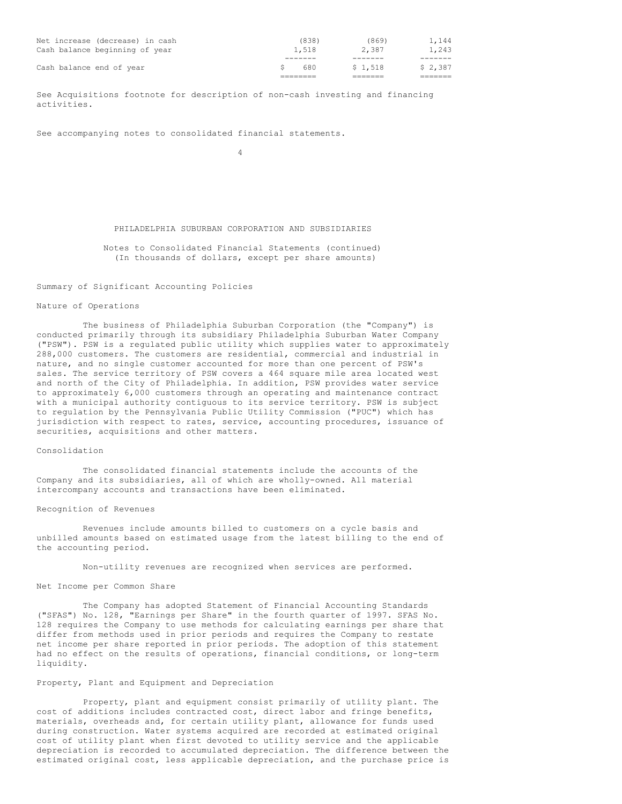| Net increase (decrease) in cash<br>Cash balance beginning of year | (838)<br>1,518 | (869)<br>2,387 | 1,144<br>1,243 |
|-------------------------------------------------------------------|----------------|----------------|----------------|
|                                                                   |                |                |                |
| Cash balance end of year                                          | 680            | \$1,518        | \$2,387        |
|                                                                   |                |                |                |

See Acquisitions footnote for description of non-cash investing and financing activities.

See accompanying notes to consolidated financial statements.

4

### PHILADELPHIA SUBURBAN CORPORATION AND SUBSIDIARIES

Notes to Consolidated Financial Statements (continued) (In thousands of dollars, except per share amounts)

### Summary of Significant Accounting Policies

### Nature of Operations

The business of Philadelphia Suburban Corporation (the "Company") is conducted primarily through its subsidiary Philadelphia Suburban Water Company ("PSW"). PSW is a regulated public utility which supplies water to approximately 288,000 customers. The customers are residential, commercial and industrial in nature, and no single customer accounted for more than one percent of PSW's sales. The service territory of PSW covers a 464 square mile area located west and north of the City of Philadelphia. In addition, PSW provides water service to approximately 6,000 customers through an operating and maintenance contract with a municipal authority contiguous to its service territory. PSW is subject to regulation by the Pennsylvania Public Utility Commission ("PUC") which has jurisdiction with respect to rates, service, accounting procedures, issuance of securities, acquisitions and other matters.

### Consolidation

The consolidated financial statements include the accounts of the Company and its subsidiaries, all of which are wholly-owned. All material intercompany accounts and transactions have been eliminated.

### Recognition of Revenues

Revenues include amounts billed to customers on a cycle basis and unbilled amounts based on estimated usage from the latest billing to the end of the accounting period.

Non-utility revenues are recognized when services are performed.

#### Net Income per Common Share

The Company has adopted Statement of Financial Accounting Standards ("SFAS") No. 128, "Earnings per Share" in the fourth quarter of 1997. SFAS No. 128 requires the Company to use methods for calculating earnings per share that differ from methods used in prior periods and requires the Company to restate net income per share reported in prior periods. The adoption of this statement had no effect on the results of operations, financial conditions, or long-term liquidity.

### Property, Plant and Equipment and Depreciation

Property, plant and equipment consist primarily of utility plant. The cost of additions includes contracted cost, direct labor and fringe benefits, materials, overheads and, for certain utility plant, allowance for funds used during construction. Water systems acquired are recorded at estimated original cost of utility plant when first devoted to utility service and the applicable depreciation is recorded to accumulated depreciation. The difference between the estimated original cost, less applicable depreciation, and the purchase price is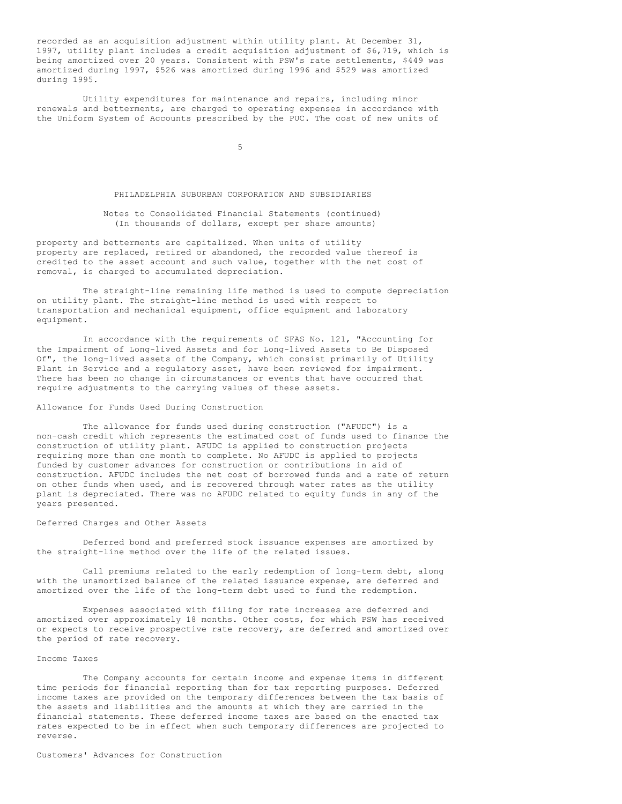recorded as an acquisition adjustment within utility plant. At December 31, 1997, utility plant includes a credit acquisition adjustment of \$6,719, which is being amortized over 20 years. Consistent with PSW's rate settlements, \$449 was amortized during 1997, \$526 was amortized during 1996 and \$529 was amortized during 1995.

Utility expenditures for maintenance and repairs, including minor renewals and betterments, are charged to operating expenses in accordance with the Uniform System of Accounts prescribed by the PUC. The cost of new units of

5

### PHILADELPHIA SUBURBAN CORPORATION AND SUBSIDIARIES

### Notes to Consolidated Financial Statements (continued) (In thousands of dollars, except per share amounts)

property and betterments are capitalized. When units of utility property are replaced, retired or abandoned, the recorded value thereof is credited to the asset account and such value, together with the net cost of removal, is charged to accumulated depreciation.

The straight-line remaining life method is used to compute depreciation on utility plant. The straight-line method is used with respect to transportation and mechanical equipment, office equipment and laboratory equipment.

In accordance with the requirements of SFAS No. 121, "Accounting for the Impairment of Long-lived Assets and for Long-lived Assets to Be Disposed Of", the long-lived assets of the Company, which consist primarily of Utility Plant in Service and a regulatory asset, have been reviewed for impairment. There has been no change in circumstances or events that have occurred that require adjustments to the carrying values of these assets.

### Allowance for Funds Used During Construction

The allowance for funds used during construction ("AFUDC") is a non-cash credit which represents the estimated cost of funds used to finance the construction of utility plant. AFUDC is applied to construction projects requiring more than one month to complete. No AFUDC is applied to projects funded by customer advances for construction or contributions in aid of construction. AFUDC includes the net cost of borrowed funds and a rate of return on other funds when used, and is recovered through water rates as the utility plant is depreciated. There was no AFUDC related to equity funds in any of the years presented.

### Deferred Charges and Other Assets

Deferred bond and preferred stock issuance expenses are amortized by the straight-line method over the life of the related issues.

Call premiums related to the early redemption of long-term debt, along with the unamortized balance of the related issuance expense, are deferred and amortized over the life of the long-term debt used to fund the redemption.

Expenses associated with filing for rate increases are deferred and amortized over approximately 18 months. Other costs, for which PSW has received or expects to receive prospective rate recovery, are deferred and amortized over the period of rate recovery.

### Income Taxes

The Company accounts for certain income and expense items in different time periods for financial reporting than for tax reporting purposes. Deferred income taxes are provided on the temporary differences between the tax basis of the assets and liabilities and the amounts at which they are carried in the financial statements. These deferred income taxes are based on the enacted tax rates expected to be in effect when such temporary differences are projected to reverse.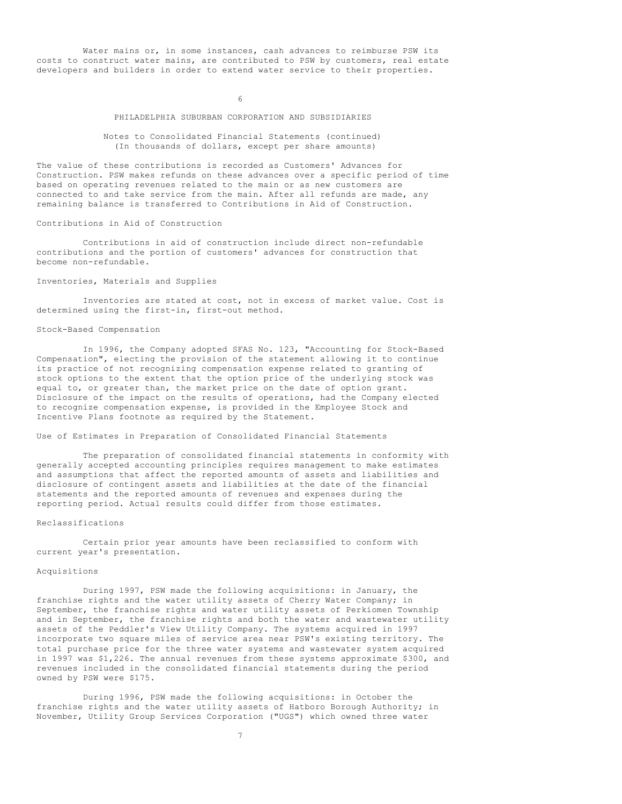Water mains or, in some instances, cash advances to reimburse PSW its costs to construct water mains, are contributed to PSW by customers, real estate developers and builders in order to extend water service to their properties.

6

## PHILADELPHIA SUBURBAN CORPORATION AND SUBSIDIARIES

## Notes to Consolidated Financial Statements (continued) (In thousands of dollars, except per share amounts)

The value of these contributions is recorded as Customers' Advances for Construction. PSW makes refunds on these advances over a specific period of time based on operating revenues related to the main or as new customers are connected to and take service from the main. After all refunds are made, any remaining balance is transferred to Contributions in Aid of Construction.

## Contributions in Aid of Construction

Contributions in aid of construction include direct non-refundable contributions and the portion of customers' advances for construction that become non-refundable.

### Inventories, Materials and Supplies

Inventories are stated at cost, not in excess of market value. Cost is determined using the first-in, first-out method.

### Stock-Based Compensation

In 1996, the Company adopted SFAS No. 123, "Accounting for Stock-Based Compensation", electing the provision of the statement allowing it to continue its practice of not recognizing compensation expense related to granting of stock options to the extent that the option price of the underlying stock was equal to, or greater than, the market price on the date of option grant. Disclosure of the impact on the results of operations, had the Company elected to recognize compensation expense, is provided in the Employee Stock and Incentive Plans footnote as required by the Statement.

## Use of Estimates in Preparation of Consolidated Financial Statements

The preparation of consolidated financial statements in conformity with generally accepted accounting principles requires management to make estimates and assumptions that affect the reported amounts of assets and liabilities and disclosure of contingent assets and liabilities at the date of the financial statements and the reported amounts of revenues and expenses during the reporting period. Actual results could differ from those estimates.

### Reclassifications

Certain prior year amounts have been reclassified to conform with current year's presentation.

### Acquisitions

During 1997, PSW made the following acquisitions: in January, the franchise rights and the water utility assets of Cherry Water Company; in September, the franchise rights and water utility assets of Perkiomen Township and in September, the franchise rights and both the water and wastewater utility assets of the Peddler's View Utility Company. The systems acquired in 1997 incorporate two square miles of service area near PSW's existing territory. The total purchase price for the three water systems and wastewater system acquired in 1997 was \$1,226. The annual revenues from these systems approximate \$300, and revenues included in the consolidated financial statements during the period owned by PSW were \$175.

During 1996, PSW made the following acquisitions: in October the franchise rights and the water utility assets of Hatboro Borough Authority; in November, Utility Group Services Corporation ("UGS") which owned three water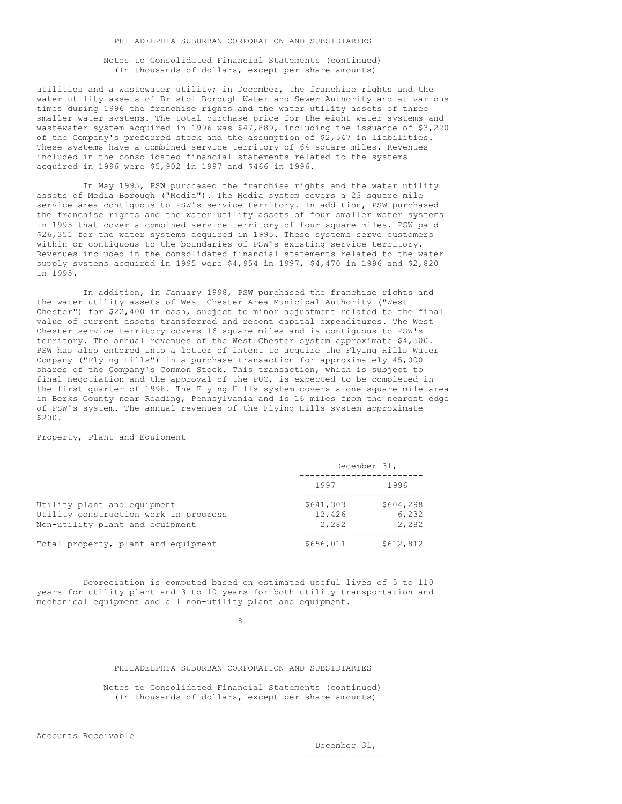Notes to Consolidated Financial Statements (continued) (In thousands of dollars, except per share amounts)

utilities and a wastewater utility; in December, the franchise rights and the water utility assets of Bristol Borough Water and Sewer Authority and at various times during 1996 the franchise rights and the water utility assets of three smaller water systems. The total purchase price for the eight water systems and wastewater system acquired in 1996 was \$47,889, including the issuance of \$3,220 of the Company's preferred stock and the assumption of \$2,547 in liabilities. These systems have a combined service territory of 64 square miles. Revenues included in the consolidated financial statements related to the systems acquired in 1996 were \$5,902 in 1997 and \$466 in 1996.

In May 1995, PSW purchased the franchise rights and the water utility assets of Media Borough ("Media"). The Media system covers a 23 square mile service area contiguous to PSW's service territory. In addition, PSW purchased the franchise rights and the water utility assets of four smaller water systems in 1995 that cover a combined service territory of four square miles. PSW paid \$26,351 for the water systems acquired in 1995. These systems serve customers within or contiguous to the boundaries of PSW's existing service territory. Revenues included in the consolidated financial statements related to the water supply systems acquired in 1995 were \$4,954 in 1997, \$4,470 in 1996 and \$2,820 in 1995.

In addition, in January 1998, PSW purchased the franchise rights and the water utility assets of West Chester Area Municipal Authority ("West Chester") for \$22,400 in cash, subject to minor adjustment related to the final value of current assets transferred and recent capital expenditures. The West Chester service territory covers 16 square miles and is contiguous to PSW's territory. The annual revenues of the West Chester system approximate \$4,500. PSW has also entered into a letter of intent to acquire the Flying Hills Water Company ("Flying Hills") in a purchase transaction for approximately 45,000 shares of the Company's Common Stock. This transaction, which is subject to final negotiation and the approval of the PUC, is expected to be completed in the first quarter of 1998. The Flying Hills system covers a one square mile area in Berks County near Reading, Pennsylvania and is 16 miles from the nearest edge of PSW's system. The annual revenues of the Flying Hills system approximate \$200.

Property, Plant and Equipment

|                                                                                                         | December 31,                 |                             |  |
|---------------------------------------------------------------------------------------------------------|------------------------------|-----------------------------|--|
|                                                                                                         | 1997                         | 1996                        |  |
| Utility plant and equipment<br>Utility construction work in progress<br>Non-utility plant and equipment | \$641,303<br>12,426<br>2,282 | \$604,298<br>6,232<br>2,282 |  |
| Total property, plant and equipment                                                                     | \$656,011                    | \$612,812                   |  |

Depreciation is computed based on estimated useful lives of 5 to 110 years for utility plant and 3 to 10 years for both utility transportation and mechanical equipment and all non-utility plant and equipment.

8

## PHILADELPHIA SUBURBAN CORPORATION AND SUBSIDIARIES

Notes to Consolidated Financial Statements (continued) (In thousands of dollars, except per share amounts)

December 31, -----------------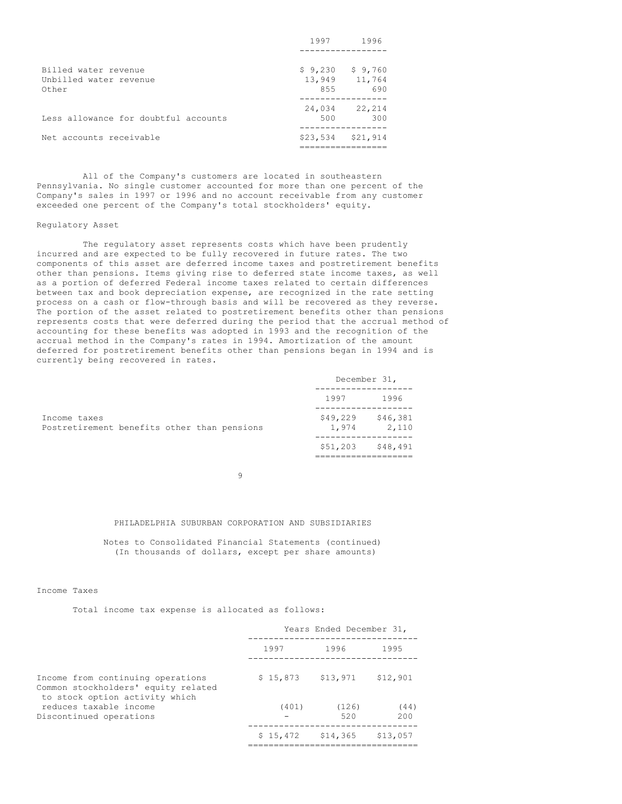|                                      | 1997          | 1996          |
|--------------------------------------|---------------|---------------|
| Billed water revenue                 | \$9,230       | \$9,760       |
| Unbilled water revenue<br>Other      | 13,949<br>855 | 11,764<br>690 |
| Less allowance for doubtful accounts | 24,034<br>500 | 22,214<br>300 |
| Net accounts receivable              | \$23,534      | \$21,914      |

All of the Company's customers are located in southeastern Pennsylvania. No single customer accounted for more than one percent of the Company's sales in 1997 or 1996 and no account receivable from any customer exceeded one percent of the Company's total stockholders' equity.

### Regulatory Asset

The regulatory asset represents costs which have been prudently incurred and are expected to be fully recovered in future rates. The two components of this asset are deferred income taxes and postretirement benefits other than pensions. Items giving rise to deferred state income taxes, as well as a portion of deferred Federal income taxes related to certain differences between tax and book depreciation expense, are recognized in the rate setting process on a cash or flow-through basis and will be recovered as they reverse. The portion of the asset related to postretirement benefits other than pensions represents costs that were deferred during the period that the accrual method of accounting for these benefits was adopted in 1993 and the recognition of the accrual method in the Company's rates in 1994. Amortization of the amount deferred for postretirement benefits other than pensions began in 1994 and is currently being recovered in rates.

|                                                             | December 31,      |                   |
|-------------------------------------------------------------|-------------------|-------------------|
|                                                             | 1997              | 1996              |
| Income taxes<br>Postretirement benefits other than pensions | \$49,229<br>1,974 | \$46,381<br>2,110 |
|                                                             | \$51,203          | \$48,491          |

9

### PHILADELPHIA SUBURBAN CORPORATION AND SUBSIDIARIES

Notes to Consolidated Financial Statements (continued) (In thousands of dollars, except per share amounts)

## Income Taxes

Total income tax expense is allocated as follows:

|                                                                                                            | Years Ended December 31, |                     |          |  |
|------------------------------------------------------------------------------------------------------------|--------------------------|---------------------|----------|--|
|                                                                                                            | 1997                     | 1996                | 1995     |  |
| Income from continuing operations<br>Common stockholders' equity related<br>to stock option activity which | $$15,873$ $$13,971$      |                     | \$12,901 |  |
| reduces taxable income                                                                                     | (401)                    | (126)               | (44)     |  |
| Discontinued operations                                                                                    |                          | 520                 | 200      |  |
|                                                                                                            |                          | $$15,472$ $$14,365$ | \$13.057 |  |
|                                                                                                            |                          |                     |          |  |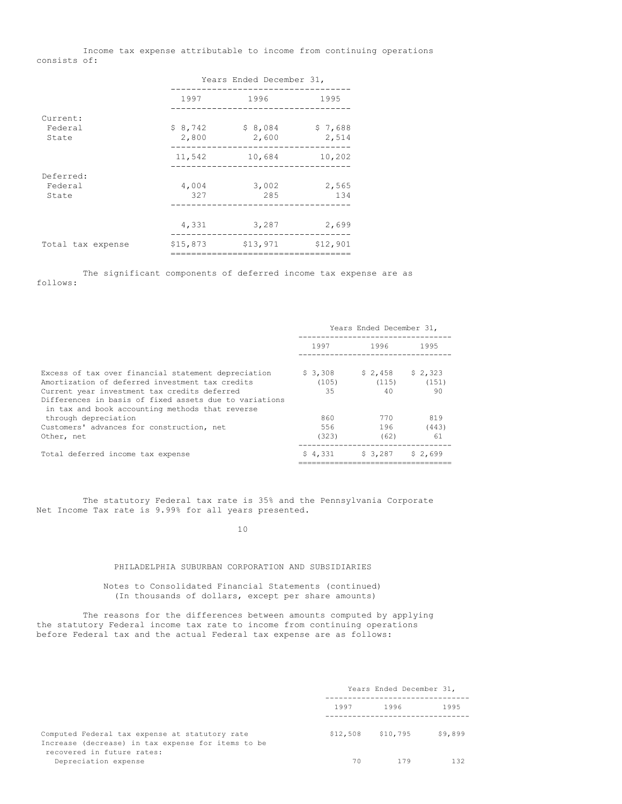Income tax expense attributable to income from continuing operations consists of:

|                   |                  | Years Ended December 31, |                  |
|-------------------|------------------|--------------------------|------------------|
|                   | 1997             | 1996                     | 1995             |
| Current:          |                  |                          |                  |
| Federal<br>State  | \$8,742<br>2,800 | \$8,084<br>2,600         | \$7,688<br>2,514 |
|                   | 11,542           | 10,684                   | 10,202           |
| Deferred:         |                  |                          |                  |
| Federal<br>State  | 4,004<br>327     | 3,002<br>285             | 2,565<br>134     |
|                   |                  |                          |                  |
|                   | 4,331            | 3,287                    | 2,699            |
| Total tax expense | \$15,873         | \$13,971                 | \$12,901         |

The significant components of deferred income tax expense are as follows:

|                                                                                                                                                                                                                                                                     | Years Ended December 31, |                        |                        |
|---------------------------------------------------------------------------------------------------------------------------------------------------------------------------------------------------------------------------------------------------------------------|--------------------------|------------------------|------------------------|
|                                                                                                                                                                                                                                                                     | 1997                     | 1996 —                 | 1995                   |
| Excess of tax over financial statement depreciation<br>Amortization of deferred investment tax credits<br>Current year investment tax credits deferred<br>Differences in basis of fixed assets due to variations<br>in tax and book accounting methods that reverse | \$3,308<br>(105)<br>35   | \$2.458<br>(115)<br>40 | \$2,323<br>(151)<br>90 |
| through depreciation<br>Customers' advances for construction, net<br>Other, net                                                                                                                                                                                     | 860<br>556<br>(323)      | 770<br>196<br>(62)     | 819<br>(443)<br>61     |
| Total deferred income tax expense                                                                                                                                                                                                                                   | \$4.331                  | \$ 3,287               | \$2.699                |

The statutory Federal tax rate is 35% and the Pennsylvania Corporate Net Income Tax rate is 9.99% for all years presented.

10

# PHILADELPHIA SUBURBAN CORPORATION AND SUBSIDIARIES

## Notes to Consolidated Financial Statements (continued) (In thousands of dollars, except per share amounts)

The reasons for the differences between amounts computed by applying the statutory Federal income tax rate to income from continuing operations before Federal tax and the actual Federal tax expense are as follows:

|                                                                                                      | Years Ended December 31, |          |         |
|------------------------------------------------------------------------------------------------------|--------------------------|----------|---------|
|                                                                                                      | 1997<br>1996             |          |         |
| Computed Federal tax expense at statutory rate<br>Increase (decrease) in tax expense for items to be | \$12,508                 | \$10,795 | \$9,899 |
| recovered in future rates:<br>Depreciation expense                                                   | 70                       | 179      | 132     |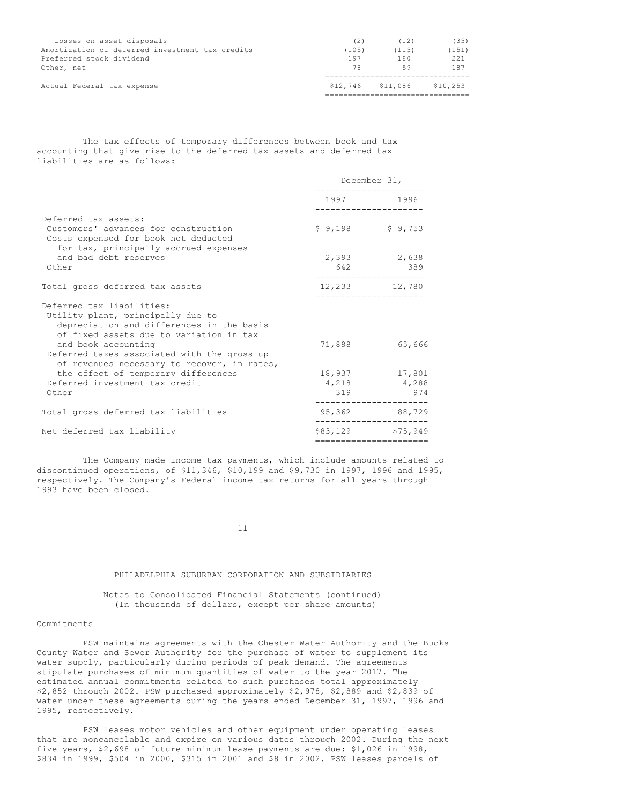| Losses on asset disposals                       | (2)   | (12)              | (35)     |
|-------------------------------------------------|-------|-------------------|----------|
| Amortization of deferred investment tax credits | (105) | (115)             | (151)    |
| Preferred stock dividend                        | 197   | 180               | 221      |
| Other, net                                      | 78    | 59                | 187      |
|                                                 |       |                   |          |
| Actual Federal tax expense                      |       | \$12,746 \$11,086 | \$10,253 |
|                                                 |       |                   |          |

The tax effects of temporary differences between book and tax accounting that give rise to the deferred tax assets and deferred tax liabilities are as follows:

|                                                                                                                                                                                                                                                                             | December 31, |                                              |  |
|-----------------------------------------------------------------------------------------------------------------------------------------------------------------------------------------------------------------------------------------------------------------------------|--------------|----------------------------------------------|--|
|                                                                                                                                                                                                                                                                             |              | 1997 1996<br>-------------                   |  |
| Deferred tax assets:<br>Customers' advances for construction<br>Costs expensed for book not deducted<br>for tax, principally accrued expenses                                                                                                                               |              | $$9,198$ $$9,753$                            |  |
| and bad debt reserves<br>Other                                                                                                                                                                                                                                              |              | 2,393 2,638<br>642 389                       |  |
| Total gross deferred tax assets                                                                                                                                                                                                                                             |              | 12,233 12,780                                |  |
| Deferred tax liabilities:<br>Utility plant, principally due to<br>depreciation and differences in the basis<br>of fixed assets due to variation in tax<br>and book accounting<br>Deferred taxes associated with the gross-up<br>of revenues necessary to recover, in rates, | 71,888       | 65,666                                       |  |
| the effect of temporary differences<br>Deferred investment tax credit<br>Other                                                                                                                                                                                              |              | 18,937 17,801<br>4,218 4,288<br>319 974      |  |
| Total gross deferred tax liabilities                                                                                                                                                                                                                                        |              | 95,362 88,729<br>-----------                 |  |
| Net deferred tax liability                                                                                                                                                                                                                                                  |              | \$83,129 \$75,949<br>======================= |  |
|                                                                                                                                                                                                                                                                             |              |                                              |  |

The Company made income tax payments, which include amounts related to discontinued operations, of \$11,346, \$10,199 and \$9,730 in 1997, 1996 and 1995, respectively. The Company's Federal income tax returns for all years through 1993 have been closed.

11

## PHILADELPHIA SUBURBAN CORPORATION AND SUBSIDIARIES

Notes to Consolidated Financial Statements (continued) (In thousands of dollars, except per share amounts)

### Commitments

PSW maintains agreements with the Chester Water Authority and the Bucks County Water and Sewer Authority for the purchase of water to supplement its water supply, particularly during periods of peak demand. The agreements stipulate purchases of minimum quantities of water to the year 2017. The estimated annual commitments related to such purchases total approximately \$2,852 through 2002. PSW purchased approximately \$2,978, \$2,889 and \$2,839 of water under these agreements during the years ended December 31, 1997, 1996 and 1995, respectively.

PSW leases motor vehicles and other equipment under operating leases that are noncancelable and expire on various dates through 2002. During the next five years, \$2,698 of future minimum lease payments are due: \$1,026 in 1998, \$834 in 1999, \$504 in 2000, \$315 in 2001 and \$8 in 2002. PSW leases parcels of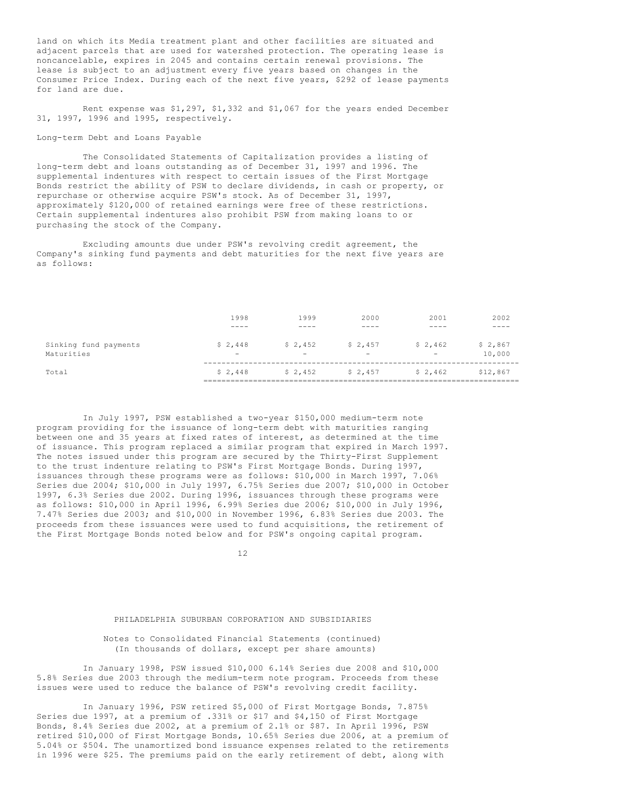land on which its Media treatment plant and other facilities are situated and adjacent parcels that are used for watershed protection. The operating lease is noncancelable, expires in 2045 and contains certain renewal provisions. The lease is subject to an adjustment every five years based on changes in the Consumer Price Index. During each of the next five years, \$292 of lease payments for land are due.

Rent expense was \$1,297, \$1,332 and \$1,067 for the years ended December 31, 1997, 1996 and 1995, respectively.

## Long-term Debt and Loans Payable

The Consolidated Statements of Capitalization provides a listing of long-term debt and loans outstanding as of December 31, 1997 and 1996. The supplemental indentures with respect to certain issues of the First Mortgage Bonds restrict the ability of PSW to declare dividends, in cash or property, or repurchase or otherwise acquire PSW's stock. As of December 31, 1997, approximately \$120,000 of retained earnings were free of these restrictions. Certain supplemental indentures also prohibit PSW from making loans to or purchasing the stock of the Company.

Excluding amounts due under PSW's revolving credit agreement, the Company's sinking fund payments and debt maturities for the next five years are as follows:

|                                     | 1998                                | 1999                                | 2000                                  | 2001                                | 2002              |
|-------------------------------------|-------------------------------------|-------------------------------------|---------------------------------------|-------------------------------------|-------------------|
|                                     | ----                                |                                     |                                       | . <u>. .</u>                        | . <u>. .</u> .    |
| Sinking fund payments<br>Maturities | \$2,448<br>$\overline{\phantom{m}}$ | \$2,452<br>$\overline{\phantom{0}}$ | $S$ 2,457<br>$\overline{\phantom{0}}$ | \$2,462<br>$\overline{\phantom{a}}$ | \$2,867<br>10,000 |
| Total                               | \$2,448                             | \$2,452                             | \$2,457                               | \$2,462                             | \$12,867          |

In July 1997, PSW established a two-year \$150,000 medium-term note program providing for the issuance of long-term debt with maturities ranging between one and 35 years at fixed rates of interest, as determined at the time of issuance. This program replaced a similar program that expired in March 1997. The notes issued under this program are secured by the Thirty-First Supplement to the trust indenture relating to PSW's First Mortgage Bonds. During 1997, issuances through these programs were as follows: \$10,000 in March 1997, 7.06% Series due 2004; \$10,000 in July 1997, 6.75% Series due 2007; \$10,000 in October 1997, 6.3% Series due 2002. During 1996, issuances through these programs were as follows: \$10,000 in April 1996, 6.99% Series due 2006; \$10,000 in July 1996, 7.47% Series due 2003; and \$10,000 in November 1996, 6.83% Series due 2003. The proceeds from these issuances were used to fund acquisitions, the retirement of the First Mortgage Bonds noted below and for PSW's ongoing capital program.

12

## PHILADELPHIA SUBURBAN CORPORATION AND SUBSIDIARIES

### Notes to Consolidated Financial Statements (continued) (In thousands of dollars, except per share amounts)

In January 1998, PSW issued \$10,000 6.14% Series due 2008 and \$10,000 5.8% Series due 2003 through the medium-term note program. Proceeds from these issues were used to reduce the balance of PSW's revolving credit facility.

In January 1996, PSW retired \$5,000 of First Mortgage Bonds, 7.875% Series due 1997, at a premium of .331% or \$17 and \$4,150 of First Mortgage Bonds, 8.4% Series due 2002, at a premium of 2.1% or \$87. In April 1996, PSW retired \$10,000 of First Mortgage Bonds, 10.65% Series due 2006, at a premium of 5.04% or \$504. The unamortized bond issuance expenses related to the retirements in 1996 were \$25. The premiums paid on the early retirement of debt, along with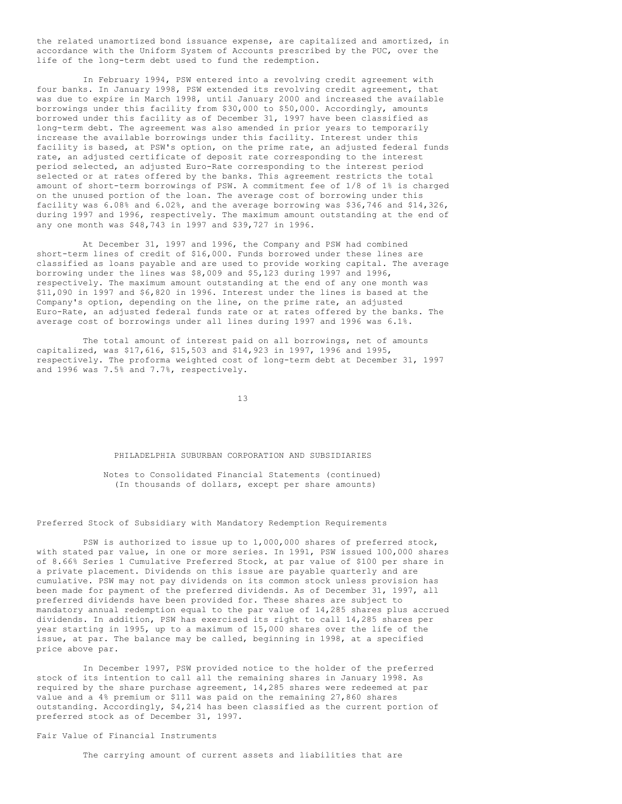the related unamortized bond issuance expense, are capitalized and amortized, in accordance with the Uniform System of Accounts prescribed by the PUC, over the life of the long-term debt used to fund the redemption.

In February 1994, PSW entered into a revolving credit agreement with four banks. In January 1998, PSW extended its revolving credit agreement, that was due to expire in March 1998, until January 2000 and increased the available borrowings under this facility from \$30,000 to \$50,000. Accordingly, amounts borrowed under this facility as of December 31, 1997 have been classified as long-term debt. The agreement was also amended in prior years to temporarily increase the available borrowings under this facility. Interest under this facility is based, at PSW's option, on the prime rate, an adjusted federal funds rate, an adjusted certificate of deposit rate corresponding to the interest period selected, an adjusted Euro-Rate corresponding to the interest period selected or at rates offered by the banks. This agreement restricts the total amount of short-term borrowings of PSW. A commitment fee of 1/8 of 1% is charged on the unused portion of the loan. The average cost of borrowing under this facility was 6.08% and 6.02%, and the average borrowing was \$36,746 and \$14,326, during 1997 and 1996, respectively. The maximum amount outstanding at the end of any one month was \$48,743 in 1997 and \$39,727 in 1996.

At December 31, 1997 and 1996, the Company and PSW had combined short-term lines of credit of \$16,000. Funds borrowed under these lines are classified as loans payable and are used to provide working capital. The average borrowing under the lines was \$8,009 and \$5,123 during 1997 and 1996, respectively. The maximum amount outstanding at the end of any one month was \$11,090 in 1997 and \$6,820 in 1996. Interest under the lines is based at the Company's option, depending on the line, on the prime rate, an adjusted Euro-Rate, an adjusted federal funds rate or at rates offered by the banks. The average cost of borrowings under all lines during 1997 and 1996 was 6.1%.

The total amount of interest paid on all borrowings, net of amounts capitalized, was \$17,616, \$15,503 and \$14,923 in 1997, 1996 and 1995, respectively. The proforma weighted cost of long-term debt at December 31, 1997 and 1996 was 7.5% and 7.7%, respectively.

13

#### PHILADELPHIA SUBURBAN CORPORATION AND SUBSIDIARIES

Notes to Consolidated Financial Statements (continued) (In thousands of dollars, except per share amounts)

## Preferred Stock of Subsidiary with Mandatory Redemption Requirements

PSW is authorized to issue up to 1,000,000 shares of preferred stock, with stated par value, in one or more series. In 1991, PSW issued 100,000 shares of 8.66% Series 1 Cumulative Preferred Stock, at par value of \$100 per share in a private placement. Dividends on this issue are payable quarterly and are cumulative. PSW may not pay dividends on its common stock unless provision has been made for payment of the preferred dividends. As of December 31, 1997, all preferred dividends have been provided for. These shares are subject to mandatory annual redemption equal to the par value of 14,285 shares plus accrued dividends. In addition, PSW has exercised its right to call 14,285 shares per year starting in 1995, up to a maximum of 15,000 shares over the life of the issue, at par. The balance may be called, beginning in 1998, at a specified price above par.

In December 1997, PSW provided notice to the holder of the preferred stock of its intention to call all the remaining shares in January 1998. As required by the share purchase agreement, 14,285 shares were redeemed at par value and a 4% premium or \$111 was paid on the remaining 27,860 shares outstanding. Accordingly, \$4,214 has been classified as the current portion of preferred stock as of December 31, 1997.

## Fair Value of Financial Instruments

The carrying amount of current assets and liabilities that are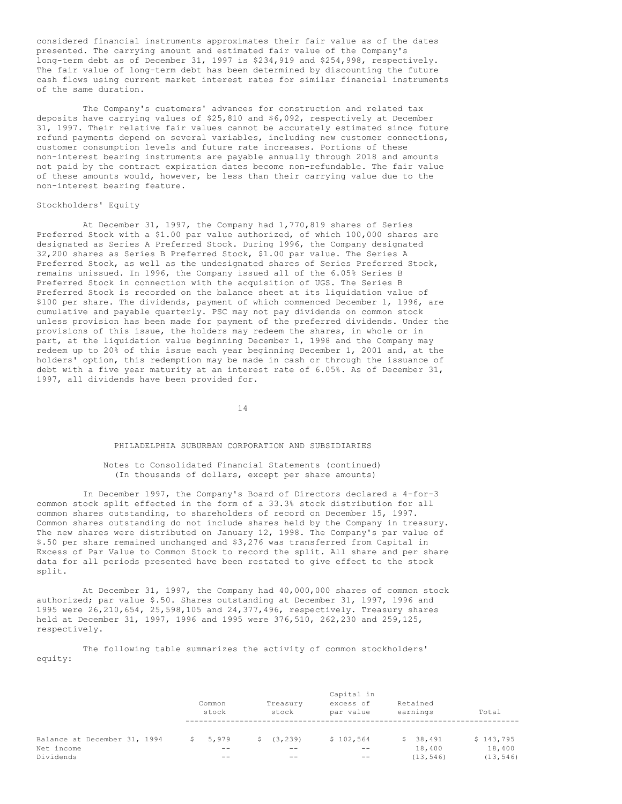considered financial instruments approximates their fair value as of the dates presented. The carrying amount and estimated fair value of the Company's long-term debt as of December 31, 1997 is \$234,919 and \$254,998, respectively. The fair value of long-term debt has been determined by discounting the future cash flows using current market interest rates for similar financial instruments of the same duration.

The Company's customers' advances for construction and related tax deposits have carrying values of \$25,810 and \$6,092, respectively at December 31, 1997. Their relative fair values cannot be accurately estimated since future refund payments depend on several variables, including new customer connections, customer consumption levels and future rate increases. Portions of these non-interest bearing instruments are payable annually through 2018 and amounts not paid by the contract expiration dates become non-refundable. The fair value of these amounts would, however, be less than their carrying value due to the non-interest bearing feature.

### Stockholders' Equity

At December 31, 1997, the Company had 1,770,819 shares of Series Preferred Stock with a \$1.00 par value authorized, of which 100,000 shares are designated as Series A Preferred Stock. During 1996, the Company designated 32,200 shares as Series B Preferred Stock, \$1.00 par value. The Series A Preferred Stock, as well as the undesignated shares of Series Preferred Stock, remains unissued. In 1996, the Company issued all of the 6.05% Series B Preferred Stock in connection with the acquisition of UGS. The Series B Preferred Stock is recorded on the balance sheet at its liquidation value of \$100 per share. The dividends, payment of which commenced December 1, 1996, are cumulative and payable quarterly. PSC may not pay dividends on common stock unless provision has been made for payment of the preferred dividends. Under the provisions of this issue, the holders may redeem the shares, in whole or in part, at the liquidation value beginning December 1, 1998 and the Company may redeem up to 20% of this issue each year beginning December 1, 2001 and, at the holders' option, this redemption may be made in cash or through the issuance of debt with a five year maturity at an interest rate of 6.05%. As of December 31, 1997, all dividends have been provided for.

14

## PHILADELPHIA SUBURBAN CORPORATION AND SUBSIDIARIES

## Notes to Consolidated Financial Statements (continued) (In thousands of dollars, except per share amounts)

In December 1997, the Company's Board of Directors declared a 4-for-3 common stock split effected in the form of a 33.3% stock distribution for all common shares outstanding, to shareholders of record on December 15, 1997. Common shares outstanding do not include shares held by the Company in treasury. The new shares were distributed on January 12, 1998. The Company's par value of \$.50 per share remained unchanged and \$3,276 was transferred from Capital in Excess of Par Value to Common Stock to record the split. All share and per share data for all periods presented have been restated to give effect to the stock split.

At December 31, 1997, the Company had 40,000,000 shares of common stock authorized; par value \$.50. Shares outstanding at December 31, 1997, 1996 and 1995 were 26,210,654, 25,598,105 and 24,377,496, respectively. Treasury shares held at December 31, 1997, 1996 and 1995 were 376,510, 262,230 and 259,125, respectively.

## The following table summarizes the activity of common stockholders' equity:

|                                                         | Common<br>stock      | Treasury<br>stock             | Capital in<br>excess of<br>par value | Retained<br>earnings            | Total                            |
|---------------------------------------------------------|----------------------|-------------------------------|--------------------------------------|---------------------------------|----------------------------------|
| Balance at December 31, 1994<br>Net income<br>Dividends | 5,979<br>S.<br>$- -$ | (3, 239)<br>S.<br>$- -$<br>-- | \$102,564<br>$ -$<br>$ -$            | \$38,491<br>18,400<br>(13, 546) | \$143,795<br>18,400<br>(13, 546) |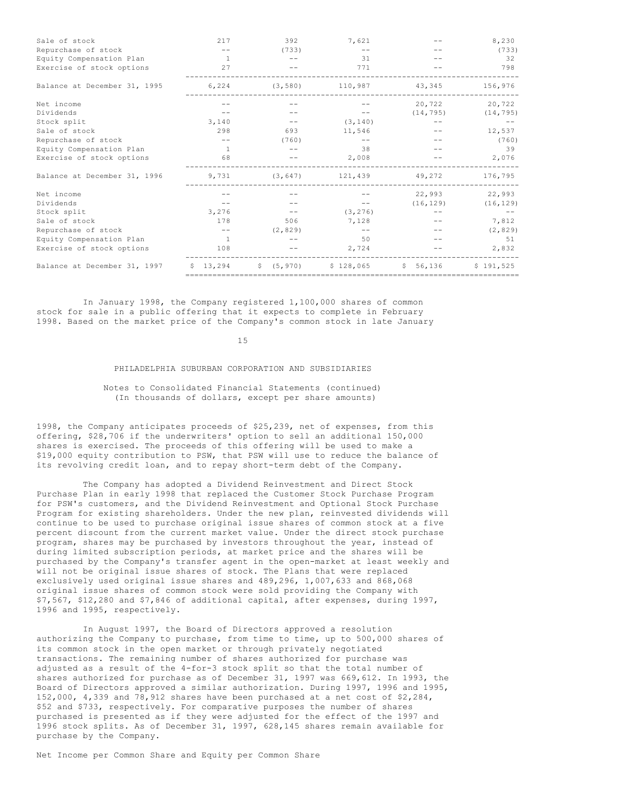| Sale of stock                | 217            | 392      | 7,621                                                          |        | 8,230                   |
|------------------------------|----------------|----------|----------------------------------------------------------------|--------|-------------------------|
| Repurchase of stock          |                | (733)    |                                                                |        | (733)                   |
| Equity Compensation Plan     | $\overline{1}$ |          | 31                                                             |        | -32                     |
| Exercise of stock options    | 27             |          | 771                                                            |        | 798                     |
| Balance at December 31, 1995 | 6,224          | (3, 580) | 110,987                                                        | 43,345 | 156,976                 |
| Net income                   |                |          |                                                                | 20,722 | 20,722                  |
| Dividends                    |                |          |                                                                |        | $(14, 795)$ $(14, 795)$ |
| Stock split                  | 3,140          | $- -$    | (3, 140)                                                       |        |                         |
| Sale of stock                | 298            | 693      | 11,546                                                         |        | 12,537                  |
| Repurchase of stock          |                | (760)    | $ -$                                                           |        | (760)                   |
| Equity Compensation Plan     | $\overline{1}$ |          | 38                                                             |        | 39                      |
| Exercise of stock options    | 68             |          | 2,008                                                          |        | 2,076                   |
| Balance at December 31, 1996 | 9,731          |          | $(3, 647)$ 121,439                                             | 49,272 | 176,795                 |
| Net income                   |                |          |                                                                | 22,993 | 22,993                  |
| Dividends                    |                |          |                                                                |        | $(16, 129)$ $(16, 129)$ |
| Stock split                  | 3,276          |          | (3, 276)                                                       |        |                         |
| Sale of stock                | 178            | 506      | 7,128                                                          |        | 7,812                   |
| Repurchase of stock          |                | (2, 829) | $ -$                                                           |        | (2, 829)                |
| Equity Compensation Plan     | $\overline{1}$ |          | 50                                                             |        | 51                      |
| Exercise of stock options    | 108            |          | 2,724                                                          |        | 2,832                   |
| Balance at December 31, 1997 | 13,294<br>S.   |          | $\frac{1}{2}$ (5,970) $\frac{1}{28}$ ,065 $\frac{1}{2}$ 56,136 |        | \$191.525               |
|                              |                |          |                                                                |        |                         |

In January 1998, the Company registered 1,100,000 shares of common stock for sale in a public offering that it expects to complete in February 1998. Based on the market price of the Company's common stock in late January

15

## PHILADELPHIA SUBURBAN CORPORATION AND SUBSIDIARIES

### Notes to Consolidated Financial Statements (continued) (In thousands of dollars, except per share amounts)

1998, the Company anticipates proceeds of \$25,239, net of expenses, from this offering, \$28,706 if the underwriters' option to sell an additional 150,000 shares is exercised. The proceeds of this offering will be used to make a \$19,000 equity contribution to PSW, that PSW will use to reduce the balance of its revolving credit loan, and to repay short-term debt of the Company.

The Company has adopted a Dividend Reinvestment and Direct Stock Purchase Plan in early 1998 that replaced the Customer Stock Purchase Program for PSW's customers, and the Dividend Reinvestment and Optional Stock Purchase Program for existing shareholders. Under the new plan, reinvested dividends will continue to be used to purchase original issue shares of common stock at a five percent discount from the current market value. Under the direct stock purchase program, shares may be purchased by investors throughout the year, instead of during limited subscription periods, at market price and the shares will be purchased by the Company's transfer agent in the open-market at least weekly and will not be original issue shares of stock. The Plans that were replaced exclusively used original issue shares and 489,296, 1,007,633 and 868,068 original issue shares of common stock were sold providing the Company with \$7,567, \$12,280 and \$7,846 of additional capital, after expenses, during 1997, 1996 and 1995, respectively.

In August 1997, the Board of Directors approved a resolution authorizing the Company to purchase, from time to time, up to 500,000 shares of its common stock in the open market or through privately negotiated transactions. The remaining number of shares authorized for purchase was adjusted as a result of the 4-for-3 stock split so that the total number of shares authorized for purchase as of December 31, 1997 was 669,612. In 1993, the Board of Directors approved a similar authorization. During 1997, 1996 and 1995, 152,000, 4,339 and 78,912 shares have been purchased at a net cost of \$2,284, \$52 and \$733, respectively. For comparative purposes the number of shares purchased is presented as if they were adjusted for the effect of the 1997 and 1996 stock splits. As of December 31, 1997, 628,145 shares remain available for purchase by the Company.

Net Income per Common Share and Equity per Common Share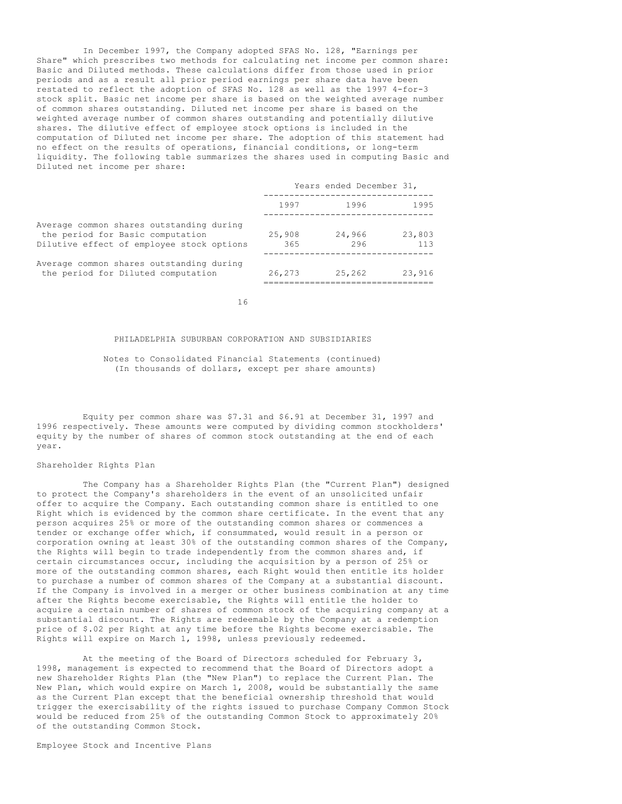In December 1997, the Company adopted SFAS No. 128, "Earnings per Share" which prescribes two methods for calculating net income per common share: Basic and Diluted methods. These calculations differ from those used in prior periods and as a result all prior period earnings per share data have been restated to reflect the adoption of SFAS No. 128 as well as the 1997 4-for-3 stock split. Basic net income per share is based on the weighted average number of common shares outstanding. Diluted net income per share is based on the weighted average number of common shares outstanding and potentially dilutive shares. The dilutive effect of employee stock options is included in the computation of Diluted net income per share. The adoption of this statement had no effect on the results of operations, financial conditions, or long-term liquidity. The following table summarizes the shares used in computing Basic and Diluted net income per share:

|               | Years ended December 31, |      |               |
|---------------|--------------------------|------|---------------|
| 1997          |                          | 1996 | 1995          |
| 25,908<br>365 | 24,966                   | 296  | 23,803<br>113 |
| 26,273        | 25,262                   |      | 23,916        |

Average common shares outstanding during the period for Diluted computation

Dilutive effect of employee stock options

Average common shares outstanding during the period for Basic computation

16

### PHILADELPHIA SUBURBAN CORPORATION AND SUBSIDIARIES

Notes to Consolidated Financial Statements (continued) (In thousands of dollars, except per share amounts)

Equity per common share was \$7.31 and \$6.91 at December 31, 1997 and 1996 respectively. These amounts were computed by dividing common stockholders' equity by the number of shares of common stock outstanding at the end of each year.

### Shareholder Rights Plan

The Company has a Shareholder Rights Plan (the "Current Plan") designed to protect the Company's shareholders in the event of an unsolicited unfair offer to acquire the Company. Each outstanding common share is entitled to one Right which is evidenced by the common share certificate. In the event that any person acquires 25% or more of the outstanding common shares or commences a tender or exchange offer which, if consummated, would result in a person or corporation owning at least 30% of the outstanding common shares of the Company, the Rights will begin to trade independently from the common shares and, if certain circumstances occur, including the acquisition by a person of 25% or more of the outstanding common shares, each Right would then entitle its holder to purchase a number of common shares of the Company at a substantial discount. If the Company is involved in a merger or other business combination at any time after the Rights become exercisable, the Rights will entitle the holder to acquire a certain number of shares of common stock of the acquiring company at a substantial discount. The Rights are redeemable by the Company at a redemption price of \$.02 per Right at any time before the Rights become exercisable. The Rights will expire on March 1, 1998, unless previously redeemed.

At the meeting of the Board of Directors scheduled for February 3, 1998, management is expected to recommend that the Board of Directors adopt a new Shareholder Rights Plan (the "New Plan") to replace the Current Plan. The New Plan, which would expire on March 1, 2008, would be substantially the same as the Current Plan except that the beneficial ownership threshold that would trigger the exercisability of the rights issued to purchase Company Common Stock would be reduced from 25% of the outstanding Common Stock to approximately 20% of the outstanding Common Stock.

Employee Stock and Incentive Plans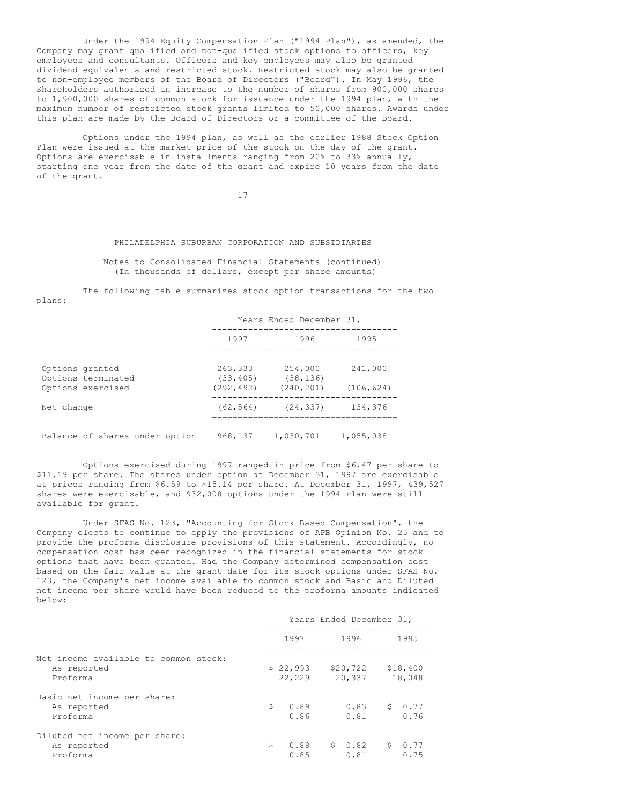Under the 1994 Equity Compensation Plan ("1994 Plan"), as amended, the Company may grant qualified and non-qualified stock options to officers, key employees and consultants. Officers and key employees may also be granted dividend equivalents and restricted stock. Restricted stock may also be granted to non-employee members of the Board of Directors ("Board"). In May 1996, the Shareholders authorized an increase to the number of shares from 900,000 shares to 1,900,000 shares of common stock for issuance under the 1994 plan, with the maximum number of restricted stock grants limited to 50,000 shares. Awards under this plan are made by the Board of Directors or a committee of the Board.

Options under the 1994 plan, as well as the earlier 1988 Stock Option Plan were issued at the market price of the stock on the day of the grant. Options are exercisable in installments ranging from 20% to 33% annually, starting one year from the date of the grant and expire 10 years from the date of the grant.

17

### PHILADELPHIA SUBURBAN CORPORATION AND SUBSIDIARIES

Notes to Consolidated Financial Statements (continued) (In thousands of dollars, except per share amounts)

The following table summarizes stock option transactions for the two plans:

|                                                            | Years Ended December 31,           |                                    |                       |  |  |  |
|------------------------------------------------------------|------------------------------------|------------------------------------|-----------------------|--|--|--|
|                                                            | 1997                               | 1996                               |                       |  |  |  |
| Options granted<br>Options terminated<br>Options exercised | 263,333<br>(33, 405)<br>(292, 492) | 254,000<br>(38, 136)<br>(240, 201) | 241,000<br>(106, 624) |  |  |  |
| Net change                                                 | (62, 564)                          | (24, 337)                          | 134,376               |  |  |  |
| Balance of shares under option                             | 968,137                            | 1,030,701                          | 1,055,038             |  |  |  |

Options exercised during 1997 ranged in price from \$6.47 per share to \$11.19 per share. The shares under option at December 31, 1997 are exercisable at prices ranging from \$6.59 to \$15.14 per share. At December 31, 1997, 439,527 shares were exercisable, and 932,008 options under the 1994 Plan were still available for grant.

Under SFAS No. 123, "Accounting for Stock-Based Compensation", the Company elects to continue to apply the provisions of APB Opinion No. 25 and to provide the proforma disclosure provisions of this statement. Accordingly, no compensation cost has been recognized in the financial statements for stock options that have been granted. Had the Company determined compensation cost based on the fair value at the grant date for its stock options under SFAS No. 123, the Company's net income available to common stock and Basic and Diluted net income per share would have been reduced to the proforma amounts indicated below:

|                                                                  | Years Ended December 31, |                    |  |                    |  |                    |
|------------------------------------------------------------------|--------------------------|--------------------|--|--------------------|--|--------------------|
|                                                                  |                          | 1997 -             |  | 1996               |  | 1995               |
| Net income available to common stock:<br>As reported<br>Proforma |                          | \$22,993<br>22,229 |  | \$20,722<br>20,337 |  | \$18,400<br>18,048 |
| Basic net income per share:<br>As reported<br>Proforma           | Ŝ.                       | 0.89<br>0.86       |  | 0.83<br>0.81       |  | \$0.77<br>0.76     |
| Diluted net income per share:<br>As reported<br>Proforma         | Ŝ                        | 0.88<br>0.85       |  | \$0.82<br>0.81     |  | \$0.77<br>0.75     |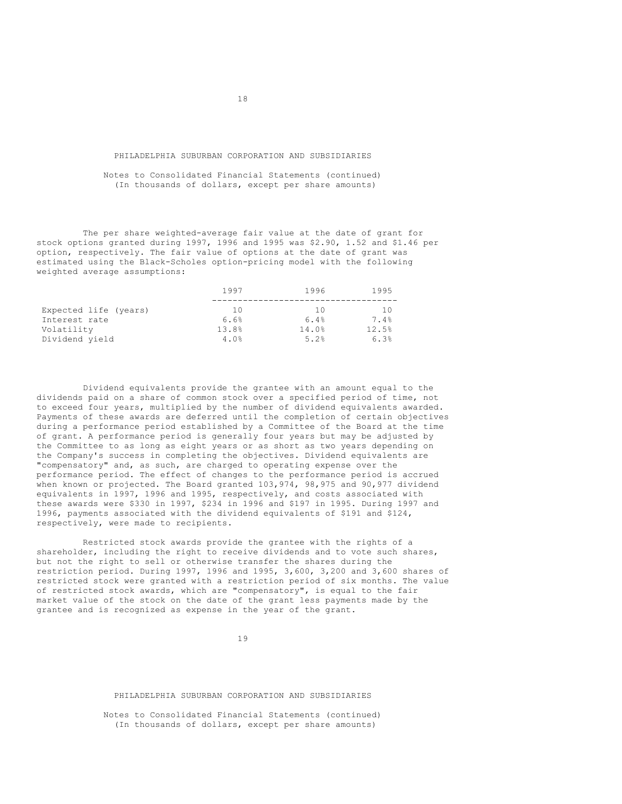### PHILADELPHIA SUBURBAN CORPORATION AND SUBSIDIARIES

Notes to Consolidated Financial Statements (continued) (In thousands of dollars, except per share amounts)

The per share weighted-average fair value at the date of grant for stock options granted during 1997, 1996 and 1995 was \$2.90, 1.52 and \$1.46 per option, respectively. The fair value of options at the date of grant was estimated using the Black-Scholes option-pricing model with the following weighted average assumptions:

|                       | 1997  | 1996  | 1995  |
|-----------------------|-------|-------|-------|
|                       |       |       |       |
| Expected life (years) | 10    | 10    | 10    |
| Interest rate         | 6.6%  | 6.4%  | 7.4%  |
| Volatility            | 13.8% | 14.0% | 12.5% |
| Dividend yield        | 4.0%  | 5.2%  | 6.3%  |

Dividend equivalents provide the grantee with an amount equal to the dividends paid on a share of common stock over a specified period of time, not to exceed four years, multiplied by the number of dividend equivalents awarded. Payments of these awards are deferred until the completion of certain objectives during a performance period established by a Committee of the Board at the time of grant. A performance period is generally four years but may be adjusted by the Committee to as long as eight years or as short as two years depending on the Company's success in completing the objectives. Dividend equivalents are "compensatory" and, as such, are charged to operating expense over the performance period. The effect of changes to the performance period is accrued when known or projected. The Board granted 103,974, 98,975 and 90,977 dividend equivalents in 1997, 1996 and 1995, respectively, and costs associated with these awards were \$330 in 1997, \$234 in 1996 and \$197 in 1995. During 1997 and 1996, payments associated with the dividend equivalents of \$191 and \$124, respectively, were made to recipients.

Restricted stock awards provide the grantee with the rights of a shareholder, including the right to receive dividends and to vote such shares, but not the right to sell or otherwise transfer the shares during the restriction period. During 1997, 1996 and 1995, 3,600, 3,200 and 3,600 shares of restricted stock were granted with a restriction period of six months. The value of restricted stock awards, which are "compensatory", is equal to the fair market value of the stock on the date of the grant less payments made by the grantee and is recognized as expense in the year of the grant.

19

#### PHILADELPHIA SUBURBAN CORPORATION AND SUBSIDIARIES

Notes to Consolidated Financial Statements (continued) (In thousands of dollars, except per share amounts)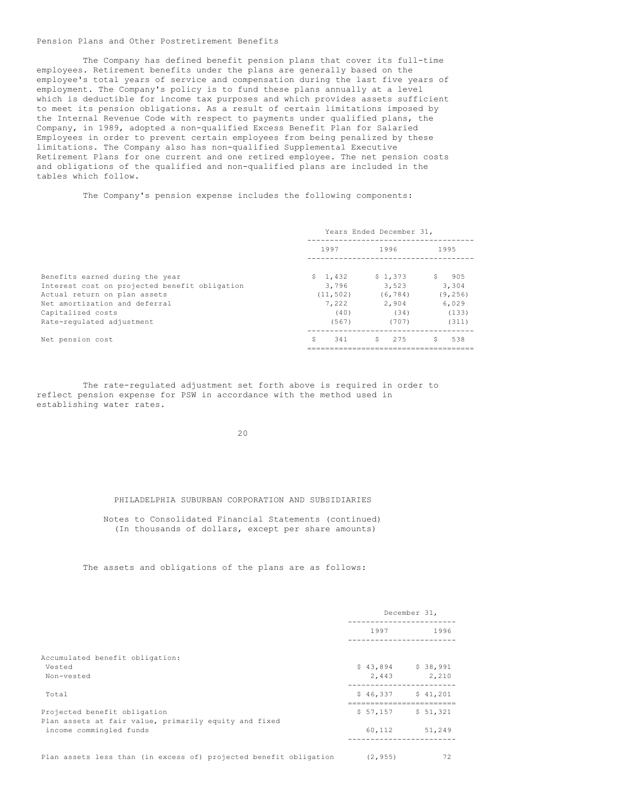### Pension Plans and Other Postretirement Benefits

The Company has defined benefit pension plans that cover its full-time employees. Retirement benefits under the plans are generally based on the employee's total years of service and compensation during the last five years of employment. The Company's policy is to fund these plans annually at a level which is deductible for income tax purposes and which provides assets sufficient to meet its pension obligations. As a result of certain limitations imposed by the Internal Revenue Code with respect to payments under qualified plans, the Company, in 1989, adopted a non-qualified Excess Benefit Plan for Salaried Employees in order to prevent certain employees from being penalized by these limitations. The Company also has non-qualified Supplemental Executive Retirement Plans for one current and one retired employee. The net pension costs and obligations of the qualified and non-qualified plans are included in the tables which follow.

The Company's pension expense includes the following components:

|                                               |           |       |    | Years Ended December 31, |    |          |
|-----------------------------------------------|-----------|-------|----|--------------------------|----|----------|
|                                               | 1997      |       |    | 1996                     |    | 1995     |
| Benefits earned during the year               | \$1,432   |       |    | \$1,373                  | S. | 905      |
| Interest cost on projected benefit obligation | 3,796     |       |    | 3,523                    |    | 3,304    |
| Actual return on plan assets                  | (11, 502) |       |    | (6, 784)                 |    | (9, 256) |
| Net amortization and deferral                 | 7.222     |       |    | 2,904                    |    | 6,029    |
| Capitalized costs                             |           | (40)  |    | (34)                     |    | (133)    |
| Rate-regulated adjustment                     |           | (567) |    | (707)                    |    | (311)    |
| Net pension cost                              | S.        | 341   | S. | 275                      | S. | 538      |
|                                               |           |       |    |                          |    |          |

The rate-regulated adjustment set forth above is required in order to reflect pension expense for PSW in accordance with the method used in establishing water rates.

20

## PHILADELPHIA SUBURBAN CORPORATION AND SUBSIDIARIES

Notes to Consolidated Financial Statements (continued) (In thousands of dollars, except per share amounts)

### The assets and obligations of the plans are as follows:

|                                                                                  |                     | December 31,               |
|----------------------------------------------------------------------------------|---------------------|----------------------------|
|                                                                                  | 1997                | 1996<br>------------------ |
| Accumulated benefit obligation:                                                  |                     |                            |
| Vested                                                                           | $$43,894$ $$38,991$ |                            |
| Non-vested                                                                       | 2,443               | 2,210                      |
| Total                                                                            | $$46,337$ $$41,201$ |                            |
| Projected benefit obligation                                                     | $$57.157$ $$51.321$ |                            |
| Plan assets at fair value, primarily equity and fixed<br>income commingled funds |                     | 60, 112 51, 249            |
| Plan assets less than (in excess of) projected benefit obligation                | (2, 955)            | 72                         |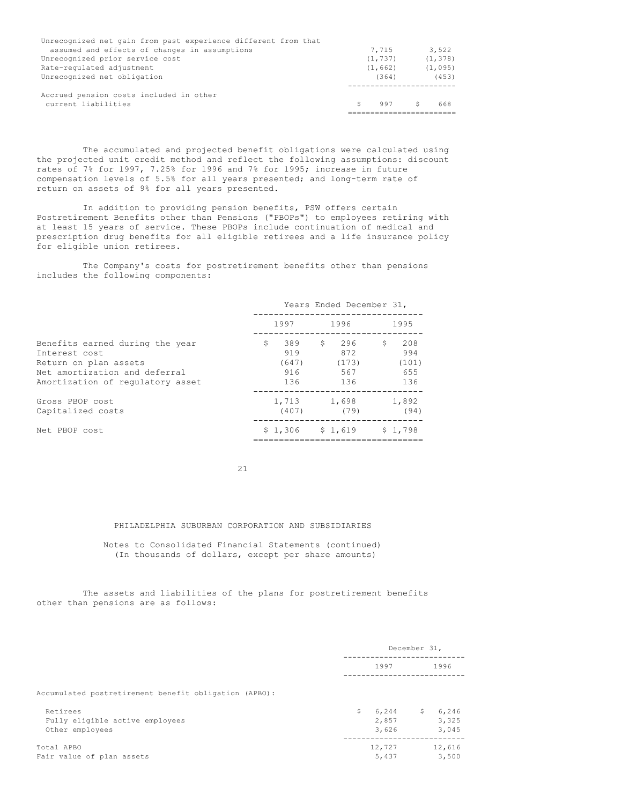| Unrecognized net gain from past experience different from that |          |          |
|----------------------------------------------------------------|----------|----------|
| assumed and effects of changes in assumptions                  | 7.715    | 3,522    |
| Unrecognized prior service cost                                | (1, 737) | (1, 378) |
| Rate-regulated adjustment                                      | (1, 662) | (1, 095) |
| Unrecognized net obligation                                    | (364)    | (453)    |
| Accrued pension costs included in other<br>current liabilities | 997      | 668      |
|                                                                |          |          |

The accumulated and projected benefit obligations were calculated using the projected unit credit method and reflect the following assumptions: discount rates of 7% for 1997, 7.25% for 1996 and 7% for 1995; increase in future compensation levels of 5.5% for all years presented; and long-term rate of return on assets of 9% for all years presented.

In addition to providing pension benefits, PSW offers certain Postretirement Benefits other than Pensions ("PBOPs") to employees retiring with at least 15 years of service. These PBOPs include continuation of medical and prescription drug benefits for all eligible retirees and a life insurance policy for eligible union retirees.

The Company's costs for postretirement benefits other than pensions includes the following components:

|                                                                                                                                                | Years Ended December 31, |                                   |    |                                   |    |                                   |
|------------------------------------------------------------------------------------------------------------------------------------------------|--------------------------|-----------------------------------|----|-----------------------------------|----|-----------------------------------|
|                                                                                                                                                |                          | 1997                              |    | 1996                              |    | 1995                              |
| Benefits earned during the year<br>Interest cost<br>Return on plan assets<br>Net amortization and deferral<br>Amortization of regulatory asset | \$                       | 389<br>919<br>(647)<br>916<br>136 | S. | 296<br>872<br>(173)<br>567<br>136 | S. | 208<br>994<br>(101)<br>655<br>136 |
| Gross PBOP cost<br>Capitalized costs                                                                                                           |                          | 1,713 1,698<br>(407)              |    | (79)                              |    | 1,892<br>(94)                     |
| Net PBOP cost                                                                                                                                  |                          | $$1,306$ $$1,619$                 |    |                                   |    | \$1.798                           |

21

## PHILADELPHIA SUBURBAN CORPORATION AND SUBSIDIARIES

Notes to Consolidated Financial Statements (continued) (In thousands of dollars, except per share amounts)

The assets and liabilities of the plans for postretirement benefits other than pensions are as follows:

|                                                                |    | December 31,            |    |                         |
|----------------------------------------------------------------|----|-------------------------|----|-------------------------|
|                                                                |    | 1997                    |    | 1996                    |
| Accumulated postretirement benefit obligation (APBO):          |    |                         |    |                         |
| Retirees<br>Fully eligible active employees<br>Other employees | Ŝ. | 6,244<br>2,857<br>3,626 | S. | 6,246<br>3,325<br>3,045 |
| Total APBO<br>Fair value of plan assets                        |    | 12,727<br>5,437         |    | 12,616<br>3,500         |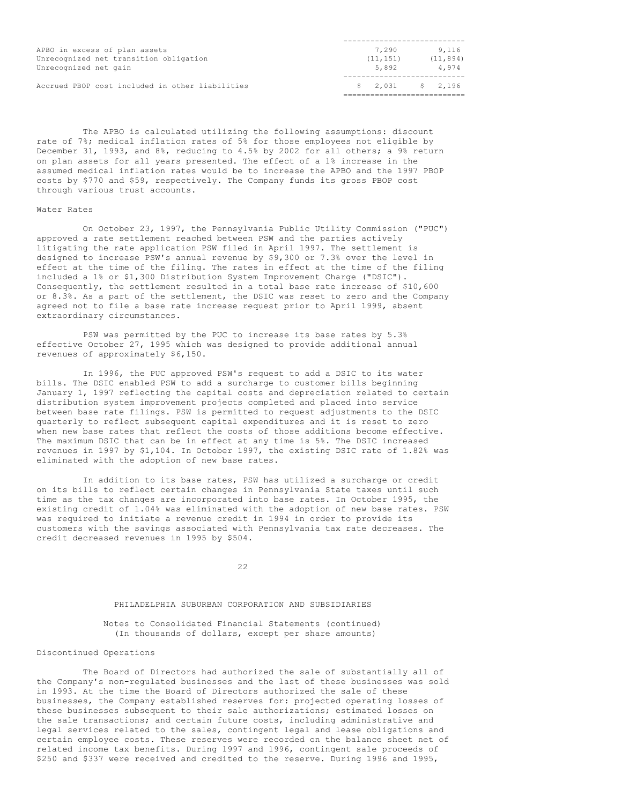| APBO in excess of plan assets                   | 7,290                                                                    | 9,116     |
|-------------------------------------------------|--------------------------------------------------------------------------|-----------|
| Unrecognized net transition obligation          | (11, 151)                                                                | (11, 894) |
| Unrecognized net gain                           | 5,892                                                                    | 4,974     |
| Accrued PBOP cost included in other liabilities | $\begin{array}{ccccccc} \text{S} & 2.031 & \text{S} & 2.196 \end{array}$ |           |
|                                                 |                                                                          |           |

The APBO is calculated utilizing the following assumptions: discount rate of 7%; medical inflation rates of 5% for those employees not eligible by December 31, 1993, and 8%, reducing to 4.5% by 2002 for all others; a 9% return on plan assets for all years presented. The effect of a 1% increase in the assumed medical inflation rates would be to increase the APBO and the 1997 PBOP costs by \$770 and \$59, respectively. The Company funds its gross PBOP cost through various trust accounts.

### Water Rates

On October 23, 1997, the Pennsylvania Public Utility Commission ("PUC") approved a rate settlement reached between PSW and the parties actively litigating the rate application PSW filed in April 1997. The settlement is designed to increase PSW's annual revenue by \$9,300 or 7.3% over the level in effect at the time of the filing. The rates in effect at the time of the filing included a 1% or \$1,300 Distribution System Improvement Charge ("DSIC"). Consequently, the settlement resulted in a total base rate increase of \$10,600 or 8.3%. As a part of the settlement, the DSIC was reset to zero and the Company agreed not to file a base rate increase request prior to April 1999, absent extraordinary circumstances.

PSW was permitted by the PUC to increase its base rates by 5.3% effective October 27, 1995 which was designed to provide additional annual revenues of approximately \$6,150.

In 1996, the PUC approved PSW's request to add a DSIC to its water bills. The DSIC enabled PSW to add a surcharge to customer bills beginning January 1, 1997 reflecting the capital costs and depreciation related to certain distribution system improvement projects completed and placed into service between base rate filings. PSW is permitted to request adjustments to the DSIC quarterly to reflect subsequent capital expenditures and it is reset to zero when new base rates that reflect the costs of those additions become effective. The maximum DSIC that can be in effect at any time is 5%. The DSIC increased revenues in 1997 by \$1,104. In October 1997, the existing DSIC rate of 1.82% was eliminated with the adoption of new base rates.

In addition to its base rates, PSW has utilized a surcharge or credit on its bills to reflect certain changes in Pennsylvania State taxes until such time as the tax changes are incorporated into base rates. In October 1995, the existing credit of 1.04% was eliminated with the adoption of new base rates. PSW was required to initiate a revenue credit in 1994 in order to provide its customers with the savings associated with Pennsylvania tax rate decreases. The credit decreased revenues in 1995 by \$504.

22

# PHILADELPHIA SUBURBAN CORPORATION AND SUBSIDIARIES

### Notes to Consolidated Financial Statements (continued) (In thousands of dollars, except per share amounts)

### Discontinued Operations

The Board of Directors had authorized the sale of substantially all of the Company's non-regulated businesses and the last of these businesses was sold in 1993. At the time the Board of Directors authorized the sale of these businesses, the Company established reserves for: projected operating losses of these businesses subsequent to their sale authorizations; estimated losses on the sale transactions; and certain future costs, including administrative and legal services related to the sales, contingent legal and lease obligations and certain employee costs. These reserves were recorded on the balance sheet net of related income tax benefits. During 1997 and 1996, contingent sale proceeds of \$250 and \$337 were received and credited to the reserve. During 1996 and 1995,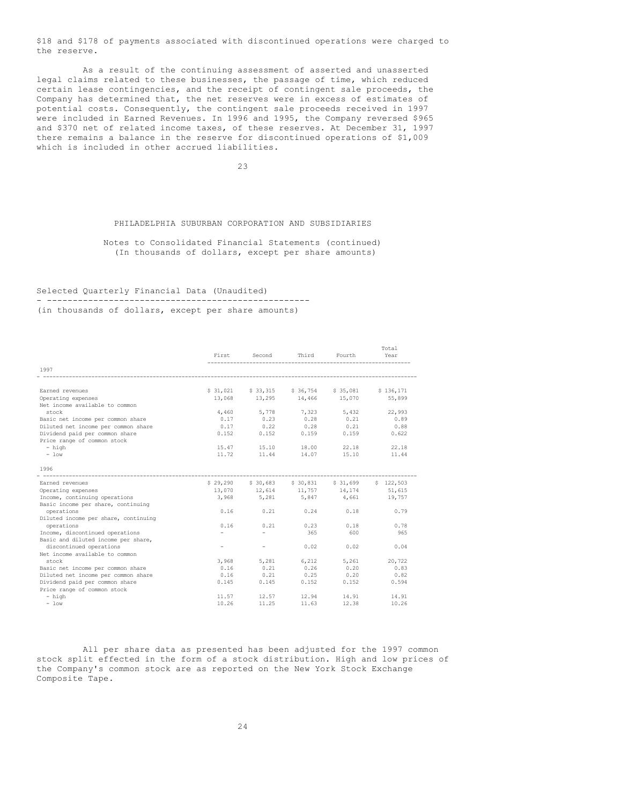\$18 and \$178 of payments associated with discontinued operations were charged to the reserve.

As a result of the continuing assessment of asserted and unasserted legal claims related to these businesses, the passage of time, which reduced certain lease contingencies, and the receipt of contingent sale proceeds, the Company has determined that, the net reserves were in excess of estimates of potential costs. Consequently, the contingent sale proceeds received in 1997 were included in Earned Revenues. In 1996 and 1995, the Company reversed \$965 and \$370 net of related income taxes, of these reserves. At December 31, 1997 there remains a balance in the reserve for discontinued operations of \$1,009 which is included in other accrued liabilities.

23

### PHILADELPHIA SUBURBAN CORPORATION AND SUBSIDIARIES

Notes to Consolidated Financial Statements (continued) (In thousands of dollars, except per share amounts)

#### Selected Quarterly Financial Data (Unaudited) - ---------------------------------------------------

(in thousands of dollars, except per share amounts)

|                                      |        |                          |                                               |        | Total     |
|--------------------------------------|--------|--------------------------|-----------------------------------------------|--------|-----------|
|                                      | First  | Second                   | Third                                         | Fourth | Year      |
| 1997                                 |        |                          |                                               |        |           |
|                                      |        |                          |                                               |        |           |
| Earned revenues                      |        |                          | \$31,021 \$33,315 \$36,754 \$35,081           |        | \$136,171 |
| Operating expenses                   | 13,068 |                          | 13,295 14,466 15,070                          |        | 55,899    |
| Net income available to common       |        |                          |                                               |        |           |
| stock                                | 4,460  | 5,778                    | 7,323                                         | 5,432  | 22,993    |
| Basic net income per common share    | 0.17   | 0.23                     | 0.28                                          | 0.21   | 0.89      |
| Diluted net income per common share  | 0.17   | 0.22                     | 0.28                                          | 0.21   | 0.88      |
| Dividend paid per common share       | 0.152  | 0.152                    | 0.159                                         | 0.159  | 0.622     |
| Price range of common stock          |        |                          |                                               |        |           |
| - high                               | 15.47  | 15.10                    | 18.00                                         | 22.18  | 22.18     |
| $-$ low                              | 11.72  | 11.44                    | 14.07                                         | 15.10  | 11.44     |
| 1996                                 |        |                          |                                               |        |           |
| Earned revenues                      |        |                          | \$29,290 \$30,683 \$30,831 \$31,699 \$122,503 |        |           |
| Operating expenses                   |        |                          | $13,070$ $12,614$ $11,757$ $14,174$ $51,615$  |        |           |
| Income, continuing operations        |        |                          | 3,968 5,281 5,847 4,661                       |        | 19,757    |
| Basic income per share, continuing   |        |                          |                                               |        |           |
| operations                           | 0.16   | 0.21                     | 0.24                                          | 0.18   | 0.79      |
| Diluted income per share, continuing |        |                          |                                               |        |           |
| operations                           | 0.16   | 0.21                     | 0.23                                          | 0.18   | 0.78      |
| Income, discontinued operations      |        | $\overline{\phantom{0}}$ | 365                                           | 600    | 965       |
| Basic and diluted income per share,  |        |                          |                                               |        |           |
| discontinued operations              |        | $\overline{\phantom{a}}$ | 0.02                                          | 0.02   | 0.04      |
| Net income available to common       |        |                          |                                               |        |           |
| stock                                | 3,968  | 5,281                    | 6,212                                         | 5,261  | 20,722    |
| Basic net income per common share    | 0.16   | 0.21                     | 0.26                                          | 0.20   | 0.83      |
| Diluted net income per common share  | 0.16   | 0.21                     | 0.25                                          | 0.20   | 0.82      |
| Dividend paid per common share       | 0.145  | 0.145                    | 0.152                                         | 0.152  | 0.594     |
| Price range of common stock          |        |                          |                                               |        |           |
| - high                               | 11.57  | 12.57                    | 12.94                                         | 14.91  | 14.91     |
| $-$ low                              | 10.26  | 11.25                    | 11.63                                         | 12.38  | 10.26     |

All per share data as presented has been adjusted for the 1997 common stock split effected in the form of a stock distribution. High and low prices of the Company's common stock are as reported on the New York Stock Exchange Composite Tape.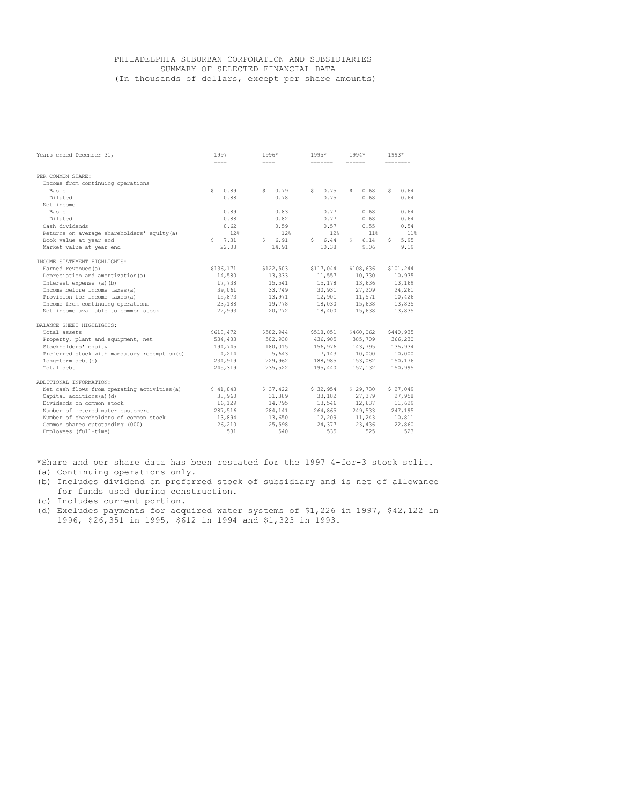## PHILADELPHIA SUBURBAN CORPORATION AND SUBSIDIARIES SUMMARY OF SELECTED FINANCIAL DATA (In thousands of dollars, except per share amounts)

| Years ended December 31,                      | 1997<br>$\cdots$ | $1996*$<br>$\cdots$ | $1995*$       | $1994*$                 | $1993*$    |
|-----------------------------------------------|------------------|---------------------|---------------|-------------------------|------------|
|                                               |                  |                     |               |                         |            |
| PER COMMON SHARE:                             |                  |                     |               |                         |            |
| Income from continuing operations             |                  |                     |               |                         |            |
| Basic                                         | 0.89<br>S.       | 0.79<br>S           | 0.75<br>S     | 0.68<br>S.              | 0.64<br>S. |
| Diluted                                       | 0.88             | 0.78                | 0.75          | 0.68                    | 0.64       |
| Net income                                    |                  |                     |               |                         |            |
| Basic                                         | 0.89             | 0.83                | 0.77          | 0.68                    | 0.64       |
| Diluted                                       | 0.88             | 0.82                | 0.77          | 0.68                    | 0.64       |
| Cash dividends                                | 0.62             | 0.59                | 0.57          | 0.55                    | 0.54       |
| Returns on average shareholders' equity(a)    | 12%              | 12%                 | 12%           | 11%                     | 11%        |
| Book value at year end                        | $5 \quad 7.31$   | \$6.91              | 6.44<br>S     | 6.14<br>S.              | 5.95<br>S. |
| Market value at year end                      | 22.08            | 14.91               | 10.38         | 9.06                    | 9.19       |
| INCOME STATEMENT HIGHLIGHTS:                  |                  |                     |               |                         |            |
| Earned revenues (a)                           | \$136,171        | \$122,503           | \$117,044     | \$108,636               | \$101,244  |
| Depreciation and amortization (a)             | 14,580           | 13,333              | 11,557 10,330 |                         | 10,935     |
| Interest expense (a) (b)                      | 17,738           | 15,541              | 15,178        | 13,636                  | 13,169     |
| Income before income taxes (a)                | 39,061           | 33,749              | 30,931        | 27,209                  | 24,261     |
| Provision for income taxes (a)                | 15,873           | 13,971              |               | $12,901$ $11,571$       | 10,426     |
| Income from continuing operations             | 23,188           | 19,778              | 18,030        | 15,638                  | 13,835     |
| Net income available to common stock          | 22,993           | 20,772              | 18,400        | 15,638                  | 13,835     |
| BALANCE SHEET HIGHLIGHTS:                     |                  |                     |               |                         |            |
| Total assets                                  | \$618,472        | \$582,944           | \$518,051     | \$460,062               | \$440,935  |
| Property, plant and equipment, net            | 534,483          | 502,938             | 436,905       | 385,709                 | 366,230    |
| Stockholders' equity                          | 194,745          | 180,015             |               | 156,976 143,795 135,934 |            |
| Preferred stock with mandatory redemption (c) | 4,214            | 5,643               |               | 7,143 10,000 10,000     |            |
| Long-term debt (c)                            | 234,919          | 229,962             |               | 188,985 153,082 150,176 |            |
| Total debt                                    | 245,319          | 235,522             | 195,440       | 157,132                 | 150,995    |
| ADDITIONAL INFORMATION:                       |                  |                     |               |                         |            |
| Net cash flows from operating activities (a)  | \$41,843         | \$37,422            | \$32,954      | \$29,730                | \$27,049   |
| Capital additions (a) (d)                     | 38,960           | 31,389              | 33,182        | 27,379                  | 27,958     |
| Dividends on common stock                     | 16,129           | 14,795              |               | 13,546 12,637           | 11,629     |
| Number of metered water customers             | 287,516          | 284,141             |               | 264,865 249,533         | 247,195    |
| Number of shareholders of common stock        | 13,894           | 13,650              |               | 12,209 11,243           | 10,811     |
| Common shares outstanding (000)               | 26,210           | 25,598              | 24,377        | 23,436                  | 22,860     |
| Employees (full-time)                         | 531              | 540                 | 535           | 525                     | 523        |

\*Share and per share data has been restated for the 1997 4-for-3 stock split.

(a) Continuing operations only.

(b) Includes dividend on preferred stock of subsidiary and is net of allowance for funds used during construction.

(c) Includes current portion.

(d) Excludes payments for acquired water systems of \$1,226 in 1997, \$42,122 in 1996, \$26,351 in 1995, \$612 in 1994 and \$1,323 in 1993.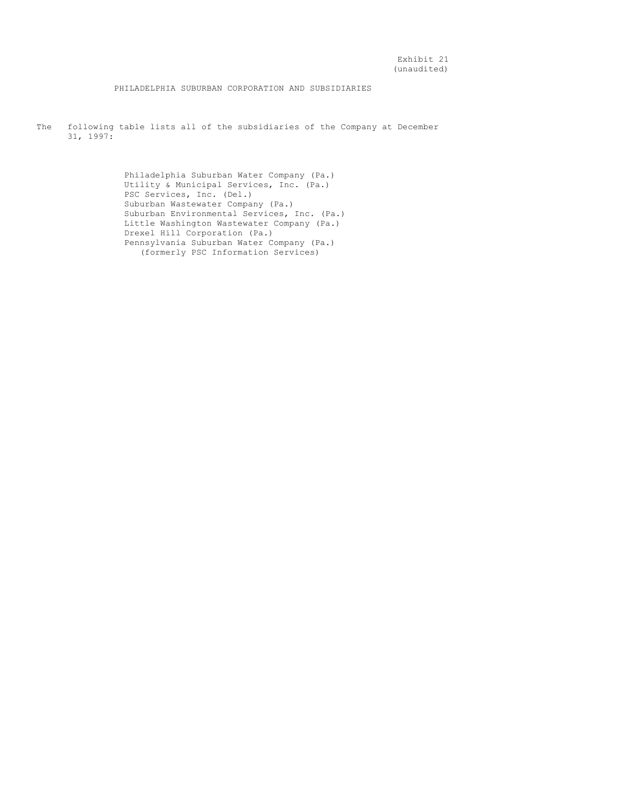PHILADELPHIA SUBURBAN CORPORATION AND SUBSIDIARIES

The following table lists all of the subsidiaries of the Company at December 31, 1997:

> Philadelphia Suburban Water Company (Pa.) Utility & Municipal Services, Inc. (Pa.) PSC Services, Inc. (Del.) Suburban Wastewater Company (Pa.) Suburban Environmental Services, Inc. (Pa.) Little Washington Wastewater Company (Pa.) Drexel Hill Corporation (Pa.) Pennsylvania Suburban Water Company (Pa.) (formerly PSC Information Services)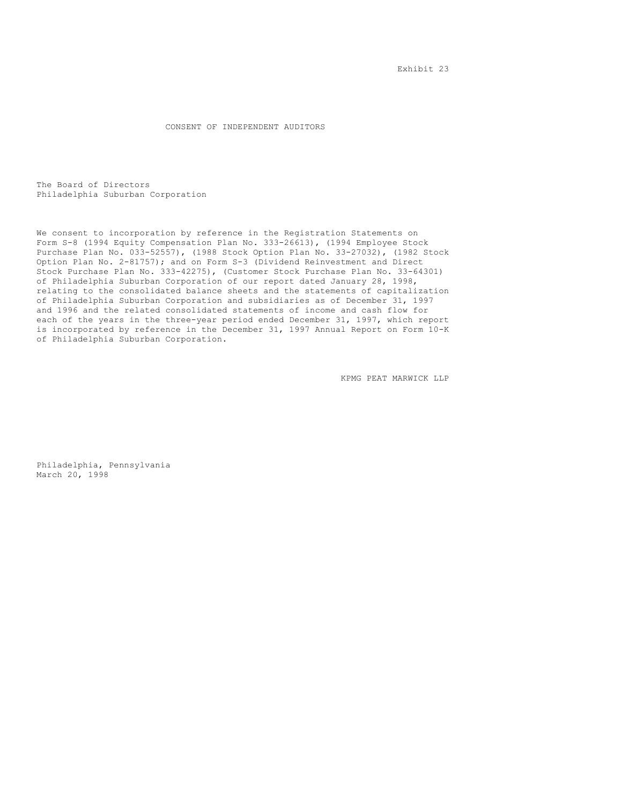Exhibit 23

CONSENT OF INDEPENDENT AUDITORS

The Board of Directors Philadelphia Suburban Corporation

We consent to incorporation by reference in the Registration Statements on Form S-8 (1994 Equity Compensation Plan No. 333-26613), (1994 Employee Stock Purchase Plan No. 033-52557), (1988 Stock Option Plan No. 33-27032), (1982 Stock Option Plan No. 2-81757); and on Form S-3 (Dividend Reinvestment and Direct Stock Purchase Plan No. 333-42275), (Customer Stock Purchase Plan No. 33-64301) of Philadelphia Suburban Corporation of our report dated January 28, 1998, relating to the consolidated balance sheets and the statements of capitalization of Philadelphia Suburban Corporation and subsidiaries as of December 31, 1997 and 1996 and the related consolidated statements of income and cash flow for each of the years in the three-year period ended December 31, 1997, which report is incorporated by reference in the December 31, 1997 Annual Report on Form 10-K of Philadelphia Suburban Corporation.

KPMG PEAT MARWICK LLP

Philadelphia, Pennsylvania March 20, 1998